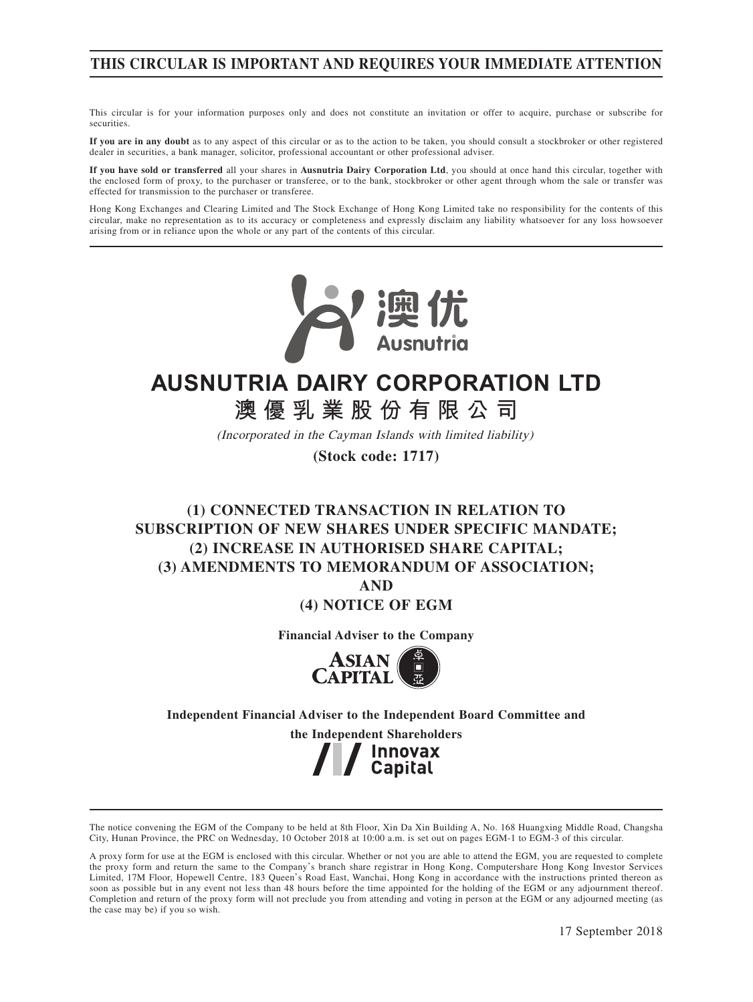## **THIS CIRCULAR IS IMPORTANT AND REQUIRES YOUR IMMEDIATE ATTENTION**

This circular is for your information purposes only and does not constitute an invitation or offer to acquire, purchase or subscribe for securities.

**If you are in any doubt** as to any aspect of this circular or as to the action to be taken, you should consult a stockbroker or other registered dealer in securities, a bank manager, solicitor, professional accountant or other professional adviser.

**If you have sold or transferred** all your shares in **Ausnutria Dairy Corporation Ltd**, you should at once hand this circular, together with the enclosed form of proxy, to the purchaser or transferee, or to the bank, stockbroker or other agent through whom the sale or transfer was effected for transmission to the purchaser or transferee.

Hong Kong Exchanges and Clearing Limited and The Stock Exchange of Hong Kong Limited take no responsibility for the contents of this circular, make no representation as to its accuracy or completeness and expressly disclaim any liability whatsoever for any loss howsoever arising from or in reliance upon the whole or any part of the contents of this circular.



# **AUSNUTRIA DAIRY CORPORATION LTD**

**澳優乳業股份有限公司**

(Incorporated in the Cayman Islands with limited liability)

**(Stock code: 1717)**

## **(1) CONNECTED TRANSACTION IN RELATION TO SUBSCRIPTION OF NEW SHARES UNDER SPECIFIC MANDATE; (2) INCREASE IN AUTHORISED SHARE CAPITAL; (3) AMENDMENTS TO MEMORANDUM OF ASSOCIATION;**

**AND**

**(4) NOTICE OF EGM**

**Financial Adviser to the Company**



**Independent Financial Adviser to the Independent Board Committee and** 

**the Independent Shareholders / Innovax**<br>Capital

The notice convening the EGM of the Company to be held at 8th Floor, Xin Da Xin Building A, No. 168 Huangxing Middle Road, Changsha City, Hunan Province, the PRC on Wednesday, 10 October 2018 at 10:00 a.m. is set out on pages EGM-1 to EGM-3 of this circular.

A proxy form for use at the EGM is enclosed with this circular. Whether or not you are able to attend the EGM, you are requested to complete the proxy form and return the same to the Company's branch share registrar in Hong Kong, Computershare Hong Kong Investor Services Limited, 17M Floor, Hopewell Centre, 183 Queen's Road East, Wanchai, Hong Kong in accordance with the instructions printed thereon as soon as possible but in any event not less than 48 hours before the time appointed for the holding of the EGM or any adjournment thereof. Completion and return of the proxy form will not preclude you from attending and voting in person at the EGM or any adjourned meeting (as the case may be) if you so wish.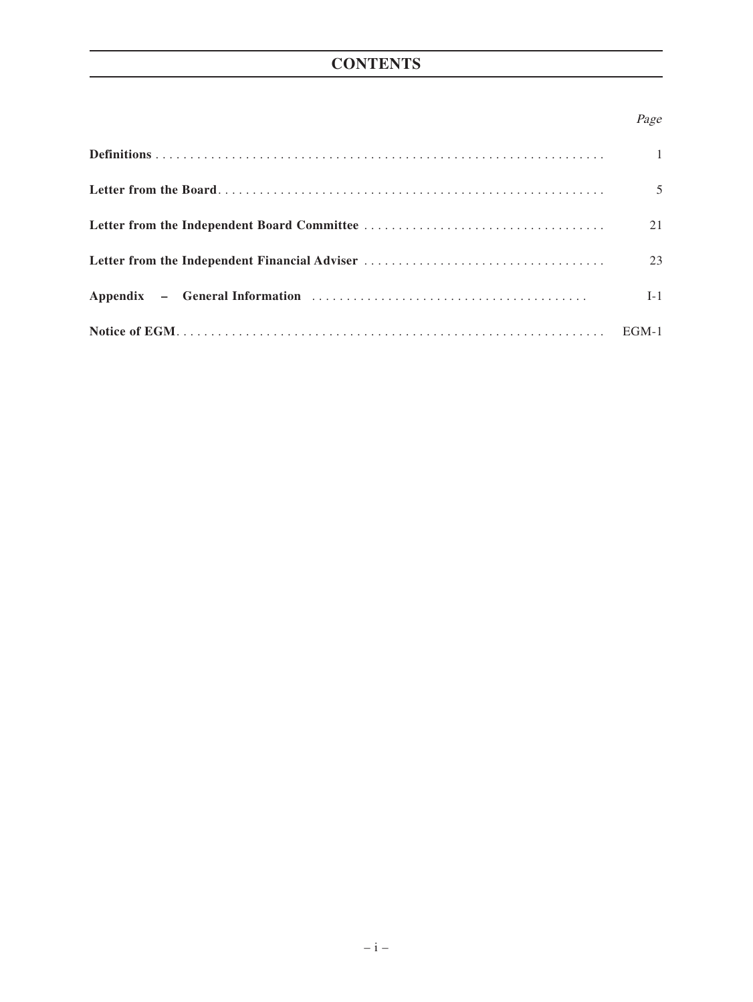## **CONTENTS**

## Page

| $\overline{1}$ |
|----------------|
| $\overline{5}$ |
| 21             |
| 23             |
| $I-1$          |
|                |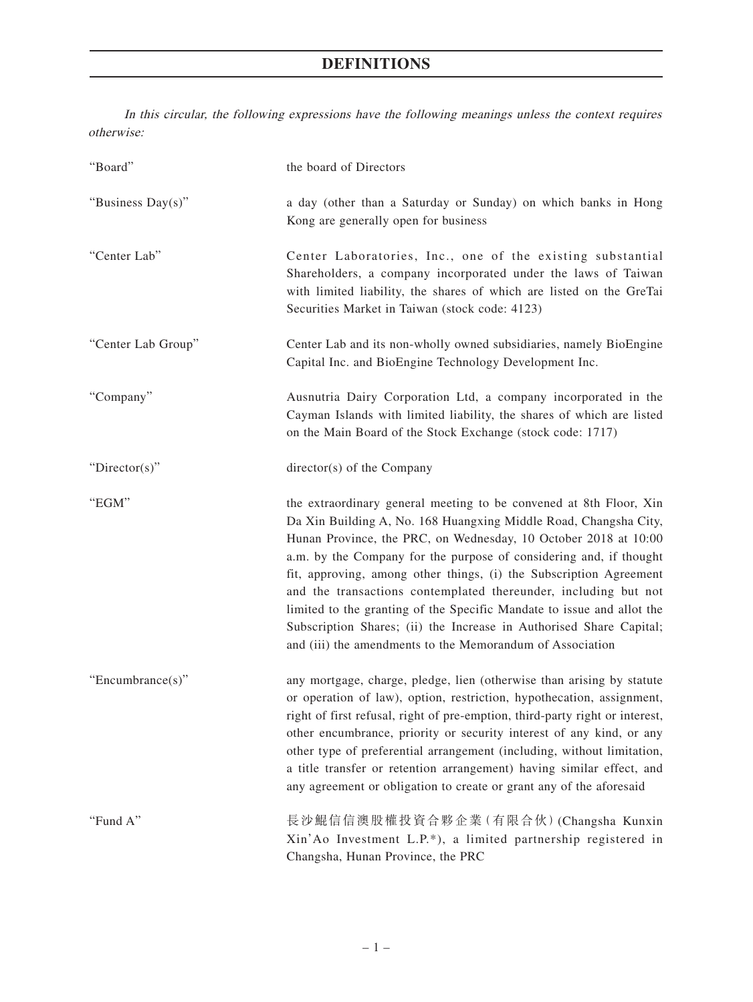In this circular, the following expressions have the following meanings unless the context requires otherwise:

| "Board"            | the board of Directors                                                                                                                                                                                                                                                                                                                                                                                                                                                                                                                                                                                                                 |
|--------------------|----------------------------------------------------------------------------------------------------------------------------------------------------------------------------------------------------------------------------------------------------------------------------------------------------------------------------------------------------------------------------------------------------------------------------------------------------------------------------------------------------------------------------------------------------------------------------------------------------------------------------------------|
| "Business Day(s)"  | a day (other than a Saturday or Sunday) on which banks in Hong<br>Kong are generally open for business                                                                                                                                                                                                                                                                                                                                                                                                                                                                                                                                 |
| "Center Lab"       | Center Laboratories, Inc., one of the existing substantial<br>Shareholders, a company incorporated under the laws of Taiwan<br>with limited liability, the shares of which are listed on the GreTai<br>Securities Market in Taiwan (stock code: 4123)                                                                                                                                                                                                                                                                                                                                                                                  |
| "Center Lab Group" | Center Lab and its non-wholly owned subsidiaries, namely BioEngine<br>Capital Inc. and BioEngine Technology Development Inc.                                                                                                                                                                                                                                                                                                                                                                                                                                                                                                           |
| "Company"          | Ausnutria Dairy Corporation Ltd, a company incorporated in the<br>Cayman Islands with limited liability, the shares of which are listed<br>on the Main Board of the Stock Exchange (stock code: 1717)                                                                                                                                                                                                                                                                                                                                                                                                                                  |
| "Director(s)"      | director(s) of the Company                                                                                                                                                                                                                                                                                                                                                                                                                                                                                                                                                                                                             |
| "EGM"              | the extraordinary general meeting to be convened at 8th Floor, Xin<br>Da Xin Building A, No. 168 Huangxing Middle Road, Changsha City,<br>Hunan Province, the PRC, on Wednesday, 10 October 2018 at 10:00<br>a.m. by the Company for the purpose of considering and, if thought<br>fit, approving, among other things, (i) the Subscription Agreement<br>and the transactions contemplated thereunder, including but not<br>limited to the granting of the Specific Mandate to issue and allot the<br>Subscription Shares; (ii) the Increase in Authorised Share Capital;<br>and (iii) the amendments to the Memorandum of Association |
| "Encumbrance(s)"   | any mortgage, charge, pledge, lien (otherwise than arising by statute<br>or operation of law), option, restriction, hypothecation, assignment,<br>right of first refusal, right of pre-emption, third-party right or interest,<br>other encumbrance, priority or security interest of any kind, or any<br>other type of preferential arrangement (including, without limitation,<br>a title transfer or retention arrangement) having similar effect, and<br>any agreement or obligation to create or grant any of the aforesaid                                                                                                       |
| "Fund A"           | 長沙鯤信信澳股權投資合夥企業(有限合伙)(Changsha Kunxin<br>Xin'Ao Investment L.P.*), a limited partnership registered in<br>Changsha, Hunan Province, the PRC                                                                                                                                                                                                                                                                                                                                                                                                                                                                                             |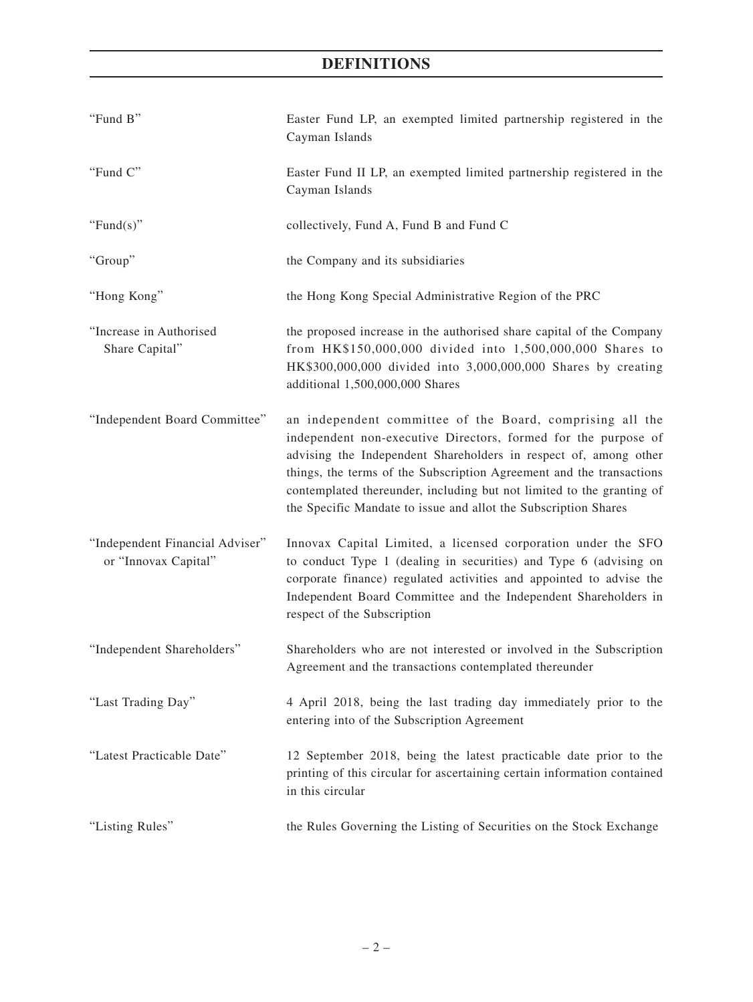| "Fund B"                                                | Easter Fund LP, an exempted limited partnership registered in the<br>Cayman Islands                                                                                                                                                                                                                                                                                                                                 |
|---------------------------------------------------------|---------------------------------------------------------------------------------------------------------------------------------------------------------------------------------------------------------------------------------------------------------------------------------------------------------------------------------------------------------------------------------------------------------------------|
| "Fund C"                                                | Easter Fund II LP, an exempted limited partnership registered in the<br>Cayman Islands                                                                                                                                                                                                                                                                                                                              |
| "Fund $(s)$ "                                           | collectively, Fund A, Fund B and Fund C                                                                                                                                                                                                                                                                                                                                                                             |
| "Group"                                                 | the Company and its subsidiaries                                                                                                                                                                                                                                                                                                                                                                                    |
| "Hong Kong"                                             | the Hong Kong Special Administrative Region of the PRC                                                                                                                                                                                                                                                                                                                                                              |
| "Increase in Authorised<br>Share Capital"               | the proposed increase in the authorised share capital of the Company<br>from HK\$150,000,000 divided into 1,500,000,000 Shares to<br>HK\$300,000,000 divided into 3,000,000,000 Shares by creating<br>additional 1,500,000,000 Shares                                                                                                                                                                               |
| "Independent Board Committee"                           | an independent committee of the Board, comprising all the<br>independent non-executive Directors, formed for the purpose of<br>advising the Independent Shareholders in respect of, among other<br>things, the terms of the Subscription Agreement and the transactions<br>contemplated thereunder, including but not limited to the granting of<br>the Specific Mandate to issue and allot the Subscription Shares |
| "Independent Financial Adviser"<br>or "Innovax Capital" | Innovax Capital Limited, a licensed corporation under the SFO<br>to conduct Type 1 (dealing in securities) and Type 6 (advising on<br>corporate finance) regulated activities and appointed to advise the<br>Independent Board Committee and the Independent Shareholders in<br>respect of the Subscription                                                                                                         |
| "Independent Shareholders"                              | Shareholders who are not interested or involved in the Subscription<br>Agreement and the transactions contemplated thereunder                                                                                                                                                                                                                                                                                       |
| "Last Trading Day"                                      | 4 April 2018, being the last trading day immediately prior to the<br>entering into of the Subscription Agreement                                                                                                                                                                                                                                                                                                    |
| "Latest Practicable Date"                               | 12 September 2018, being the latest practicable date prior to the<br>printing of this circular for ascertaining certain information contained<br>in this circular                                                                                                                                                                                                                                                   |
| "Listing Rules"                                         | the Rules Governing the Listing of Securities on the Stock Exchange                                                                                                                                                                                                                                                                                                                                                 |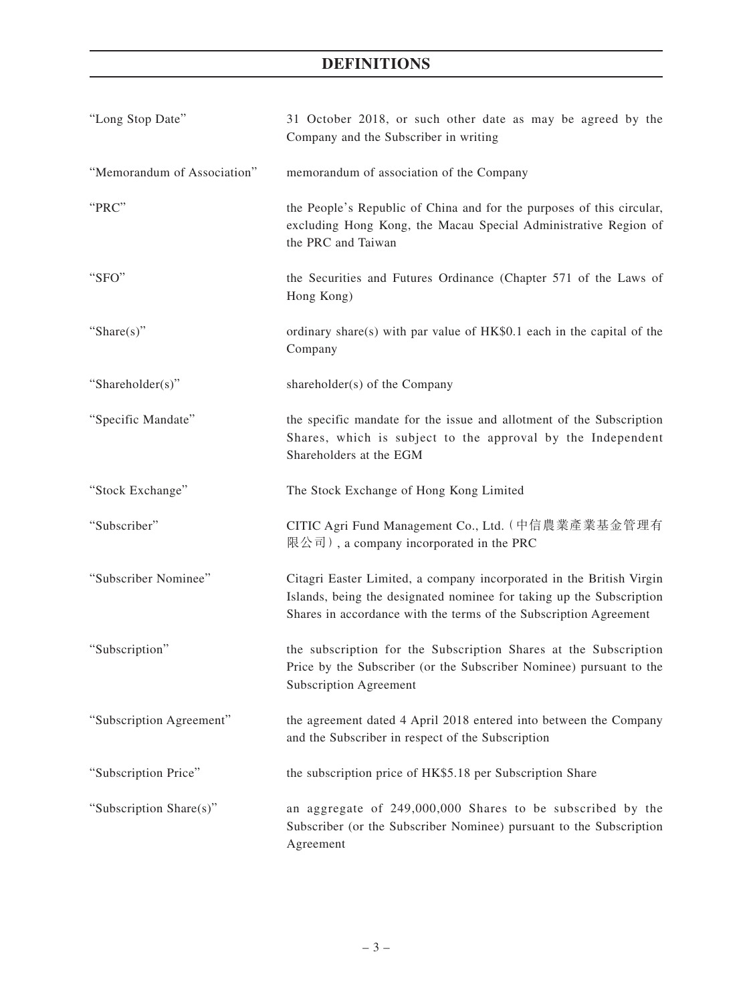| "Long Stop Date"            | 31 October 2018, or such other date as may be agreed by the<br>Company and the Subscriber in writing                                                                                                              |
|-----------------------------|-------------------------------------------------------------------------------------------------------------------------------------------------------------------------------------------------------------------|
| "Memorandum of Association" | memorandum of association of the Company                                                                                                                                                                          |
| "PRC"                       | the People's Republic of China and for the purposes of this circular,<br>excluding Hong Kong, the Macau Special Administrative Region of<br>the PRC and Taiwan                                                    |
| "SFO"                       | the Securities and Futures Ordinance (Chapter 571 of the Laws of<br>Hong Kong)                                                                                                                                    |
| "Share(s)"                  | ordinary share(s) with par value of HK\$0.1 each in the capital of the<br>Company                                                                                                                                 |
| "Shareholder(s)"            | shareholder(s) of the Company                                                                                                                                                                                     |
| "Specific Mandate"          | the specific mandate for the issue and allotment of the Subscription<br>Shares, which is subject to the approval by the Independent<br>Shareholders at the EGM                                                    |
| "Stock Exchange"            | The Stock Exchange of Hong Kong Limited                                                                                                                                                                           |
| "Subscriber"                | CITIC Agri Fund Management Co., Ltd. (中信農業產業基金管理有<br>限公司), a company incorporated in the PRC                                                                                                                      |
| "Subscriber Nominee"        | Citagri Easter Limited, a company incorporated in the British Virgin<br>Islands, being the designated nominee for taking up the Subscription<br>Shares in accordance with the terms of the Subscription Agreement |
| "Subscription"              | the subscription for the Subscription Shares at the Subscription<br>Price by the Subscriber (or the Subscriber Nominee) pursuant to the<br><b>Subscription Agreement</b>                                          |
| "Subscription Agreement"    | the agreement dated 4 April 2018 entered into between the Company<br>and the Subscriber in respect of the Subscription                                                                                            |
| "Subscription Price"        | the subscription price of HK\$5.18 per Subscription Share                                                                                                                                                         |
| "Subscription Share(s)"     | an aggregate of 249,000,000 Shares to be subscribed by the<br>Subscriber (or the Subscriber Nominee) pursuant to the Subscription<br>Agreement                                                                    |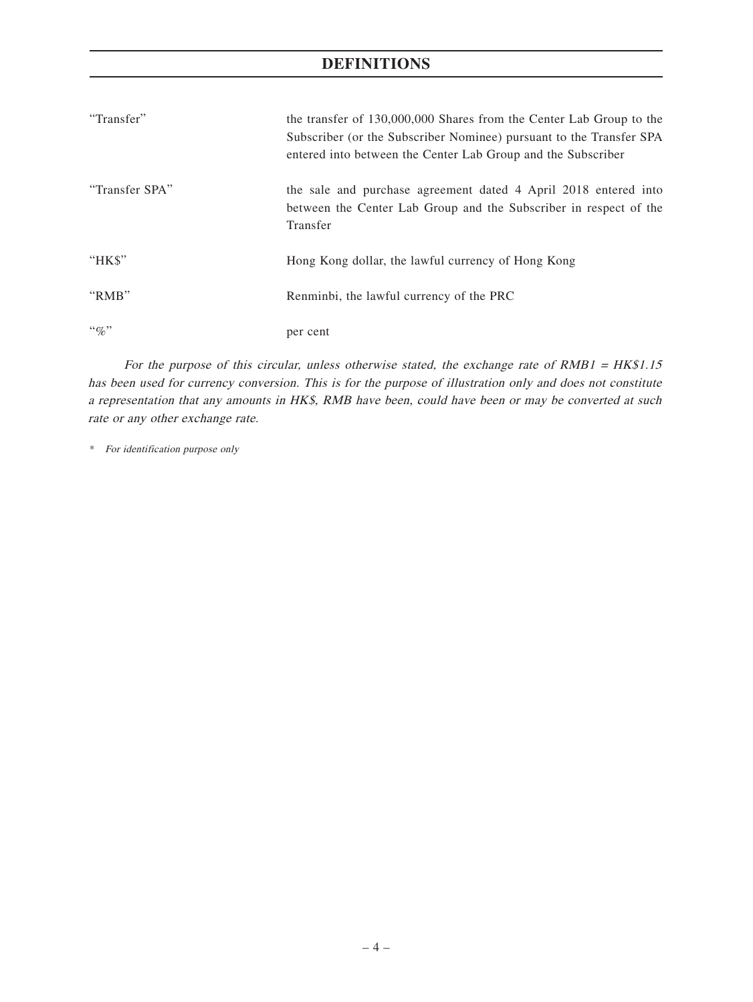| "Transfer"     | the transfer of 130,000,000 Shares from the Center Lab Group to the<br>Subscriber (or the Subscriber Nominee) pursuant to the Transfer SPA<br>entered into between the Center Lab Group and the Subscriber |
|----------------|------------------------------------------------------------------------------------------------------------------------------------------------------------------------------------------------------------|
| "Transfer SPA" | the sale and purchase agreement dated 4 April 2018 entered into<br>between the Center Lab Group and the Subscriber in respect of the<br>Transfer                                                           |
| "HK\$"         | Hong Kong dollar, the lawful currency of Hong Kong                                                                                                                                                         |
| "RMB"          | Renminbi, the lawful currency of the PRC                                                                                                                                                                   |
| $``\%"$        | per cent                                                                                                                                                                                                   |

For the purpose of this circular, unless otherwise stated, the exchange rate of  $RMB1 = HK$1.15$ has been used for currency conversion. This is for the purpose of illustration only and does not constitute a representation that any amounts in HK\$, RMB have been, could have been or may be converted at such rate or any other exchange rate.

\* For identification purpose only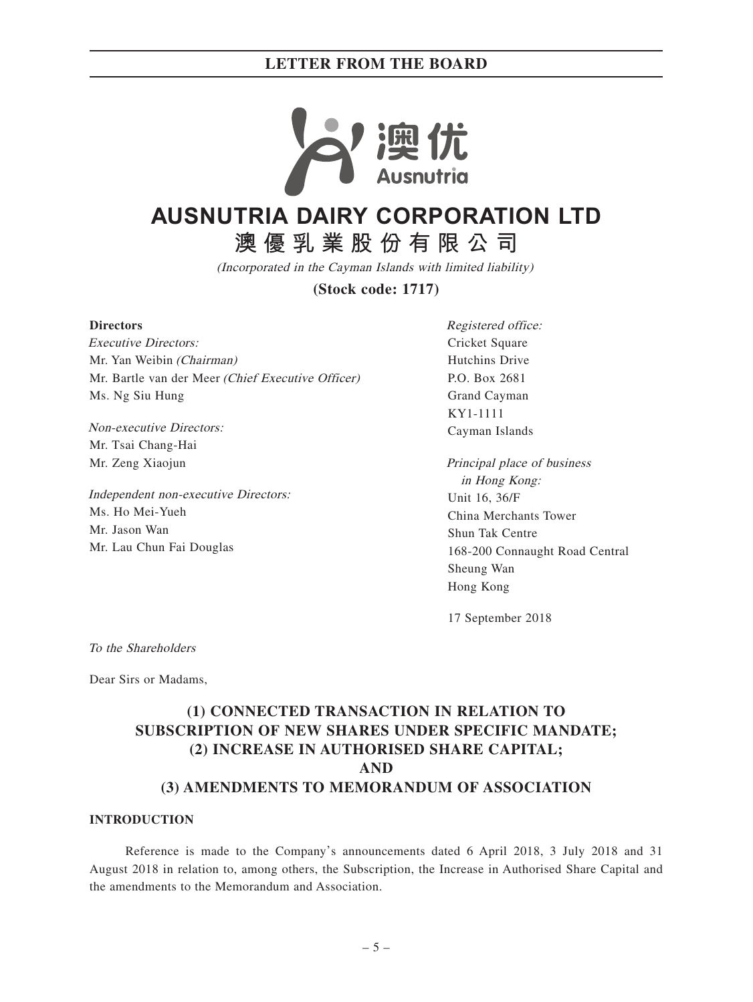

# **AUSNUTRIA DAIRY CORPORATION LTD**

**澳優乳業股份有限公司**

(Incorporated in the Cayman Islands with limited liability)

**(Stock code: 1717)**

#### **Directors**

Executive Directors: Mr. Yan Weibin (Chairman) Mr. Bartle van der Meer (Chief Executive Officer) Ms. Ng Siu Hung

Non-executive Directors: Mr. Tsai Chang-Hai Mr. Zeng Xiaojun

Independent non-executive Directors: Ms. Ho Mei-Yueh Mr. Jason Wan Mr. Lau Chun Fai Douglas

Registered office: Cricket Square Hutchins Drive P.O. Box 2681 Grand Cayman KY1-1111 Cayman Islands

Principal place of business in Hong Kong: Unit 16, 36/F China Merchants Tower Shun Tak Centre 168-200 Connaught Road Central Sheung Wan Hong Kong

17 September 2018

To the Shareholders

Dear Sirs or Madams,

## **(1) CONNECTED TRANSACTION IN RELATION TO SUBSCRIPTION OF NEW SHARES UNDER SPECIFIC MANDATE; (2) INCREASE IN AUTHORISED SHARE CAPITAL; AND (3) AMENDMENTS TO MEMORANDUM OF ASSOCIATION**

### **INTRODUCTION**

Reference is made to the Company's announcements dated 6 April 2018, 3 July 2018 and 31 August 2018 in relation to, among others, the Subscription, the Increase in Authorised Share Capital and the amendments to the Memorandum and Association.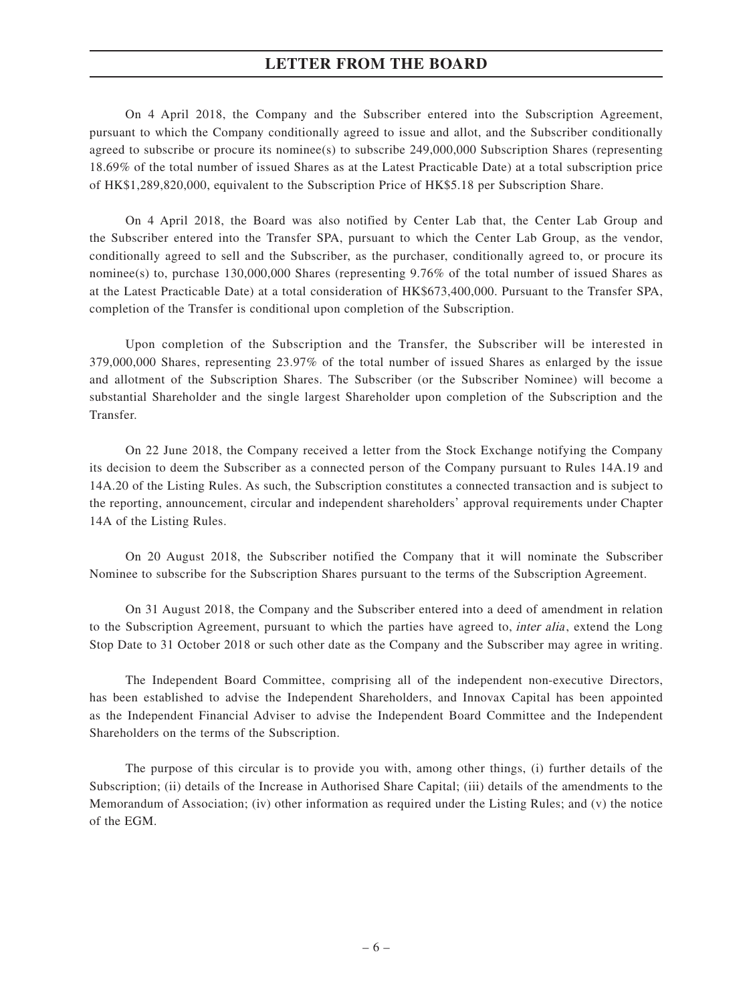On 4 April 2018, the Company and the Subscriber entered into the Subscription Agreement, pursuant to which the Company conditionally agreed to issue and allot, and the Subscriber conditionally agreed to subscribe or procure its nominee(s) to subscribe 249,000,000 Subscription Shares (representing 18.69% of the total number of issued Shares as at the Latest Practicable Date) at a total subscription price of HK\$1,289,820,000, equivalent to the Subscription Price of HK\$5.18 per Subscription Share.

On 4 April 2018, the Board was also notified by Center Lab that, the Center Lab Group and the Subscriber entered into the Transfer SPA, pursuant to which the Center Lab Group, as the vendor, conditionally agreed to sell and the Subscriber, as the purchaser, conditionally agreed to, or procure its nominee(s) to, purchase 130,000,000 Shares (representing 9.76% of the total number of issued Shares as at the Latest Practicable Date) at a total consideration of HK\$673,400,000. Pursuant to the Transfer SPA, completion of the Transfer is conditional upon completion of the Subscription.

Upon completion of the Subscription and the Transfer, the Subscriber will be interested in 379,000,000 Shares, representing 23.97% of the total number of issued Shares as enlarged by the issue and allotment of the Subscription Shares. The Subscriber (or the Subscriber Nominee) will become a substantial Shareholder and the single largest Shareholder upon completion of the Subscription and the Transfer.

On 22 June 2018, the Company received a letter from the Stock Exchange notifying the Company its decision to deem the Subscriber as a connected person of the Company pursuant to Rules 14A.19 and 14A.20 of the Listing Rules. As such, the Subscription constitutes a connected transaction and is subject to the reporting, announcement, circular and independent shareholders' approval requirements under Chapter 14A of the Listing Rules.

On 20 August 2018, the Subscriber notified the Company that it will nominate the Subscriber Nominee to subscribe for the Subscription Shares pursuant to the terms of the Subscription Agreement.

On 31 August 2018, the Company and the Subscriber entered into a deed of amendment in relation to the Subscription Agreement, pursuant to which the parties have agreed to, *inter alia*, extend the Long Stop Date to 31 October 2018 or such other date as the Company and the Subscriber may agree in writing.

The Independent Board Committee, comprising all of the independent non-executive Directors, has been established to advise the Independent Shareholders, and Innovax Capital has been appointed as the Independent Financial Adviser to advise the Independent Board Committee and the Independent Shareholders on the terms of the Subscription.

The purpose of this circular is to provide you with, among other things, (i) further details of the Subscription; (ii) details of the Increase in Authorised Share Capital; (iii) details of the amendments to the Memorandum of Association; (iv) other information as required under the Listing Rules; and (v) the notice of the EGM.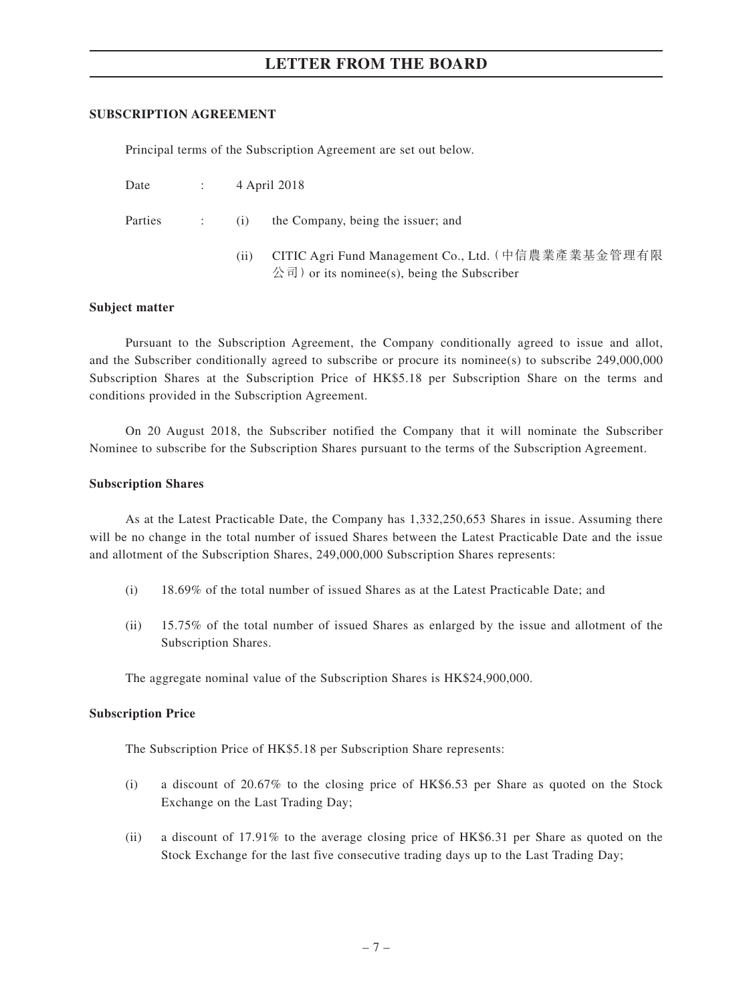#### **SUBSCRIPTION AGREEMENT**

Principal terms of the Subscription Agreement are set out below.

| Date | 4 April 2018 |
|------|--------------|
|      |              |

| the Company, being the issuer; and |
|------------------------------------|
|------------------------------------|

(ii) CITIC Agri Fund Management Co., Ltd.(中信農業產業基金管理有限  $\langle \hat{\mathcal{E}} \, \overline{\mathbb{q}} \, \rangle$  or its nominee(s), being the Subscriber

#### **Subject matter**

Pursuant to the Subscription Agreement, the Company conditionally agreed to issue and allot, and the Subscriber conditionally agreed to subscribe or procure its nominee(s) to subscribe 249,000,000 Subscription Shares at the Subscription Price of HK\$5.18 per Subscription Share on the terms and conditions provided in the Subscription Agreement.

On 20 August 2018, the Subscriber notified the Company that it will nominate the Subscriber Nominee to subscribe for the Subscription Shares pursuant to the terms of the Subscription Agreement.

#### **Subscription Shares**

As at the Latest Practicable Date, the Company has 1,332,250,653 Shares in issue. Assuming there will be no change in the total number of issued Shares between the Latest Practicable Date and the issue and allotment of the Subscription Shares, 249,000,000 Subscription Shares represents:

- (i) 18.69% of the total number of issued Shares as at the Latest Practicable Date; and
- (ii) 15.75% of the total number of issued Shares as enlarged by the issue and allotment of the Subscription Shares.

The aggregate nominal value of the Subscription Shares is HK\$24,900,000.

#### **Subscription Price**

The Subscription Price of HK\$5.18 per Subscription Share represents:

- (i) a discount of 20.67% to the closing price of HK\$6.53 per Share as quoted on the Stock Exchange on the Last Trading Day;
- (ii) a discount of 17.91% to the average closing price of HK\$6.31 per Share as quoted on the Stock Exchange for the last five consecutive trading days up to the Last Trading Day;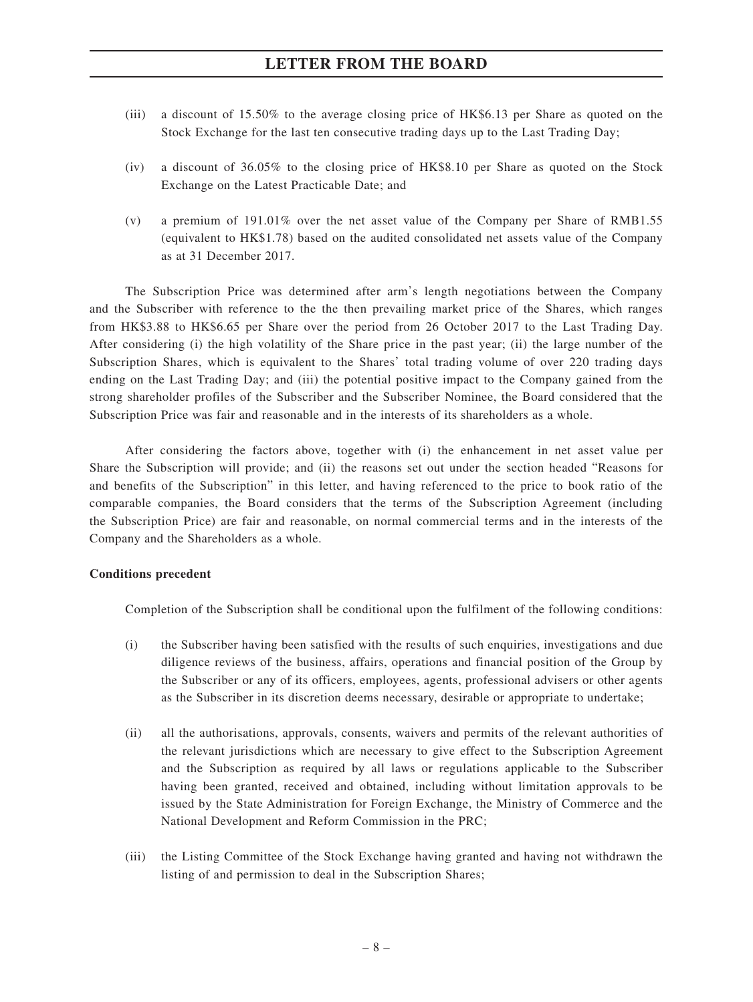- (iii) a discount of 15.50% to the average closing price of HK\$6.13 per Share as quoted on the Stock Exchange for the last ten consecutive trading days up to the Last Trading Day;
- (iv) a discount of 36.05% to the closing price of HK\$8.10 per Share as quoted on the Stock Exchange on the Latest Practicable Date; and
- (v) a premium of 191.01% over the net asset value of the Company per Share of RMB1.55 (equivalent to HK\$1.78) based on the audited consolidated net assets value of the Company as at 31 December 2017.

The Subscription Price was determined after arm's length negotiations between the Company and the Subscriber with reference to the the then prevailing market price of the Shares, which ranges from HK\$3.88 to HK\$6.65 per Share over the period from 26 October 2017 to the Last Trading Day. After considering (i) the high volatility of the Share price in the past year; (ii) the large number of the Subscription Shares, which is equivalent to the Shares' total trading volume of over 220 trading days ending on the Last Trading Day; and (iii) the potential positive impact to the Company gained from the strong shareholder profiles of the Subscriber and the Subscriber Nominee, the Board considered that the Subscription Price was fair and reasonable and in the interests of its shareholders as a whole.

After considering the factors above, together with (i) the enhancement in net asset value per Share the Subscription will provide; and (ii) the reasons set out under the section headed "Reasons for and benefits of the Subscription" in this letter, and having referenced to the price to book ratio of the comparable companies, the Board considers that the terms of the Subscription Agreement (including the Subscription Price) are fair and reasonable, on normal commercial terms and in the interests of the Company and the Shareholders as a whole.

#### **Conditions precedent**

Completion of the Subscription shall be conditional upon the fulfilment of the following conditions:

- (i) the Subscriber having been satisfied with the results of such enquiries, investigations and due diligence reviews of the business, affairs, operations and financial position of the Group by the Subscriber or any of its officers, employees, agents, professional advisers or other agents as the Subscriber in its discretion deems necessary, desirable or appropriate to undertake;
- (ii) all the authorisations, approvals, consents, waivers and permits of the relevant authorities of the relevant jurisdictions which are necessary to give effect to the Subscription Agreement and the Subscription as required by all laws or regulations applicable to the Subscriber having been granted, received and obtained, including without limitation approvals to be issued by the State Administration for Foreign Exchange, the Ministry of Commerce and the National Development and Reform Commission in the PRC;
- (iii) the Listing Committee of the Stock Exchange having granted and having not withdrawn the listing of and permission to deal in the Subscription Shares;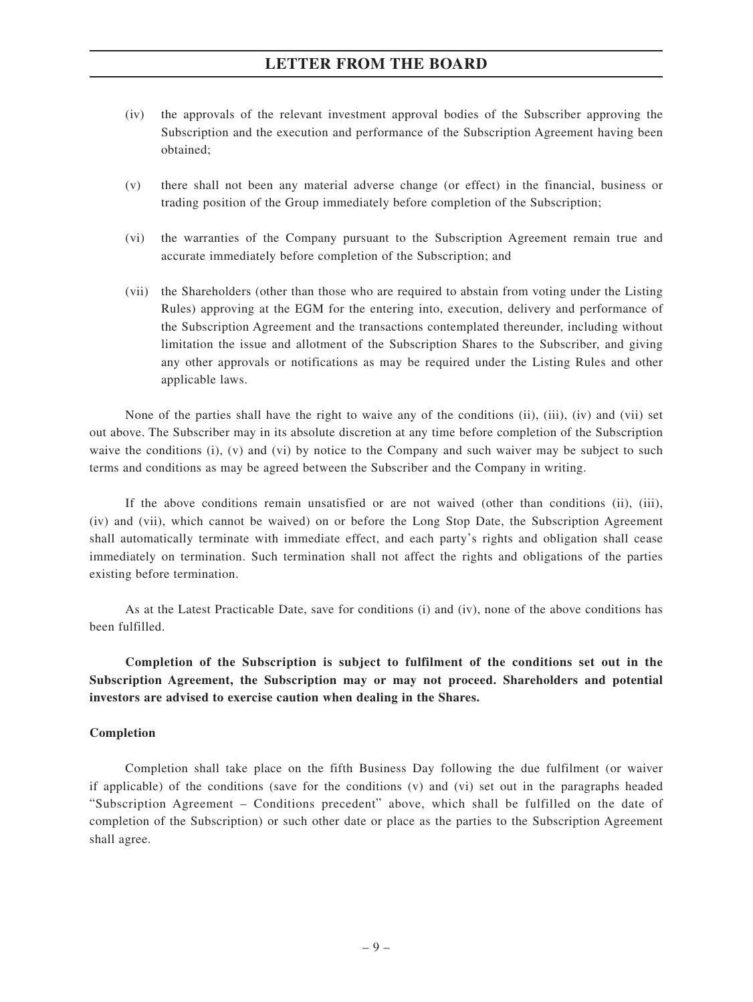- (iv) the approvals of the relevant investment approval bodies of the Subscriber approving the Subscription and the execution and performance of the Subscription Agreement having been obtained;
- (v) there shall not been any material adverse change (or effect) in the financial, business or trading position of the Group immediately before completion of the Subscription;
- (vi) the warranties of the Company pursuant to the Subscription Agreement remain true and accurate immediately before completion of the Subscription; and
- (vii) the Shareholders (other than those who are required to abstain from voting under the Listing Rules) approving at the EGM for the entering into, execution, delivery and performance of the Subscription Agreement and the transactions contemplated thereunder, including without limitation the issue and allotment of the Subscription Shares to the Subscriber, and giving any other approvals or notifications as may be required under the Listing Rules and other applicable laws.

None of the parties shall have the right to waive any of the conditions (ii), (iii), (iv) and (vii) set out above. The Subscriber may in its absolute discretion at any time before completion of the Subscription waive the conditions (i), (v) and (vi) by notice to the Company and such waiver may be subject to such terms and conditions as may be agreed between the Subscriber and the Company in writing.

If the above conditions remain unsatisfied or are not waived (other than conditions (ii), (iii), (iv) and (vii), which cannot be waived) on or before the Long Stop Date, the Subscription Agreement shall automatically terminate with immediate effect, and each party's rights and obligation shall cease immediately on termination. Such termination shall not affect the rights and obligations of the parties existing before termination.

As at the Latest Practicable Date, save for conditions (i) and (iv), none of the above conditions has been fulfilled.

**Completion of the Subscription is subject to fulfilment of the conditions set out in the Subscription Agreement, the Subscription may or may not proceed. Shareholders and potential investors are advised to exercise caution when dealing in the Shares.**

#### **Completion**

Completion shall take place on the fifth Business Day following the due fulfilment (or waiver if applicable) of the conditions (save for the conditions (v) and (vi) set out in the paragraphs headed "Subscription Agreement – Conditions precedent" above, which shall be fulfilled on the date of completion of the Subscription) or such other date or place as the parties to the Subscription Agreement shall agree.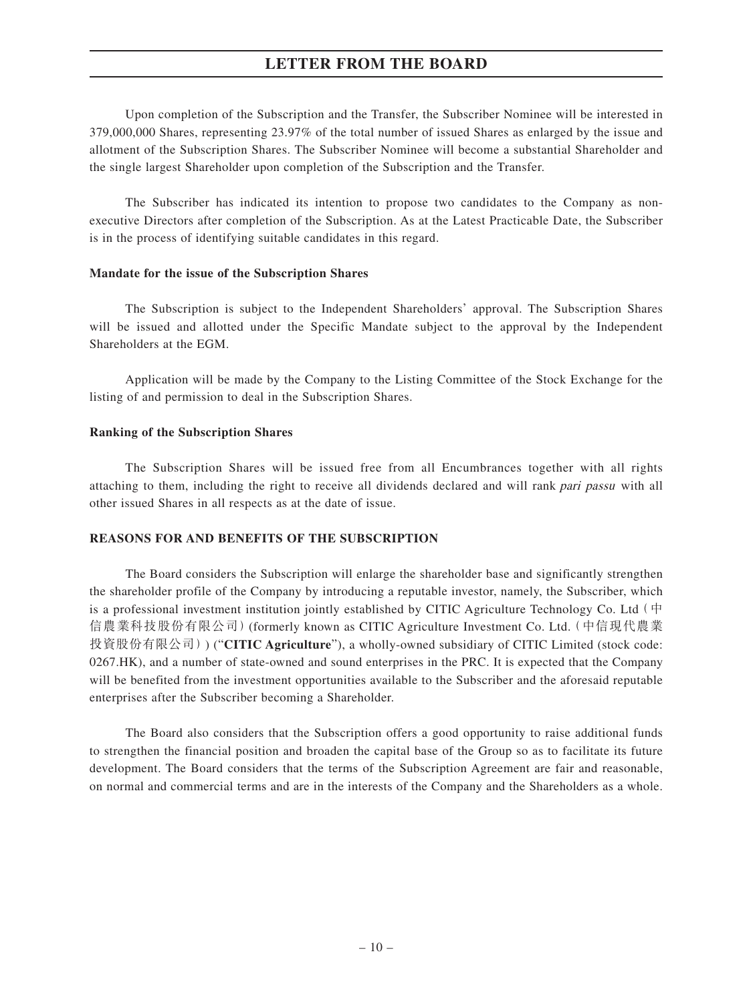Upon completion of the Subscription and the Transfer, the Subscriber Nominee will be interested in 379,000,000 Shares, representing 23.97% of the total number of issued Shares as enlarged by the issue and allotment of the Subscription Shares. The Subscriber Nominee will become a substantial Shareholder and the single largest Shareholder upon completion of the Subscription and the Transfer.

The Subscriber has indicated its intention to propose two candidates to the Company as nonexecutive Directors after completion of the Subscription. As at the Latest Practicable Date, the Subscriber is in the process of identifying suitable candidates in this regard.

#### **Mandate for the issue of the Subscription Shares**

The Subscription is subject to the Independent Shareholders' approval. The Subscription Shares will be issued and allotted under the Specific Mandate subject to the approval by the Independent Shareholders at the EGM.

Application will be made by the Company to the Listing Committee of the Stock Exchange for the listing of and permission to deal in the Subscription Shares.

#### **Ranking of the Subscription Shares**

The Subscription Shares will be issued free from all Encumbrances together with all rights attaching to them, including the right to receive all dividends declared and will rank pari passu with all other issued Shares in all respects as at the date of issue.

#### **REASONS FOR AND BENEFITS OF THE SUBSCRIPTION**

The Board considers the Subscription will enlarge the shareholder base and significantly strengthen the shareholder profile of the Company by introducing a reputable investor, namely, the Subscriber, which is a professional investment institution jointly established by CITIC Agriculture Technology Co. Ltd  $($   $\dot{\mathbf{H}}$ 信農業科技股份有限公司)(formerly known as CITIC Agriculture Investment Co. Ltd.(中信現代農業 投資股份有限公司)) ("**CITIC Agriculture**"), a wholly-owned subsidiary of CITIC Limited (stock code: 0267.HK), and a number of state-owned and sound enterprises in the PRC. It is expected that the Company will be benefited from the investment opportunities available to the Subscriber and the aforesaid reputable enterprises after the Subscriber becoming a Shareholder.

The Board also considers that the Subscription offers a good opportunity to raise additional funds to strengthen the financial position and broaden the capital base of the Group so as to facilitate its future development. The Board considers that the terms of the Subscription Agreement are fair and reasonable, on normal and commercial terms and are in the interests of the Company and the Shareholders as a whole.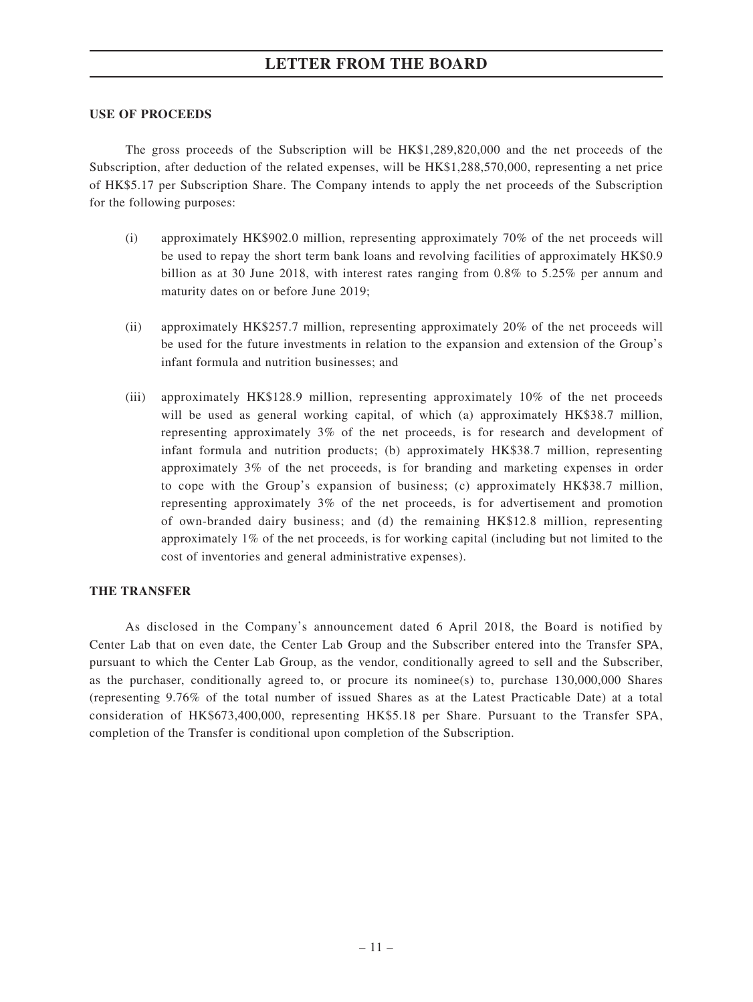#### **USE OF PROCEEDS**

The gross proceeds of the Subscription will be HK\$1,289,820,000 and the net proceeds of the Subscription, after deduction of the related expenses, will be HK\$1,288,570,000, representing a net price of HK\$5.17 per Subscription Share. The Company intends to apply the net proceeds of the Subscription for the following purposes:

- (i) approximately HK\$902.0 million, representing approximately 70% of the net proceeds will be used to repay the short term bank loans and revolving facilities of approximately HK\$0.9 billion as at 30 June 2018, with interest rates ranging from 0.8% to 5.25% per annum and maturity dates on or before June 2019;
- (ii) approximately HK\$257.7 million, representing approximately 20% of the net proceeds will be used for the future investments in relation to the expansion and extension of the Group's infant formula and nutrition businesses; and
- (iii) approximately HK\$128.9 million, representing approximately 10% of the net proceeds will be used as general working capital, of which (a) approximately HK\$38.7 million, representing approximately 3% of the net proceeds, is for research and development of infant formula and nutrition products; (b) approximately HK\$38.7 million, representing approximately 3% of the net proceeds, is for branding and marketing expenses in order to cope with the Group's expansion of business; (c) approximately HK\$38.7 million, representing approximately 3% of the net proceeds, is for advertisement and promotion of own-branded dairy business; and (d) the remaining HK\$12.8 million, representing approximately 1% of the net proceeds, is for working capital (including but not limited to the cost of inventories and general administrative expenses).

#### **THE TRANSFER**

As disclosed in the Company's announcement dated 6 April 2018, the Board is notified by Center Lab that on even date, the Center Lab Group and the Subscriber entered into the Transfer SPA, pursuant to which the Center Lab Group, as the vendor, conditionally agreed to sell and the Subscriber, as the purchaser, conditionally agreed to, or procure its nominee(s) to, purchase  $130,000,000$  Shares (representing 9.76% of the total number of issued Shares as at the Latest Practicable Date) at a total consideration of HK\$673,400,000, representing HK\$5.18 per Share. Pursuant to the Transfer SPA, completion of the Transfer is conditional upon completion of the Subscription.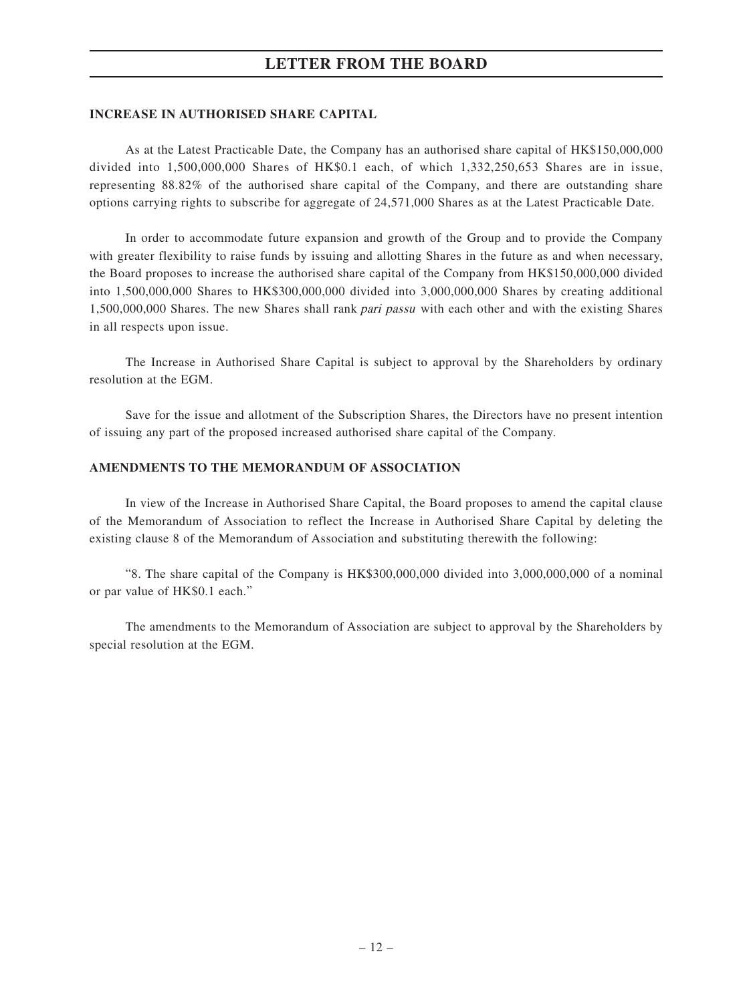#### **INCREASE IN AUTHORISED SHARE CAPITAL**

As at the Latest Practicable Date, the Company has an authorised share capital of HK\$150,000,000 divided into 1,500,000,000 Shares of HK\$0.1 each, of which 1,332,250,653 Shares are in issue, representing 88.82% of the authorised share capital of the Company, and there are outstanding share options carrying rights to subscribe for aggregate of 24,571,000 Shares as at the Latest Practicable Date.

In order to accommodate future expansion and growth of the Group and to provide the Company with greater flexibility to raise funds by issuing and allotting Shares in the future as and when necessary, the Board proposes to increase the authorised share capital of the Company from HK\$150,000,000 divided into 1,500,000,000 Shares to HK\$300,000,000 divided into 3,000,000,000 Shares by creating additional 1,500,000,000 Shares. The new Shares shall rank pari passu with each other and with the existing Shares in all respects upon issue.

The Increase in Authorised Share Capital is subject to approval by the Shareholders by ordinary resolution at the EGM.

Save for the issue and allotment of the Subscription Shares, the Directors have no present intention of issuing any part of the proposed increased authorised share capital of the Company.

#### **AMENDMENTS TO THE MEMORANDUM OF ASSOCIATION**

In view of the Increase in Authorised Share Capital, the Board proposes to amend the capital clause of the Memorandum of Association to reflect the Increase in Authorised Share Capital by deleting the existing clause 8 of the Memorandum of Association and substituting therewith the following:

"8. The share capital of the Company is HK\$300,000,000 divided into 3,000,000,000 of a nominal or par value of HK\$0.1 each."

The amendments to the Memorandum of Association are subject to approval by the Shareholders by special resolution at the EGM.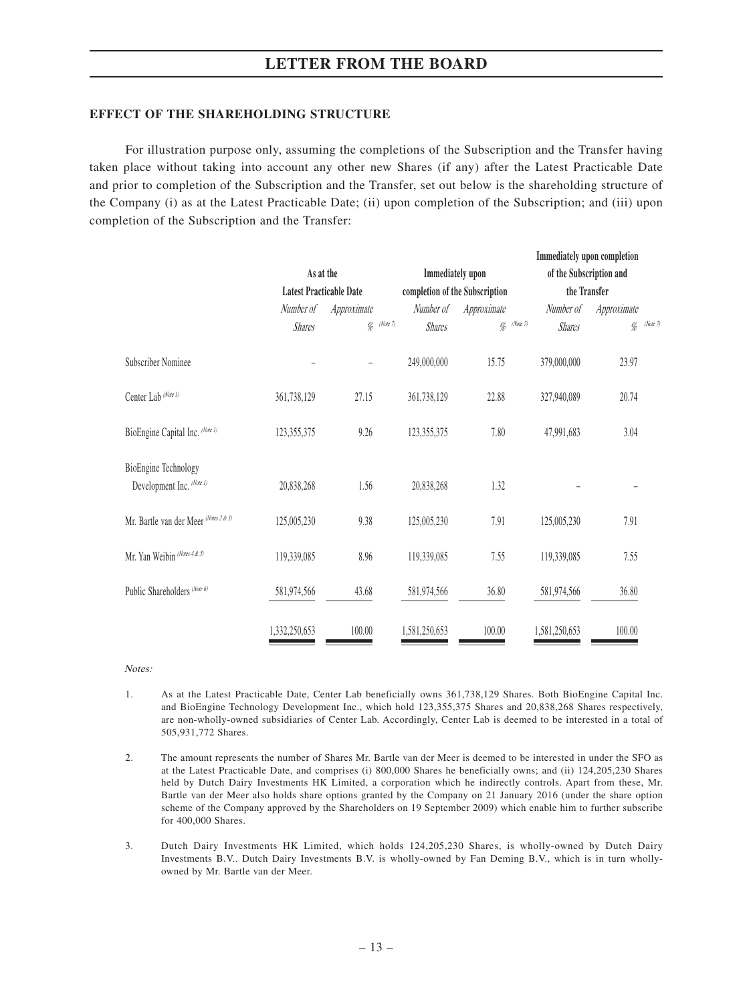#### **EFFECT OF THE SHAREHOLDING STRUCTURE**

For illustration purpose only, assuming the completions of the Subscription and the Transfer having taken place without taking into account any other new Shares (if any) after the Latest Practicable Date and prior to completion of the Subscription and the Transfer, set out below is the shareholding structure of the Company (i) as at the Latest Practicable Date; (ii) upon completion of the Subscription; and (iii) upon completion of the Subscription and the Transfer:

|                                       |                                |             |               |                                |                  |                                | Immediately upon completion |          |
|---------------------------------------|--------------------------------|-------------|---------------|--------------------------------|------------------|--------------------------------|-----------------------------|----------|
|                                       | As at the                      |             |               |                                | Immediately upon |                                | of the Subscription and     |          |
|                                       | <b>Latest Practicable Date</b> |             |               | completion of the Subscription |                  |                                | the Transfer                |          |
|                                       | Number of                      | Approximate |               | Number of                      | Approximate      | Number of                      | Approximate                 |          |
|                                       | <b>Shares</b>                  |             | $\%$ (Note 7) | <b>Shares</b>                  |                  | $\%$ (Note 7)<br><b>Shares</b> | $\%$                        | (Note 7) |
| Subscriber Nominee                    |                                |             |               | 249,000,000                    | 15.75            | 379,000,000                    | 23.97                       |          |
| Center Lab (Note 1)                   | 361,738,129                    | 27.15       |               | 361,738,129                    | 22.88            | 327,940,089                    | 20.74                       |          |
| BioEngine Capital Inc. (Note 1)       | 123,355,375                    | 9.26        |               | 123,355,375                    | 7.80             | 47,991,683                     | 3.04                        |          |
| <b>BioEngine Technology</b>           |                                |             |               |                                |                  |                                |                             |          |
| Development Inc. (Note 1)             | 20,838,268                     | 1.56        |               | 20,838,268                     | 1.32             |                                |                             |          |
| Mr. Bartle van der Meer (Notes 2 & 3) | 125,005,230                    | 9.38        |               | 125,005,230                    | 7.91             | 125,005,230                    | 7.91                        |          |
| Mr. Yan Weibin (Notes 4 & 5)          | 119,339,085                    | 8.96        |               | 119,339,085                    | 7.55             | 119,339,085                    | 7.55                        |          |
| Public Shareholders (Note 6)          | 581,974,566                    | 43.68       |               | 581,974,566                    | 36.80            | 581,974,566                    | 36.80                       |          |
|                                       | 1.332.250.653                  | 100.00      |               | 1,581,250,653                  | 100.00           | 1,581,250,653                  | 100.00                      |          |

Notes:

- 1. As at the Latest Practicable Date, Center Lab beneficially owns 361,738,129 Shares. Both BioEngine Capital Inc. and BioEngine Technology Development Inc., which hold 123,355,375 Shares and 20,838,268 Shares respectively, are non-wholly-owned subsidiaries of Center Lab. Accordingly, Center Lab is deemed to be interested in a total of 505,931,772 Shares.
- 2. The amount represents the number of Shares Mr. Bartle van der Meer is deemed to be interested in under the SFO as at the Latest Practicable Date, and comprises (i) 800,000 Shares he beneficially owns; and (ii) 124,205,230 Shares held by Dutch Dairy Investments HK Limited, a corporation which he indirectly controls. Apart from these, Mr. Bartle van der Meer also holds share options granted by the Company on 21 January 2016 (under the share option scheme of the Company approved by the Shareholders on 19 September 2009) which enable him to further subscribe for 400,000 Shares.
- 3. Dutch Dairy Investments HK Limited, which holds 124,205,230 Shares, is wholly-owned by Dutch Dairy Investments B.V.. Dutch Dairy Investments B.V. is wholly-owned by Fan Deming B.V., which is in turn whollyowned by Mr. Bartle van der Meer.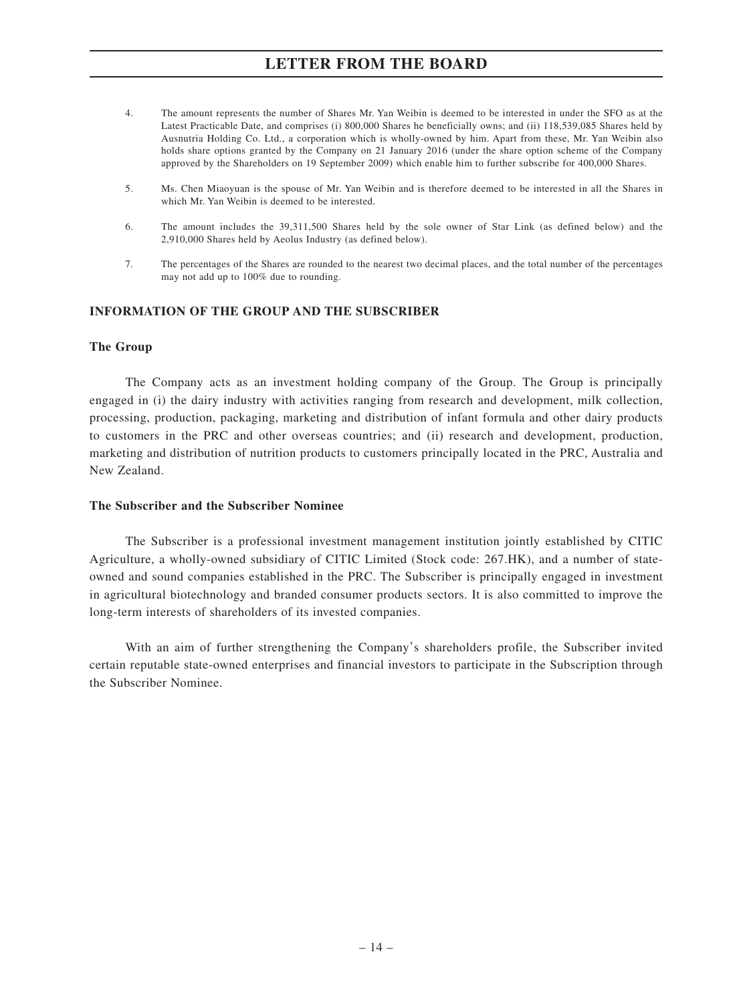- 4. The amount represents the number of Shares Mr. Yan Weibin is deemed to be interested in under the SFO as at the Latest Practicable Date, and comprises (i) 800,000 Shares he beneficially owns; and (ii) 118,539,085 Shares held by Ausnutria Holding Co. Ltd., a corporation which is wholly-owned by him. Apart from these, Mr. Yan Weibin also holds share options granted by the Company on 21 January 2016 (under the share option scheme of the Company approved by the Shareholders on 19 September 2009) which enable him to further subscribe for 400,000 Shares.
- 5. Ms. Chen Miaoyuan is the spouse of Mr. Yan Weibin and is therefore deemed to be interested in all the Shares in which Mr. Yan Weibin is deemed to be interested.
- 6. The amount includes the 39,311,500 Shares held by the sole owner of Star Link (as defined below) and the 2,910,000 Shares held by Aeolus Industry (as defined below).
- 7. The percentages of the Shares are rounded to the nearest two decimal places, and the total number of the percentages may not add up to 100% due to rounding.

#### **INFORMATION OF THE GROUP AND THE SUBSCRIBER**

#### **The Group**

The Company acts as an investment holding company of the Group. The Group is principally engaged in (i) the dairy industry with activities ranging from research and development, milk collection, processing, production, packaging, marketing and distribution of infant formula and other dairy products to customers in the PRC and other overseas countries; and (ii) research and development, production, marketing and distribution of nutrition products to customers principally located in the PRC, Australia and New Zealand.

#### **The Subscriber and the Subscriber Nominee**

The Subscriber is a professional investment management institution jointly established by CITIC Agriculture, a wholly-owned subsidiary of CITIC Limited (Stock code: 267.HK), and a number of stateowned and sound companies established in the PRC. The Subscriber is principally engaged in investment in agricultural biotechnology and branded consumer products sectors. It is also committed to improve the long-term interests of shareholders of its invested companies.

With an aim of further strengthening the Company's shareholders profile, the Subscriber invited certain reputable state-owned enterprises and financial investors to participate in the Subscription through the Subscriber Nominee.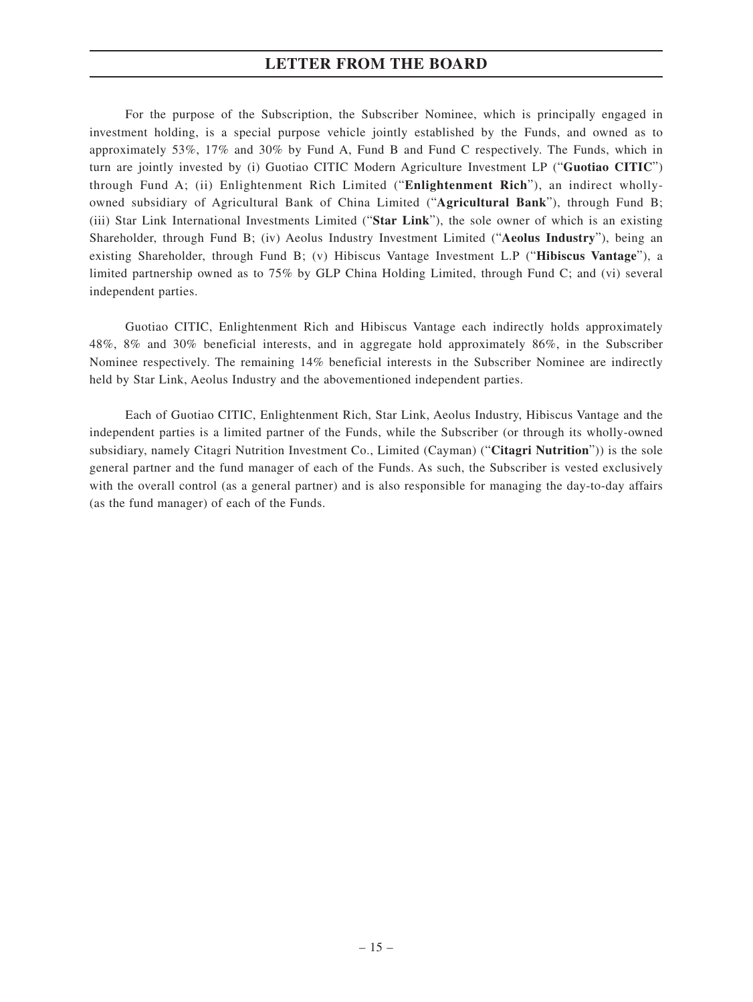For the purpose of the Subscription, the Subscriber Nominee, which is principally engaged in investment holding, is a special purpose vehicle jointly established by the Funds, and owned as to approximately 53%, 17% and 30% by Fund A, Fund B and Fund C respectively. The Funds, which in turn are jointly invested by (i) Guotiao CITIC Modern Agriculture Investment LP ("**Guotiao CITIC**") through Fund A; (ii) Enlightenment Rich Limited ("**Enlightenment Rich**"), an indirect whollyowned subsidiary of Agricultural Bank of China Limited ("**Agricultural Bank**"), through Fund B; (iii) Star Link International Investments Limited ("**Star Link**"), the sole owner of which is an existing Shareholder, through Fund B; (iv) Aeolus Industry Investment Limited ("**Aeolus Industry**"), being an existing Shareholder, through Fund B; (v) Hibiscus Vantage Investment L.P ("**Hibiscus Vantage**"), a limited partnership owned as to 75% by GLP China Holding Limited, through Fund C; and (vi) several independent parties.

Guotiao CITIC, Enlightenment Rich and Hibiscus Vantage each indirectly holds approximately 48%, 8% and 30% beneficial interests, and in aggregate hold approximately 86%, in the Subscriber Nominee respectively. The remaining 14% beneficial interests in the Subscriber Nominee are indirectly held by Star Link, Aeolus Industry and the abovementioned independent parties.

Each of Guotiao CITIC, Enlightenment Rich, Star Link, Aeolus Industry, Hibiscus Vantage and the independent parties is a limited partner of the Funds, while the Subscriber (or through its wholly-owned subsidiary, namely Citagri Nutrition Investment Co., Limited (Cayman) ("**Citagri Nutrition**")) is the sole general partner and the fund manager of each of the Funds. As such, the Subscriber is vested exclusively with the overall control (as a general partner) and is also responsible for managing the day-to-day affairs (as the fund manager) of each of the Funds.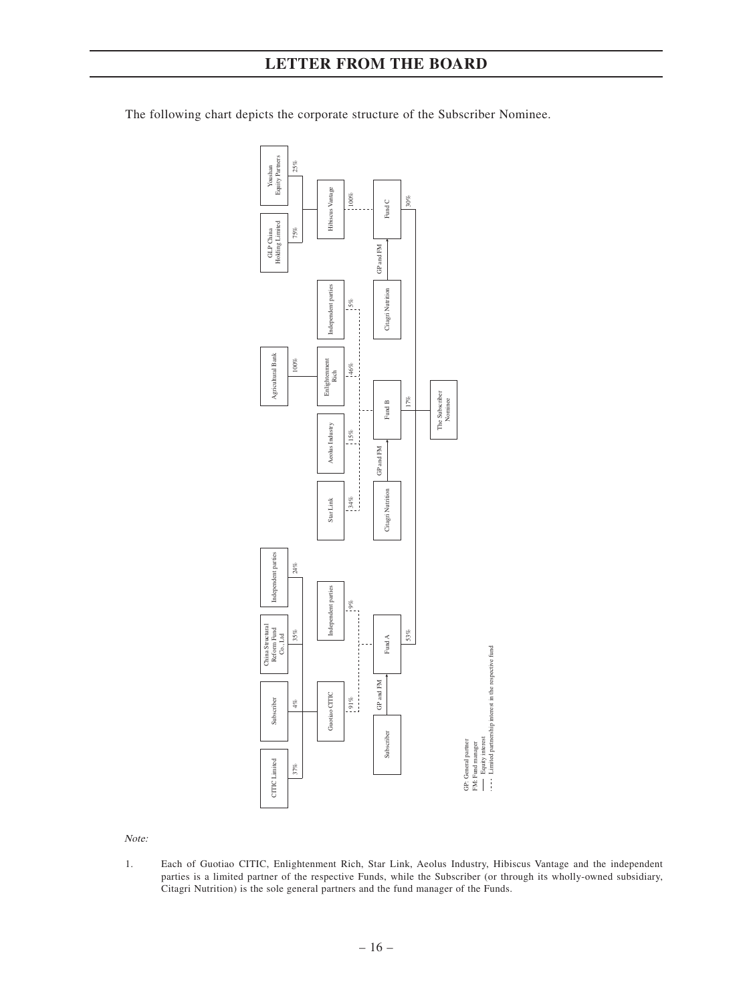

The following chart depicts the corporate structure of the Subscriber Nominee.

Note:

1. Each of Guotiao CITIC, Enlightenment Rich, Star Link, Aeolus Industry, Hibiscus Vantage and the independent parties is a limited partner of the respective Funds, while the Subscriber (or through its wholly-owned subsidiary, Citagri Nutrition) is the sole general partners and the fund manager of the Funds.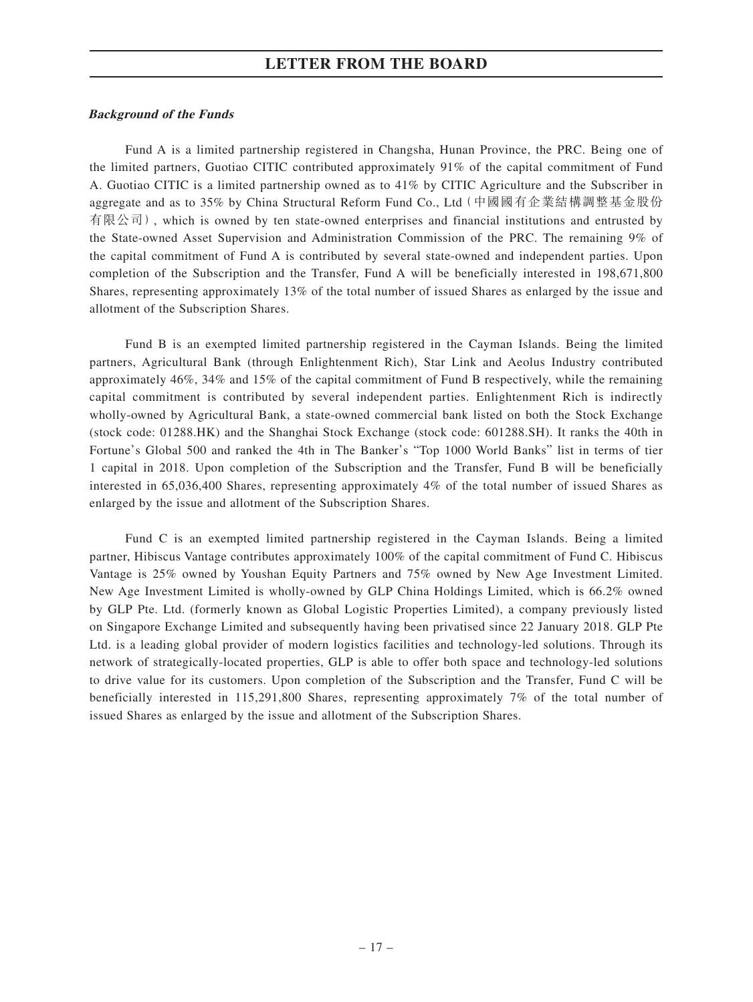#### **Background of the Funds**

Fund A is a limited partnership registered in Changsha, Hunan Province, the PRC. Being one of the limited partners, Guotiao CITIC contributed approximately 91% of the capital commitment of Fund A. Guotiao CITIC is a limited partnership owned as to 41% by CITIC Agriculture and the Subscriber in aggregate and as to 35% by China Structural Reform Fund Co., Ltd(中國國有企業結構調整基金股份 有限公司), which is owned by ten state-owned enterprises and financial institutions and entrusted by the State-owned Asset Supervision and Administration Commission of the PRC. The remaining 9% of the capital commitment of Fund A is contributed by several state-owned and independent parties. Upon completion of the Subscription and the Transfer, Fund A will be beneficially interested in 198,671,800 Shares, representing approximately 13% of the total number of issued Shares as enlarged by the issue and allotment of the Subscription Shares.

Fund B is an exempted limited partnership registered in the Cayman Islands. Being the limited partners, Agricultural Bank (through Enlightenment Rich), Star Link and Aeolus Industry contributed approximately 46%, 34% and 15% of the capital commitment of Fund B respectively, while the remaining capital commitment is contributed by several independent parties. Enlightenment Rich is indirectly wholly-owned by Agricultural Bank, a state-owned commercial bank listed on both the Stock Exchange (stock code: 01288.HK) and the Shanghai Stock Exchange (stock code: 601288.SH). It ranks the 40th in Fortune's Global 500 and ranked the 4th in The Banker's "Top 1000 World Banks" list in terms of tier 1 capital in 2018. Upon completion of the Subscription and the Transfer, Fund B will be beneficially interested in 65,036,400 Shares, representing approximately 4% of the total number of issued Shares as enlarged by the issue and allotment of the Subscription Shares.

Fund C is an exempted limited partnership registered in the Cayman Islands. Being a limited partner, Hibiscus Vantage contributes approximately 100% of the capital commitment of Fund C. Hibiscus Vantage is 25% owned by Youshan Equity Partners and 75% owned by New Age Investment Limited. New Age Investment Limited is wholly-owned by GLP China Holdings Limited, which is 66.2% owned by GLP Pte. Ltd. (formerly known as Global Logistic Properties Limited), a company previously listed on Singapore Exchange Limited and subsequently having been privatised since 22 January 2018. GLP Pte Ltd. is a leading global provider of modern logistics facilities and technology-led solutions. Through its network of strategically-located properties, GLP is able to offer both space and technology-led solutions to drive value for its customers. Upon completion of the Subscription and the Transfer, Fund C will be beneficially interested in 115,291,800 Shares, representing approximately 7% of the total number of issued Shares as enlarged by the issue and allotment of the Subscription Shares.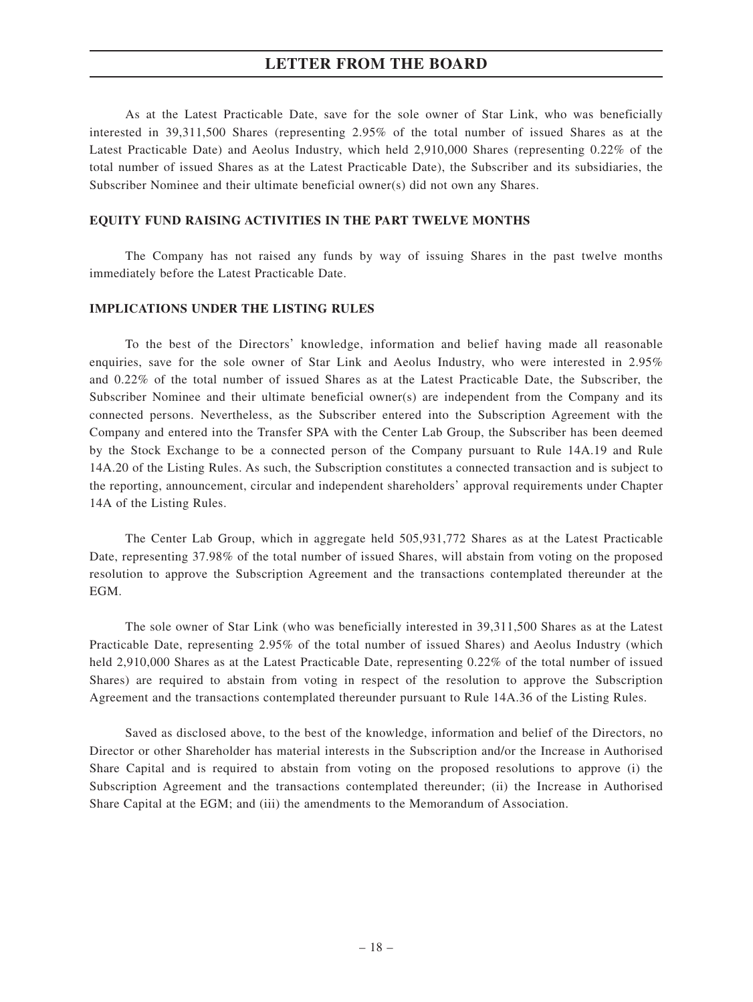As at the Latest Practicable Date, save for the sole owner of Star Link, who was beneficially interested in 39,311,500 Shares (representing 2.95% of the total number of issued Shares as at the Latest Practicable Date) and Aeolus Industry, which held 2,910,000 Shares (representing 0.22% of the total number of issued Shares as at the Latest Practicable Date), the Subscriber and its subsidiaries, the Subscriber Nominee and their ultimate beneficial owner(s) did not own any Shares.

#### **EQUITY FUND RAISING ACTIVITIES IN THE PART TWELVE MONTHS**

The Company has not raised any funds by way of issuing Shares in the past twelve months immediately before the Latest Practicable Date.

#### **IMPLICATIONS UNDER THE LISTING RULES**

To the best of the Directors' knowledge, information and belief having made all reasonable enquiries, save for the sole owner of Star Link and Aeolus Industry, who were interested in 2.95% and 0.22% of the total number of issued Shares as at the Latest Practicable Date, the Subscriber, the Subscriber Nominee and their ultimate beneficial owner(s) are independent from the Company and its connected persons. Nevertheless, as the Subscriber entered into the Subscription Agreement with the Company and entered into the Transfer SPA with the Center Lab Group, the Subscriber has been deemed by the Stock Exchange to be a connected person of the Company pursuant to Rule 14A.19 and Rule 14A.20 of the Listing Rules. As such, the Subscription constitutes a connected transaction and is subject to the reporting, announcement, circular and independent shareholders' approval requirements under Chapter 14A of the Listing Rules.

The Center Lab Group, which in aggregate held 505,931,772 Shares as at the Latest Practicable Date, representing 37.98% of the total number of issued Shares, will abstain from voting on the proposed resolution to approve the Subscription Agreement and the transactions contemplated thereunder at the EGM.

The sole owner of Star Link (who was beneficially interested in 39,311,500 Shares as at the Latest Practicable Date, representing 2.95% of the total number of issued Shares) and Aeolus Industry (which held 2,910,000 Shares as at the Latest Practicable Date, representing 0.22% of the total number of issued Shares) are required to abstain from voting in respect of the resolution to approve the Subscription Agreement and the transactions contemplated thereunder pursuant to Rule 14A.36 of the Listing Rules.

Saved as disclosed above, to the best of the knowledge, information and belief of the Directors, no Director or other Shareholder has material interests in the Subscription and/or the Increase in Authorised Share Capital and is required to abstain from voting on the proposed resolutions to approve (i) the Subscription Agreement and the transactions contemplated thereunder; (ii) the Increase in Authorised Share Capital at the EGM; and (iii) the amendments to the Memorandum of Association.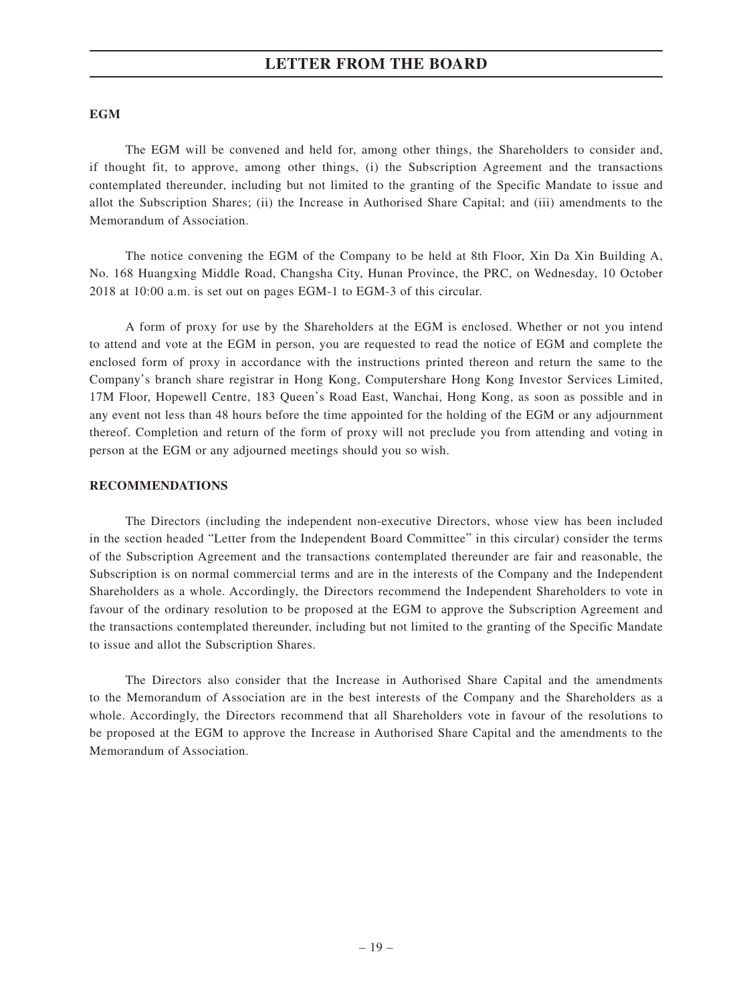#### **EGM**

The EGM will be convened and held for, among other things, the Shareholders to consider and, if thought fit, to approve, among other things, (i) the Subscription Agreement and the transactions contemplated thereunder, including but not limited to the granting of the Specific Mandate to issue and allot the Subscription Shares; (ii) the Increase in Authorised Share Capital; and (iii) amendments to the Memorandum of Association.

The notice convening the EGM of the Company to be held at 8th Floor, Xin Da Xin Building A, No. 168 Huangxing Middle Road, Changsha City, Hunan Province, the PRC, on Wednesday, 10 October 2018 at 10:00 a.m. is set out on pages EGM-1 to EGM-3 of this circular.

A form of proxy for use by the Shareholders at the EGM is enclosed. Whether or not you intend to attend and vote at the EGM in person, you are requested to read the notice of EGM and complete the enclosed form of proxy in accordance with the instructions printed thereon and return the same to the Company's branch share registrar in Hong Kong, Computershare Hong Kong Investor Services Limited, 17M Floor, Hopewell Centre, 183 Queen's Road East, Wanchai, Hong Kong, as soon as possible and in any event not less than 48 hours before the time appointed for the holding of the EGM or any adjournment thereof. Completion and return of the form of proxy will not preclude you from attending and voting in person at the EGM or any adjourned meetings should you so wish.

#### **RECOMMENDATIONS**

The Directors (including the independent non-executive Directors, whose view has been included in the section headed "Letter from the Independent Board Committee" in this circular) consider the terms of the Subscription Agreement and the transactions contemplated thereunder are fair and reasonable, the Subscription is on normal commercial terms and are in the interests of the Company and the Independent Shareholders as a whole. Accordingly, the Directors recommend the Independent Shareholders to vote in favour of the ordinary resolution to be proposed at the EGM to approve the Subscription Agreement and the transactions contemplated thereunder, including but not limited to the granting of the Specific Mandate to issue and allot the Subscription Shares.

The Directors also consider that the Increase in Authorised Share Capital and the amendments to the Memorandum of Association are in the best interests of the Company and the Shareholders as a whole. Accordingly, the Directors recommend that all Shareholders vote in favour of the resolutions to be proposed at the EGM to approve the Increase in Authorised Share Capital and the amendments to the Memorandum of Association.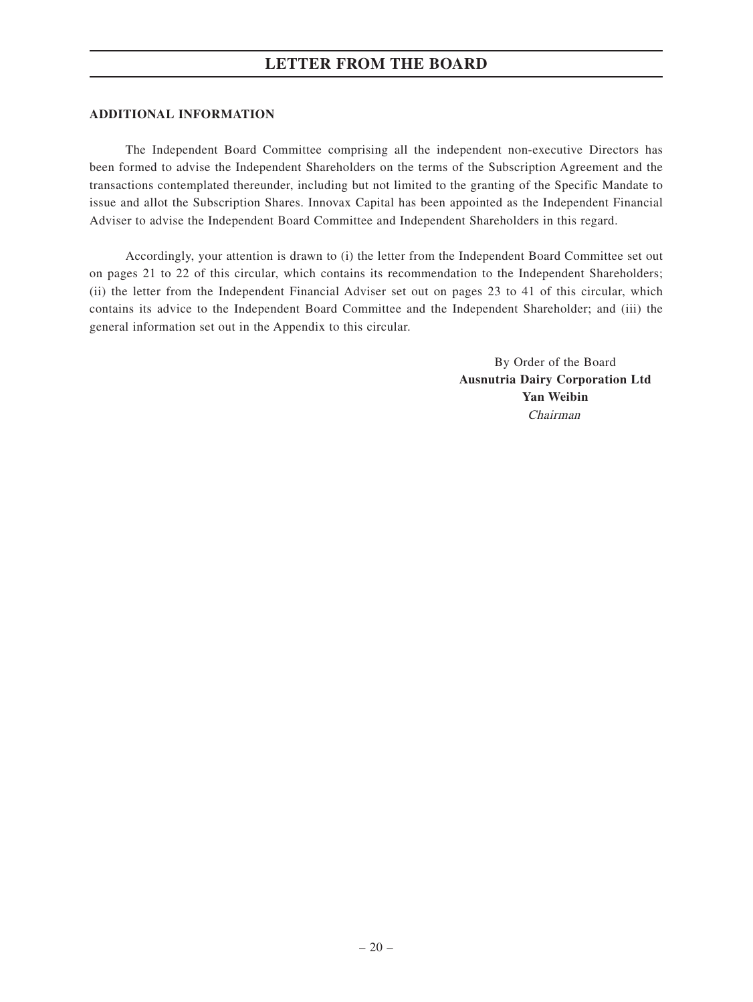#### **ADDITIONAL INFORMATION**

The Independent Board Committee comprising all the independent non-executive Directors has been formed to advise the Independent Shareholders on the terms of the Subscription Agreement and the transactions contemplated thereunder, including but not limited to the granting of the Specific Mandate to issue and allot the Subscription Shares. Innovax Capital has been appointed as the Independent Financial Adviser to advise the Independent Board Committee and Independent Shareholders in this regard.

Accordingly, your attention is drawn to (i) the letter from the Independent Board Committee set out on pages 21 to 22 of this circular, which contains its recommendation to the Independent Shareholders; (ii) the letter from the Independent Financial Adviser set out on pages 23 to 41 of this circular, which contains its advice to the Independent Board Committee and the Independent Shareholder; and (iii) the general information set out in the Appendix to this circular.

> By Order of the Board **Ausnutria Dairy Corporation Ltd Yan Weibin** Chairman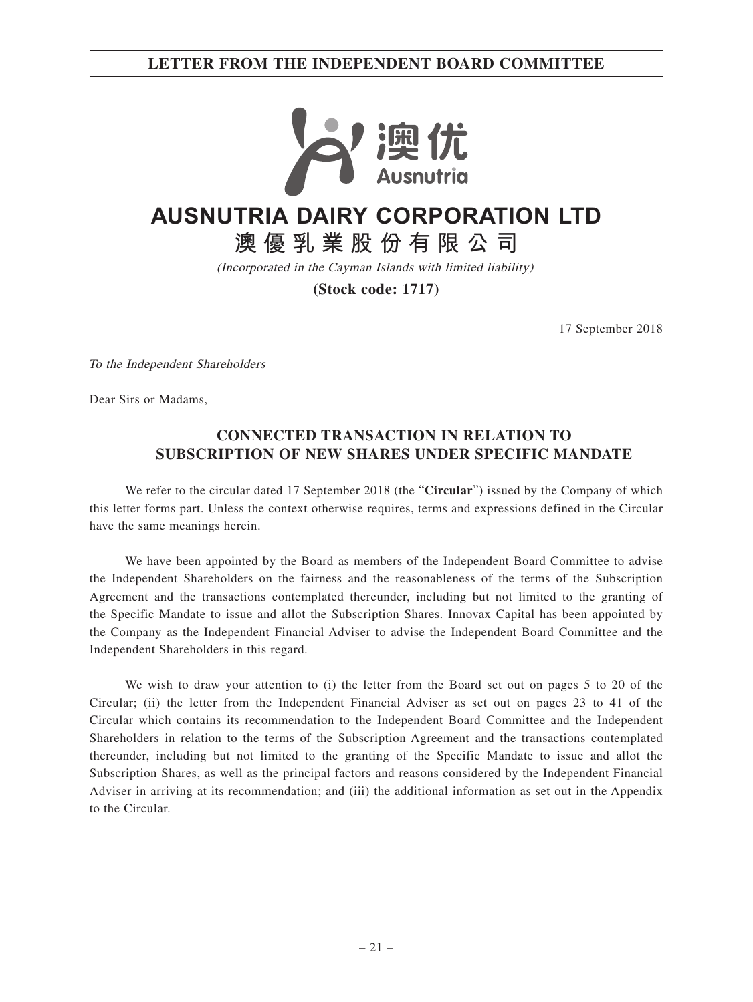## **LETTER FROM THE INDEPENDENT BOARD COMMITTEE**



# **AUSNUTRIA DAIRY CORPORATION LTD**

**澳優乳業股份有限公司**

(Incorporated in the Cayman Islands with limited liability)

**(Stock code: 1717)**

17 September 2018

To the Independent Shareholders

Dear Sirs or Madams,

## **CONNECTED TRANSACTION IN RELATION TO SUBSCRIPTION OF NEW SHARES UNDER SPECIFIC MANDATE**

We refer to the circular dated 17 September 2018 (the "**Circular**") issued by the Company of which this letter forms part. Unless the context otherwise requires, terms and expressions defined in the Circular have the same meanings herein.

We have been appointed by the Board as members of the Independent Board Committee to advise the Independent Shareholders on the fairness and the reasonableness of the terms of the Subscription Agreement and the transactions contemplated thereunder, including but not limited to the granting of the Specific Mandate to issue and allot the Subscription Shares. Innovax Capital has been appointed by the Company as the Independent Financial Adviser to advise the Independent Board Committee and the Independent Shareholders in this regard.

We wish to draw your attention to (i) the letter from the Board set out on pages 5 to 20 of the Circular; (ii) the letter from the Independent Financial Adviser as set out on pages 23 to 41 of the Circular which contains its recommendation to the Independent Board Committee and the Independent Shareholders in relation to the terms of the Subscription Agreement and the transactions contemplated thereunder, including but not limited to the granting of the Specific Mandate to issue and allot the Subscription Shares, as well as the principal factors and reasons considered by the Independent Financial Adviser in arriving at its recommendation; and (iii) the additional information as set out in the Appendix to the Circular.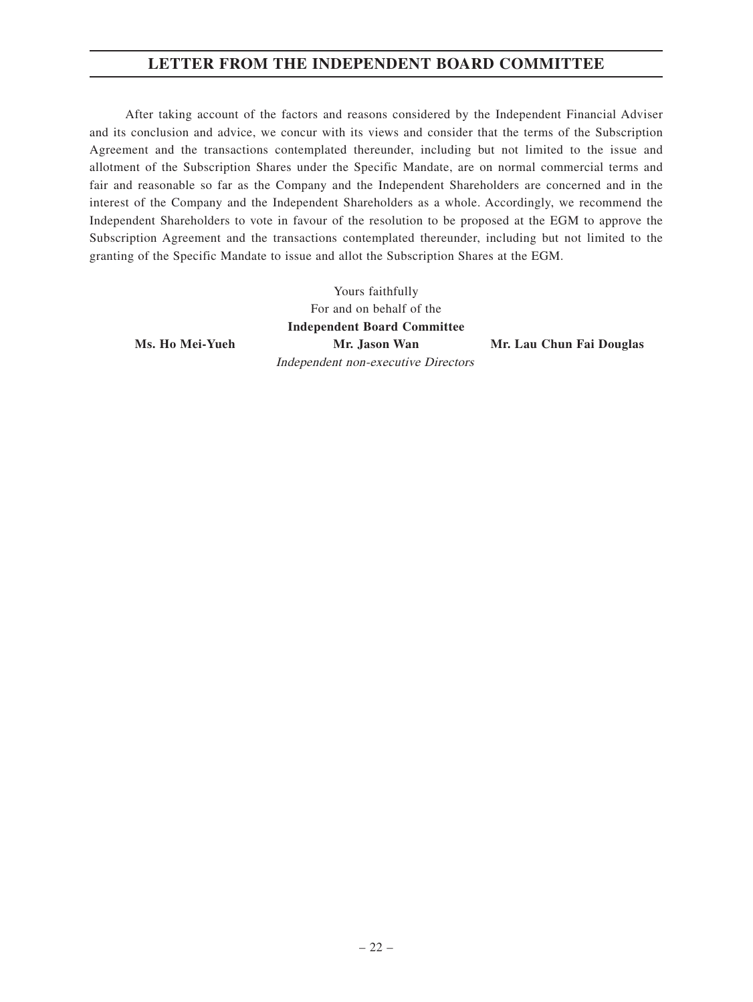## **LETTER FROM THE INDEPENDENT BOARD COMMITTEE**

After taking account of the factors and reasons considered by the Independent Financial Adviser and its conclusion and advice, we concur with its views and consider that the terms of the Subscription Agreement and the transactions contemplated thereunder, including but not limited to the issue and allotment of the Subscription Shares under the Specific Mandate, are on normal commercial terms and fair and reasonable so far as the Company and the Independent Shareholders are concerned and in the interest of the Company and the Independent Shareholders as a whole. Accordingly, we recommend the Independent Shareholders to vote in favour of the resolution to be proposed at the EGM to approve the Subscription Agreement and the transactions contemplated thereunder, including but not limited to the granting of the Specific Mandate to issue and allot the Subscription Shares at the EGM.

> Yours faithfully For and on behalf of the **Independent Board Committee Mr. Jason Wan Mr. Lau Chun Fai Douglas** Independent non-executive Directors

**Ms. Ho Mei-Yueh**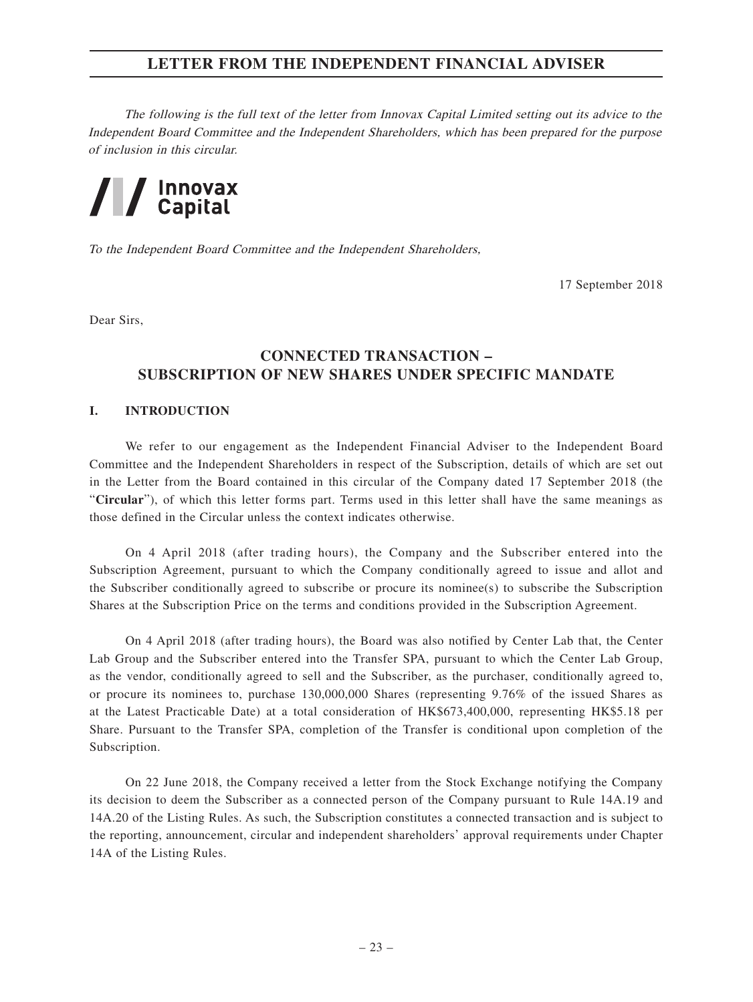The following is the full text of the letter from Innovax Capital Limited setting out its advice to the Independent Board Committee and the Independent Shareholders, which has been prepared for the purpose of inclusion in this circular.



To the Independent Board Committee and the Independent Shareholders,

17 September 2018

Dear Sirs,

## **CONNECTED TRANSACTION – SUBSCRIPTION OF NEW SHARES UNDER SPECIFIC MANDATE**

#### **I. INTRODUCTION**

We refer to our engagement as the Independent Financial Adviser to the Independent Board Committee and the Independent Shareholders in respect of the Subscription, details of which are set out in the Letter from the Board contained in this circular of the Company dated 17 September 2018 (the "**Circular**"), of which this letter forms part. Terms used in this letter shall have the same meanings as those defined in the Circular unless the context indicates otherwise.

On 4 April 2018 (after trading hours), the Company and the Subscriber entered into the Subscription Agreement, pursuant to which the Company conditionally agreed to issue and allot and the Subscriber conditionally agreed to subscribe or procure its nominee(s) to subscribe the Subscription Shares at the Subscription Price on the terms and conditions provided in the Subscription Agreement.

On 4 April 2018 (after trading hours), the Board was also notified by Center Lab that, the Center Lab Group and the Subscriber entered into the Transfer SPA, pursuant to which the Center Lab Group, as the vendor, conditionally agreed to sell and the Subscriber, as the purchaser, conditionally agreed to, or procure its nominees to, purchase 130,000,000 Shares (representing 9.76% of the issued Shares as at the Latest Practicable Date) at a total consideration of HK\$673,400,000, representing HK\$5.18 per Share. Pursuant to the Transfer SPA, completion of the Transfer is conditional upon completion of the Subscription.

On 22 June 2018, the Company received a letter from the Stock Exchange notifying the Company its decision to deem the Subscriber as a connected person of the Company pursuant to Rule 14A.19 and 14A.20 of the Listing Rules. As such, the Subscription constitutes a connected transaction and is subject to the reporting, announcement, circular and independent shareholders' approval requirements under Chapter 14A of the Listing Rules.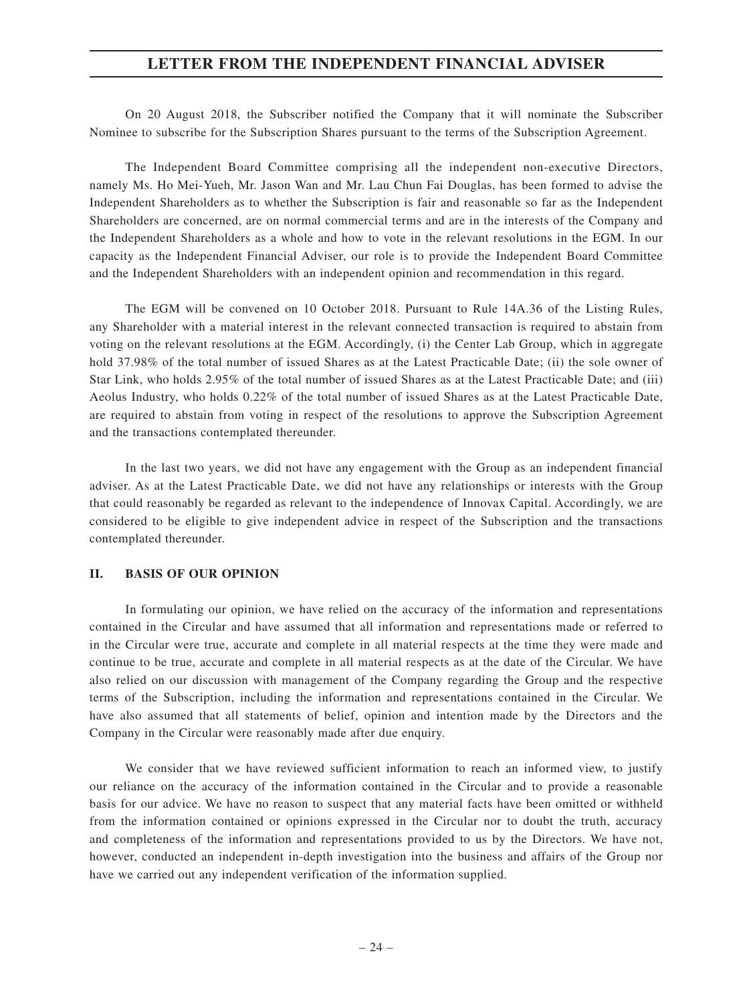On 20 August 2018, the Subscriber notified the Company that it will nominate the Subscriber Nominee to subscribe for the Subscription Shares pursuant to the terms of the Subscription Agreement.

The Independent Board Committee comprising all the independent non-executive Directors, namely Ms. Ho Mei-Yueh, Mr. Jason Wan and Mr. Lau Chun Fai Douglas, has been formed to advise the Independent Shareholders as to whether the Subscription is fair and reasonable so far as the Independent Shareholders are concerned, are on normal commercial terms and are in the interests of the Company and the Independent Shareholders as a whole and how to vote in the relevant resolutions in the EGM. In our capacity as the Independent Financial Adviser, our role is to provide the Independent Board Committee and the Independent Shareholders with an independent opinion and recommendation in this regard.

The EGM will be convened on 10 October 2018. Pursuant to Rule 14A.36 of the Listing Rules, any Shareholder with a material interest in the relevant connected transaction is required to abstain from voting on the relevant resolutions at the EGM. Accordingly, (i) the Center Lab Group, which in aggregate hold 37.98% of the total number of issued Shares as at the Latest Practicable Date; (ii) the sole owner of Star Link, who holds 2.95% of the total number of issued Shares as at the Latest Practicable Date; and (iii) Aeolus Industry, who holds 0.22% of the total number of issued Shares as at the Latest Practicable Date, are required to abstain from voting in respect of the resolutions to approve the Subscription Agreement and the transactions contemplated thereunder.

In the last two years, we did not have any engagement with the Group as an independent financial adviser. As at the Latest Practicable Date, we did not have any relationships or interests with the Group that could reasonably be regarded as relevant to the independence of Innovax Capital. Accordingly, we are considered to be eligible to give independent advice in respect of the Subscription and the transactions contemplated thereunder.

#### **II. BASIS OF OUR OPINION**

In formulating our opinion, we have relied on the accuracy of the information and representations contained in the Circular and have assumed that all information and representations made or referred to in the Circular were true, accurate and complete in all material respects at the time they were made and continue to be true, accurate and complete in all material respects as at the date of the Circular. We have also relied on our discussion with management of the Company regarding the Group and the respective terms of the Subscription, including the information and representations contained in the Circular. We have also assumed that all statements of belief, opinion and intention made by the Directors and the Company in the Circular were reasonably made after due enquiry.

We consider that we have reviewed sufficient information to reach an informed view, to justify our reliance on the accuracy of the information contained in the Circular and to provide a reasonable basis for our advice. We have no reason to suspect that any material facts have been omitted or withheld from the information contained or opinions expressed in the Circular nor to doubt the truth, accuracy and completeness of the information and representations provided to us by the Directors. We have not, however, conducted an independent in-depth investigation into the business and affairs of the Group nor have we carried out any independent verification of the information supplied.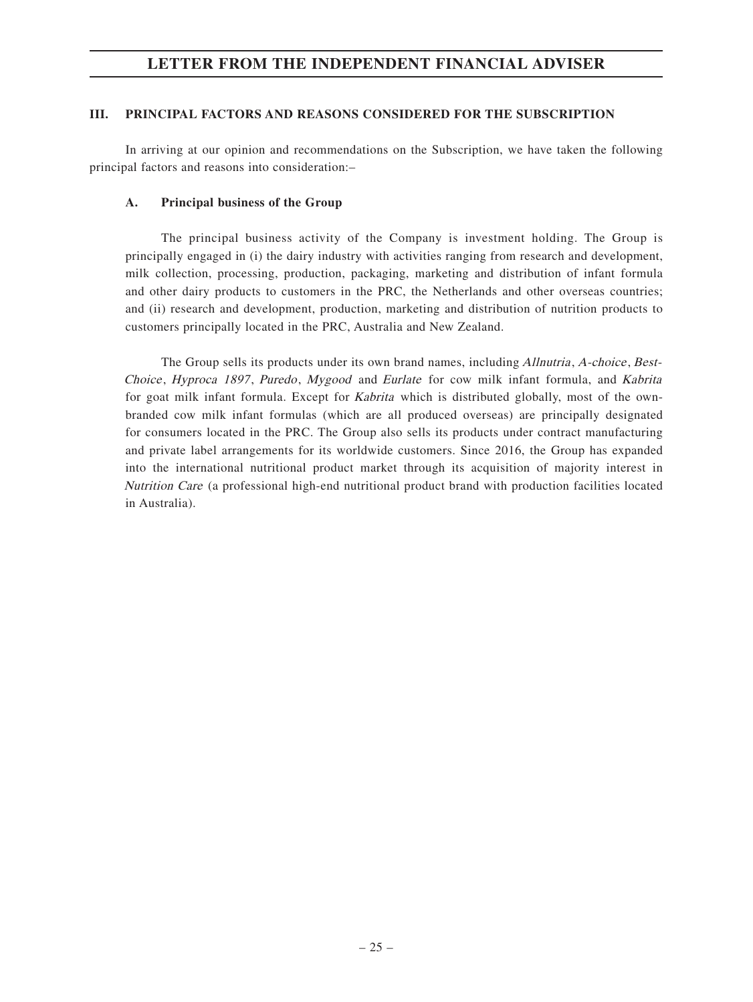#### **III. PRINCIPAL FACTORS AND REASONS CONSIDERED FOR THE SUBSCRIPTION**

In arriving at our opinion and recommendations on the Subscription, we have taken the following principal factors and reasons into consideration:–

#### **A. Principal business of the Group**

The principal business activity of the Company is investment holding. The Group is principally engaged in (i) the dairy industry with activities ranging from research and development, milk collection, processing, production, packaging, marketing and distribution of infant formula and other dairy products to customers in the PRC, the Netherlands and other overseas countries; and (ii) research and development, production, marketing and distribution of nutrition products to customers principally located in the PRC, Australia and New Zealand.

The Group sells its products under its own brand names, including Allnutria, A-choice, Best-Choice, Hyproca 1897, Puredo, Mygood and Eurlate for cow milk infant formula, and Kabrita for goat milk infant formula. Except for *Kabrita* which is distributed globally, most of the ownbranded cow milk infant formulas (which are all produced overseas) are principally designated for consumers located in the PRC. The Group also sells its products under contract manufacturing and private label arrangements for its worldwide customers. Since 2016, the Group has expanded into the international nutritional product market through its acquisition of majority interest in Nutrition Care (a professional high-end nutritional product brand with production facilities located in Australia).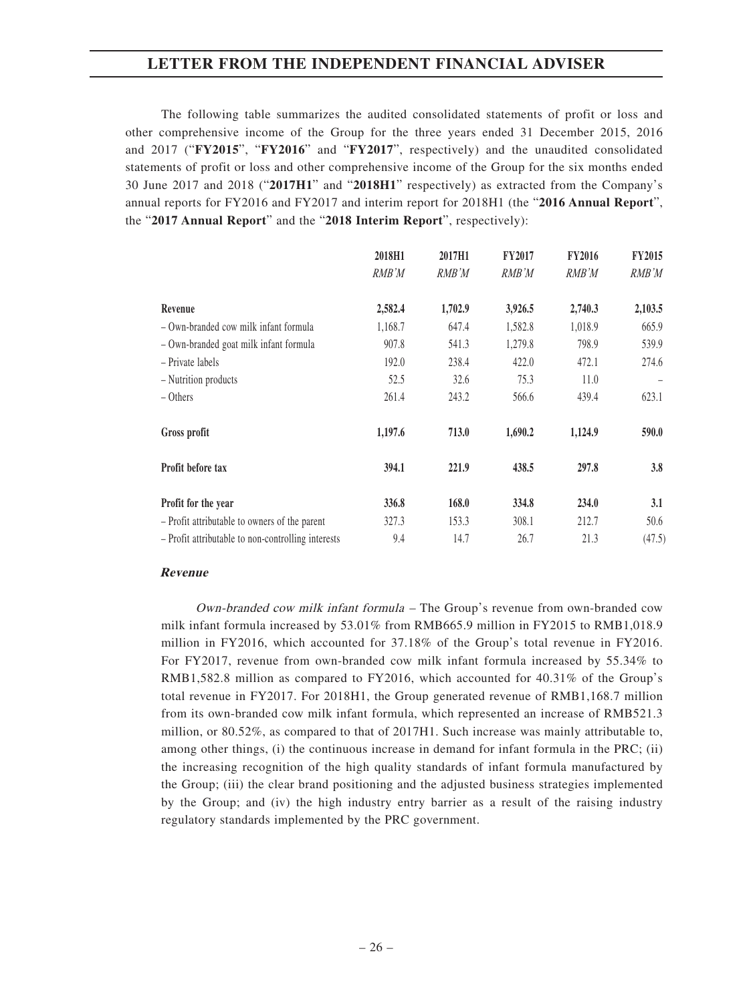The following table summarizes the audited consolidated statements of profit or loss and other comprehensive income of the Group for the three years ended 31 December 2015, 2016 and 2017 ("**FY2015**", "**FY2016**" and "**FY2017**", respectively) and the unaudited consolidated statements of profit or loss and other comprehensive income of the Group for the six months ended 30 June 2017 and 2018 ("**2017H1**" and "**2018H1**" respectively) as extracted from the Company's annual reports for FY2016 and FY2017 and interim report for 2018H1 (the "**2016 Annual Report**", the "**2017 Annual Report**" and the "**2018 Interim Report**", respectively):

|                                                    | 2018H1  | 2017H1  | <b>FY2017</b> | <b>FY2016</b> | <b>FY2015</b> |
|----------------------------------------------------|---------|---------|---------------|---------------|---------------|
|                                                    | RMB'M   | RMB'M   | RMB'M         | RMB'M         | RMB'M         |
| Revenue                                            | 2,582.4 | 1,702.9 | 3,926.5       | 2,740.3       | 2,103.5       |
| - Own-branded cow milk infant formula              | 1,168.7 | 647.4   | 1,582.8       | 1,018.9       | 665.9         |
| - Own-branded goat milk infant formula             | 907.8   | 541.3   | 1,279.8       | 798.9         | 539.9         |
| - Private labels                                   | 192.0   | 238.4   | 422.0         | 472.1         | 274.6         |
| - Nutrition products                               | 52.5    | 32.6    | 75.3          | 11.0          |               |
| – Others                                           | 261.4   | 243.2   | 566.6         | 439.4         | 623.1         |
| Gross profit                                       | 1,197.6 | 713.0   | 1,690.2       | 1,124.9       | 590.0         |
| Profit before tax                                  | 394.1   | 221.9   | 438.5         | 297.8         | 3.8           |
| Profit for the year                                | 336.8   | 168.0   | 334.8         | 234.0         | 3.1           |
| - Profit attributable to owners of the parent      | 327.3   | 153.3   | 308.1         | 212.7         | 50.6          |
| - Profit attributable to non-controlling interests | 9.4     | 14.7    | 26.7          | 21.3          | (47.5)        |

#### **Revenue**

Own-branded cow milk infant formula – The Group's revenue from own-branded cow milk infant formula increased by 53.01% from RMB665.9 million in FY2015 to RMB1,018.9 million in FY2016, which accounted for 37.18% of the Group's total revenue in FY2016. For FY2017, revenue from own-branded cow milk infant formula increased by 55.34% to RMB1,582.8 million as compared to FY2016, which accounted for 40.31% of the Group's total revenue in FY2017. For 2018H1, the Group generated revenue of RMB1,168.7 million from its own-branded cow milk infant formula, which represented an increase of RMB521.3 million, or 80.52%, as compared to that of 2017H1. Such increase was mainly attributable to, among other things, (i) the continuous increase in demand for infant formula in the PRC; (ii) the increasing recognition of the high quality standards of infant formula manufactured by the Group; (iii) the clear brand positioning and the adjusted business strategies implemented by the Group; and (iv) the high industry entry barrier as a result of the raising industry regulatory standards implemented by the PRC government.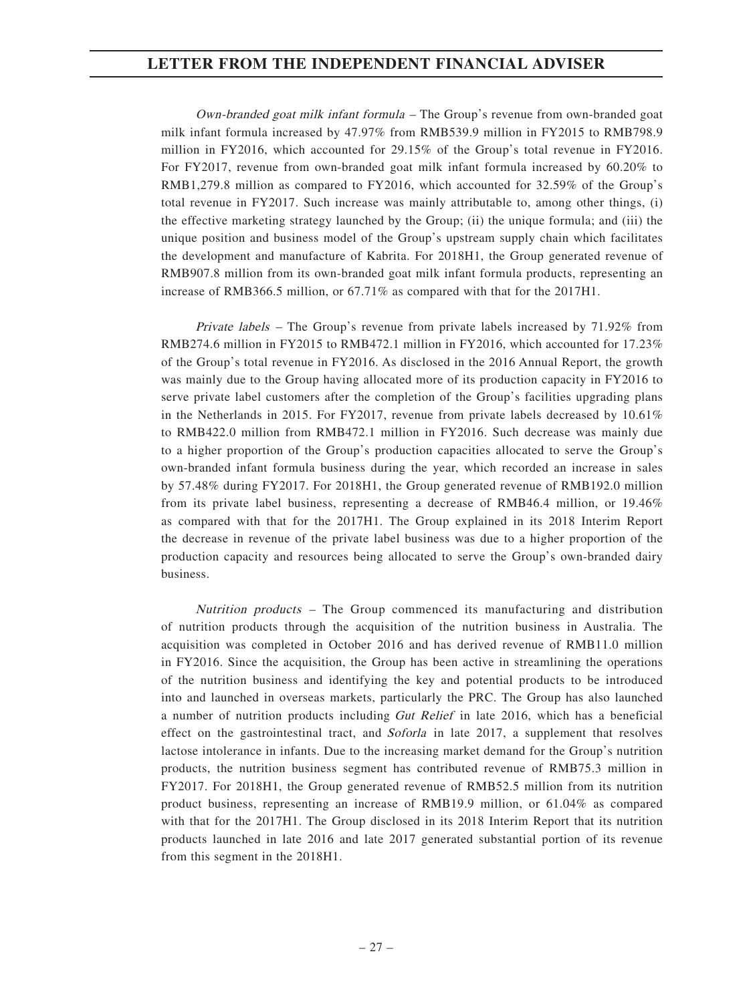Own-branded goat milk infant formula – The Group's revenue from own-branded goat milk infant formula increased by 47.97% from RMB539.9 million in FY2015 to RMB798.9 million in FY2016, which accounted for 29.15% of the Group's total revenue in FY2016. For FY2017, revenue from own-branded goat milk infant formula increased by 60.20% to RMB1,279.8 million as compared to FY2016, which accounted for 32.59% of the Group's total revenue in FY2017. Such increase was mainly attributable to, among other things, (i) the effective marketing strategy launched by the Group; (ii) the unique formula; and (iii) the unique position and business model of the Group's upstream supply chain which facilitates the development and manufacture of Kabrita. For 2018H1, the Group generated revenue of RMB907.8 million from its own-branded goat milk infant formula products, representing an increase of RMB366.5 million, or 67.71% as compared with that for the 2017H1.

Private labels – The Group's revenue from private labels increased by 71.92% from RMB274.6 million in FY2015 to RMB472.1 million in FY2016, which accounted for 17.23% of the Group's total revenue in FY2016. As disclosed in the 2016 Annual Report, the growth was mainly due to the Group having allocated more of its production capacity in FY2016 to serve private label customers after the completion of the Group's facilities upgrading plans in the Netherlands in 2015. For FY2017, revenue from private labels decreased by  $10.61\%$ to RMB422.0 million from RMB472.1 million in FY2016. Such decrease was mainly due to a higher proportion of the Group's production capacities allocated to serve the Group's own-branded infant formula business during the year, which recorded an increase in sales by 57.48% during FY2017. For 2018H1, the Group generated revenue of RMB192.0 million from its private label business, representing a decrease of RMB46.4 million, or 19.46% as compared with that for the 2017H1. The Group explained in its 2018 Interim Report the decrease in revenue of the private label business was due to a higher proportion of the production capacity and resources being allocated to serve the Group's own-branded dairy business.

Nutrition products – The Group commenced its manufacturing and distribution of nutrition products through the acquisition of the nutrition business in Australia. The acquisition was completed in October 2016 and has derived revenue of RMB11.0 million in FY2016. Since the acquisition, the Group has been active in streamlining the operations of the nutrition business and identifying the key and potential products to be introduced into and launched in overseas markets, particularly the PRC. The Group has also launched a number of nutrition products including Gut Relief in late 2016, which has a beneficial effect on the gastrointestinal tract, and Soforla in late 2017, a supplement that resolves lactose intolerance in infants. Due to the increasing market demand for the Group's nutrition products, the nutrition business segment has contributed revenue of RMB75.3 million in FY2017. For 2018H1, the Group generated revenue of RMB52.5 million from its nutrition product business, representing an increase of RMB19.9 million, or 61.04% as compared with that for the 2017H1. The Group disclosed in its 2018 Interim Report that its nutrition products launched in late 2016 and late 2017 generated substantial portion of its revenue from this segment in the 2018H1.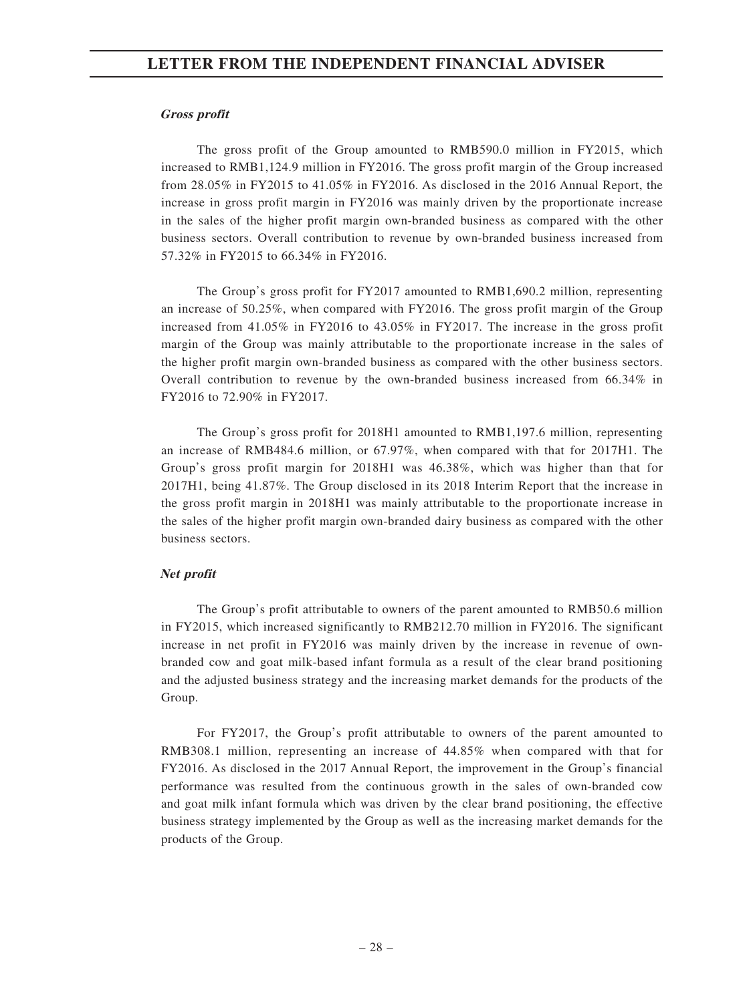#### **Gross profit**

The gross profit of the Group amounted to RMB590.0 million in FY2015, which increased to RMB1,124.9 million in FY2016. The gross profit margin of the Group increased from 28.05% in FY2015 to 41.05% in FY2016. As disclosed in the 2016 Annual Report, the increase in gross profit margin in FY2016 was mainly driven by the proportionate increase in the sales of the higher profit margin own-branded business as compared with the other business sectors. Overall contribution to revenue by own-branded business increased from 57.32% in FY2015 to 66.34% in FY2016.

The Group's gross profit for FY2017 amounted to RMB1,690.2 million, representing an increase of 50.25%, when compared with FY2016. The gross profit margin of the Group increased from 41.05% in FY2016 to 43.05% in FY2017. The increase in the gross profit margin of the Group was mainly attributable to the proportionate increase in the sales of the higher profit margin own-branded business as compared with the other business sectors. Overall contribution to revenue by the own-branded business increased from 66.34% in FY2016 to 72.90% in FY2017.

The Group's gross profit for 2018H1 amounted to RMB1,197.6 million, representing an increase of RMB484.6 million, or 67.97%, when compared with that for 2017H1. The Group's gross profit margin for 2018H1 was 46.38%, which was higher than that for 2017H1, being 41.87%. The Group disclosed in its 2018 Interim Report that the increase in the gross profit margin in 2018H1 was mainly attributable to the proportionate increase in the sales of the higher profit margin own-branded dairy business as compared with the other business sectors.

#### **Net profit**

The Group's profit attributable to owners of the parent amounted to RMB50.6 million in FY2015, which increased significantly to RMB212.70 million in FY2016. The significant increase in net profit in FY2016 was mainly driven by the increase in revenue of ownbranded cow and goat milk-based infant formula as a result of the clear brand positioning and the adjusted business strategy and the increasing market demands for the products of the Group.

For FY2017, the Group's profit attributable to owners of the parent amounted to RMB308.1 million, representing an increase of 44.85% when compared with that for FY2016. As disclosed in the 2017 Annual Report, the improvement in the Group's financial performance was resulted from the continuous growth in the sales of own-branded cow and goat milk infant formula which was driven by the clear brand positioning, the effective business strategy implemented by the Group as well as the increasing market demands for the products of the Group.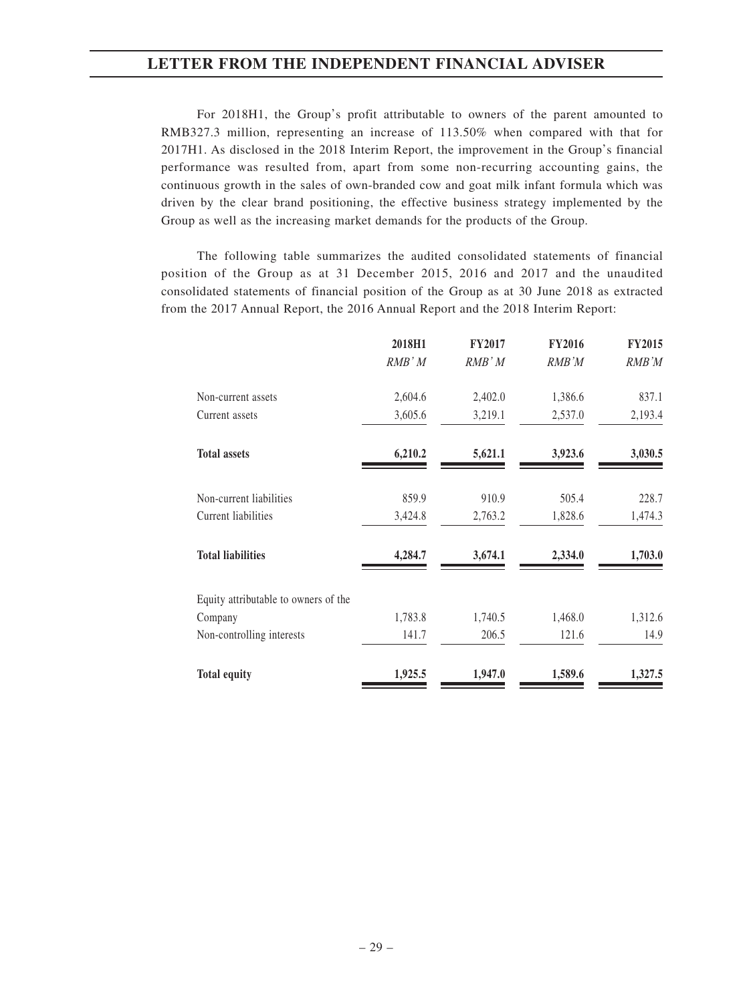For 2018H1, the Group's profit attributable to owners of the parent amounted to RMB327.3 million, representing an increase of 113.50% when compared with that for 2017H1. As disclosed in the 2018 Interim Report, the improvement in the Group's financial performance was resulted from, apart from some non-recurring accounting gains, the continuous growth in the sales of own-branded cow and goat milk infant formula which was driven by the clear brand positioning, the effective business strategy implemented by the Group as well as the increasing market demands for the products of the Group.

The following table summarizes the audited consolidated statements of financial position of the Group as at 31 December 2015, 2016 and 2017 and the unaudited consolidated statements of financial position of the Group as at 30 June 2018 as extracted from the 2017 Annual Report, the 2016 Annual Report and the 2018 Interim Report:

|                                      | 2018H1  | <b>FY2017</b> | <b>FY2016</b> | <b>FY2015</b> |
|--------------------------------------|---------|---------------|---------------|---------------|
|                                      | RMB' M  | $RMB^*M$      | RMB'M         | RMB'M         |
| Non-current assets                   | 2,604.6 | 2,402.0       | 1,386.6       | 837.1         |
| Current assets                       | 3,605.6 | 3,219.1       | 2,537.0       | 2,193.4       |
| <b>Total assets</b>                  | 6,210.2 | 5,621.1       | 3,923.6       | 3,030.5       |
| Non-current liabilities              | 859.9   | 910.9         | 505.4         | 228.7         |
| Current liabilities                  | 3,424.8 | 2,763.2       | 1,828.6       | 1,474.3       |
| <b>Total liabilities</b>             | 4,284.7 | 3,674.1       | 2,334.0       | 1,703.0       |
| Equity attributable to owners of the |         |               |               |               |
| Company                              | 1,783.8 | 1,740.5       | 1,468.0       | 1,312.6       |
| Non-controlling interests            | 141.7   | 206.5         | 121.6         | 14.9          |
| <b>Total equity</b>                  | 1,925.5 | 1,947.0       | 1,589.6       | 1,327.5       |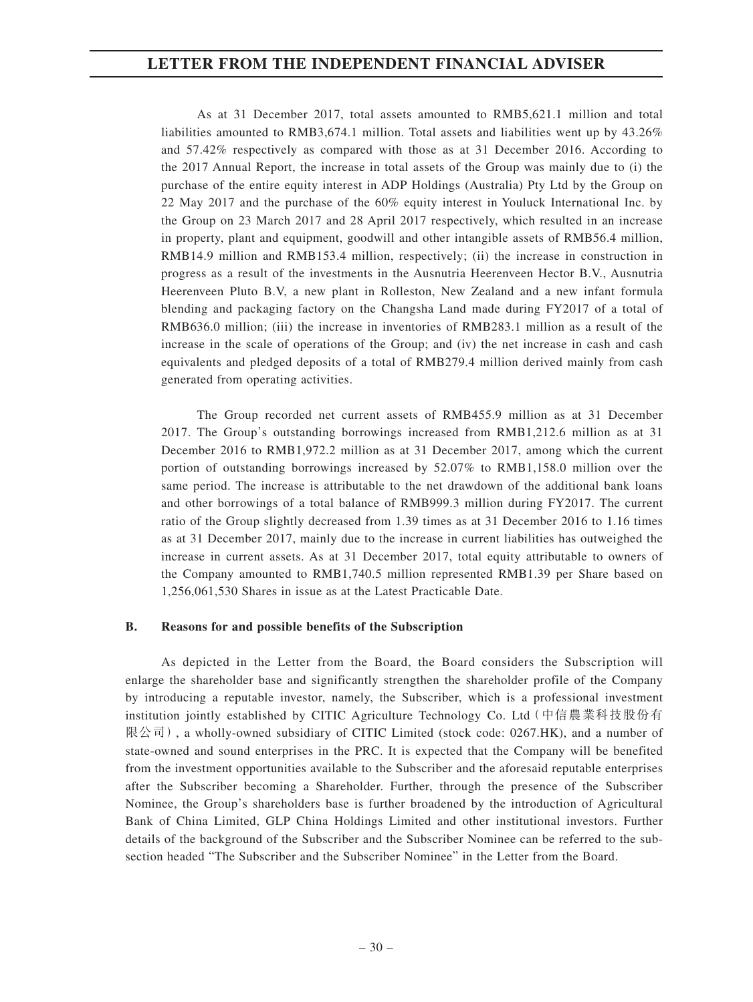As at 31 December 2017, total assets amounted to RMB5,621.1 million and total liabilities amounted to RMB3,674.1 million. Total assets and liabilities went up by 43.26% and 57.42% respectively as compared with those as at 31 December 2016. According to the 2017 Annual Report, the increase in total assets of the Group was mainly due to (i) the purchase of the entire equity interest in ADP Holdings (Australia) Pty Ltd by the Group on 22 May 2017 and the purchase of the 60% equity interest in Youluck International Inc. by the Group on 23 March 2017 and 28 April 2017 respectively, which resulted in an increase in property, plant and equipment, goodwill and other intangible assets of RMB56.4 million, RMB14.9 million and RMB153.4 million, respectively; (ii) the increase in construction in progress as a result of the investments in the Ausnutria Heerenveen Hector B.V., Ausnutria Heerenveen Pluto B.V, a new plant in Rolleston, New Zealand and a new infant formula blending and packaging factory on the Changsha Land made during FY2017 of a total of RMB636.0 million; (iii) the increase in inventories of RMB283.1 million as a result of the increase in the scale of operations of the Group; and (iv) the net increase in cash and cash equivalents and pledged deposits of a total of RMB279.4 million derived mainly from cash generated from operating activities.

The Group recorded net current assets of RMB455.9 million as at 31 December 2017. The Group's outstanding borrowings increased from RMB1,212.6 million as at 31 December 2016 to RMB1,972.2 million as at 31 December 2017, among which the current portion of outstanding borrowings increased by 52.07% to RMB1,158.0 million over the same period. The increase is attributable to the net drawdown of the additional bank loans and other borrowings of a total balance of RMB999.3 million during FY2017. The current ratio of the Group slightly decreased from 1.39 times as at 31 December 2016 to 1.16 times as at 31 December 2017, mainly due to the increase in current liabilities has outweighed the increase in current assets. As at 31 December 2017, total equity attributable to owners of the Company amounted to RMB1,740.5 million represented RMB1.39 per Share based on 1,256,061,530 Shares in issue as at the Latest Practicable Date.

#### **B. Reasons for and possible benefits of the Subscription**

As depicted in the Letter from the Board, the Board considers the Subscription will enlarge the shareholder base and significantly strengthen the shareholder profile of the Company by introducing a reputable investor, namely, the Subscriber, which is a professional investment institution jointly established by CITIC Agriculture Technology Co. Ltd(中信農業科技股份有 限公司), a wholly-owned subsidiary of CITIC Limited (stock code: 0267.HK), and a number of state-owned and sound enterprises in the PRC. It is expected that the Company will be benefited from the investment opportunities available to the Subscriber and the aforesaid reputable enterprises after the Subscriber becoming a Shareholder. Further, through the presence of the Subscriber Nominee, the Group's shareholders base is further broadened by the introduction of Agricultural Bank of China Limited, GLP China Holdings Limited and other institutional investors. Further details of the background of the Subscriber and the Subscriber Nominee can be referred to the subsection headed "The Subscriber and the Subscriber Nominee" in the Letter from the Board.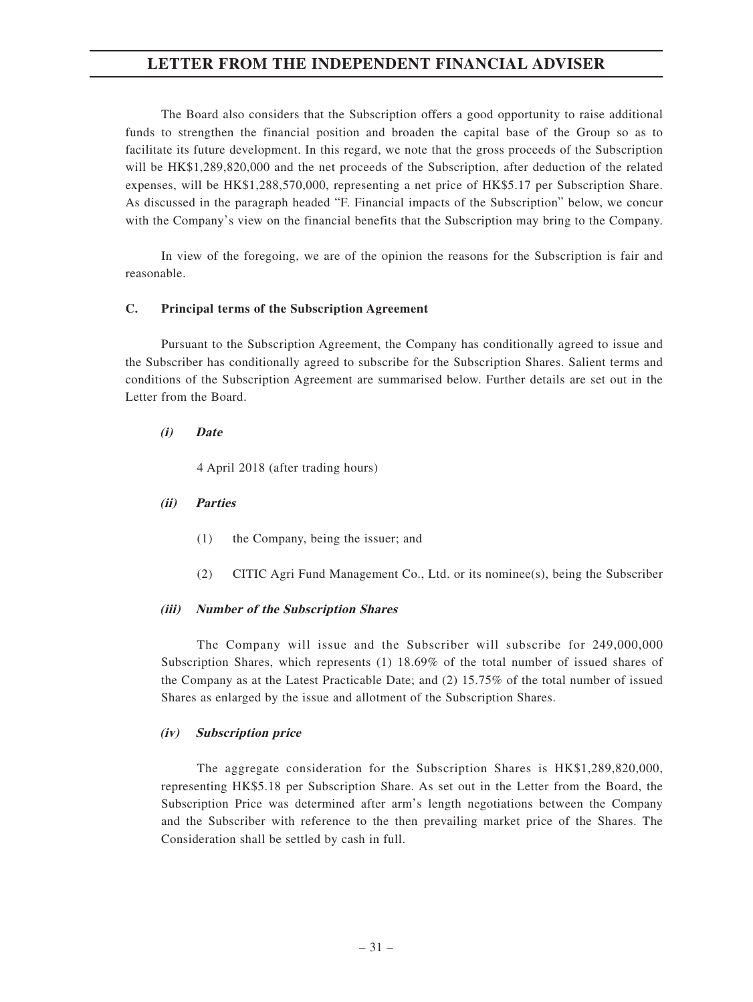The Board also considers that the Subscription offers a good opportunity to raise additional funds to strengthen the financial position and broaden the capital base of the Group so as to facilitate its future development. In this regard, we note that the gross proceeds of the Subscription will be HK\$1,289,820,000 and the net proceeds of the Subscription, after deduction of the related expenses, will be HK\$1,288,570,000, representing a net price of HK\$5.17 per Subscription Share. As discussed in the paragraph headed "F. Financial impacts of the Subscription" below, we concur with the Company's view on the financial benefits that the Subscription may bring to the Company.

In view of the foregoing, we are of the opinion the reasons for the Subscription is fair and reasonable.

#### **C. Principal terms of the Subscription Agreement**

Pursuant to the Subscription Agreement, the Company has conditionally agreed to issue and the Subscriber has conditionally agreed to subscribe for the Subscription Shares. Salient terms and conditions of the Subscription Agreement are summarised below. Further details are set out in the Letter from the Board.

#### **(i) Date**

4 April 2018 (after trading hours)

#### **(ii) Parties**

- (1) the Company, being the issuer; and
- (2) CITIC Agri Fund Management Co., Ltd. or its nominee(s), being the Subscriber

#### **(iii) Number of the Subscription Shares**

The Company will issue and the Subscriber will subscribe for 249,000,000 Subscription Shares, which represents (1) 18.69% of the total number of issued shares of the Company as at the Latest Practicable Date; and (2) 15.75% of the total number of issued Shares as enlarged by the issue and allotment of the Subscription Shares.

#### **(iv) Subscription price**

The aggregate consideration for the Subscription Shares is HK\$1,289,820,000, representing HK\$5.18 per Subscription Share. As set out in the Letter from the Board, the Subscription Price was determined after arm's length negotiations between the Company and the Subscriber with reference to the then prevailing market price of the Shares. The Consideration shall be settled by cash in full.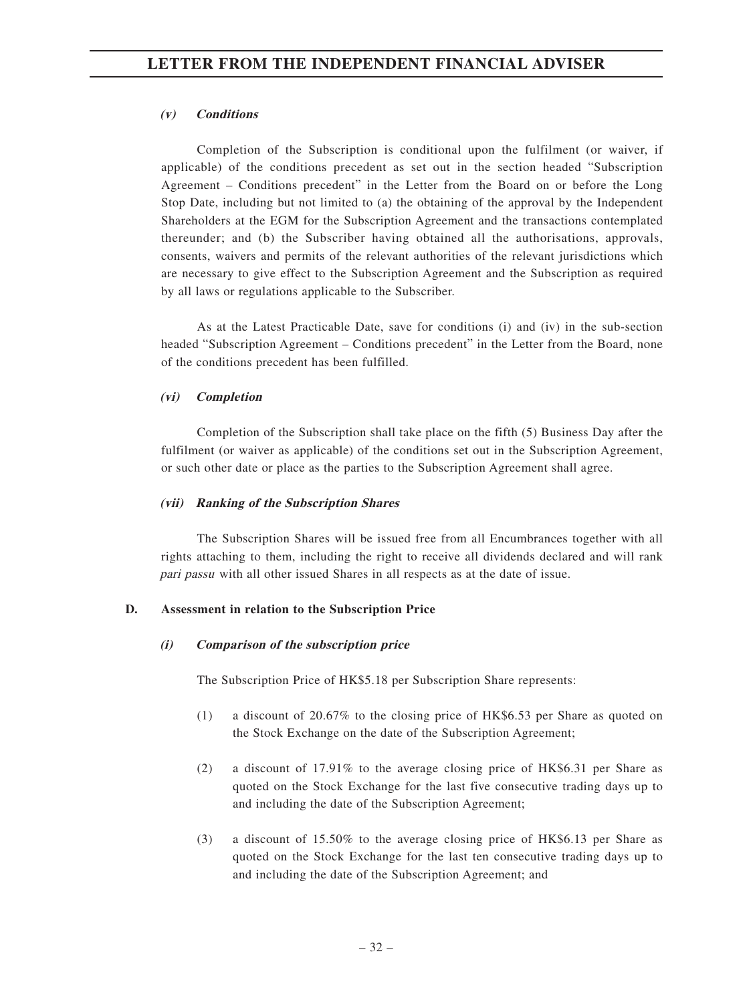#### **(v) Conditions**

Completion of the Subscription is conditional upon the fulfilment (or waiver, if applicable) of the conditions precedent as set out in the section headed "Subscription Agreement – Conditions precedent" in the Letter from the Board on or before the Long Stop Date, including but not limited to (a) the obtaining of the approval by the Independent Shareholders at the EGM for the Subscription Agreement and the transactions contemplated thereunder; and (b) the Subscriber having obtained all the authorisations, approvals, consents, waivers and permits of the relevant authorities of the relevant jurisdictions which are necessary to give effect to the Subscription Agreement and the Subscription as required by all laws or regulations applicable to the Subscriber.

As at the Latest Practicable Date, save for conditions (i) and (iv) in the sub-section headed "Subscription Agreement – Conditions precedent" in the Letter from the Board, none of the conditions precedent has been fulfilled.

#### **(vi) Completion**

Completion of the Subscription shall take place on the fifth (5) Business Day after the fulfilment (or waiver as applicable) of the conditions set out in the Subscription Agreement, or such other date or place as the parties to the Subscription Agreement shall agree.

#### **(vii) Ranking of the Subscription Shares**

The Subscription Shares will be issued free from all Encumbrances together with all rights attaching to them, including the right to receive all dividends declared and will rank pari passu with all other issued Shares in all respects as at the date of issue.

### **D. Assessment in relation to the Subscription Price**

#### **(i) Comparison of the subscription price**

The Subscription Price of HK\$5.18 per Subscription Share represents:

- (1) a discount of 20.67% to the closing price of HK\$6.53 per Share as quoted on the Stock Exchange on the date of the Subscription Agreement;
- (2) a discount of 17.91% to the average closing price of HK\$6.31 per Share as quoted on the Stock Exchange for the last five consecutive trading days up to and including the date of the Subscription Agreement;
- (3) a discount of 15.50% to the average closing price of HK\$6.13 per Share as quoted on the Stock Exchange for the last ten consecutive trading days up to and including the date of the Subscription Agreement; and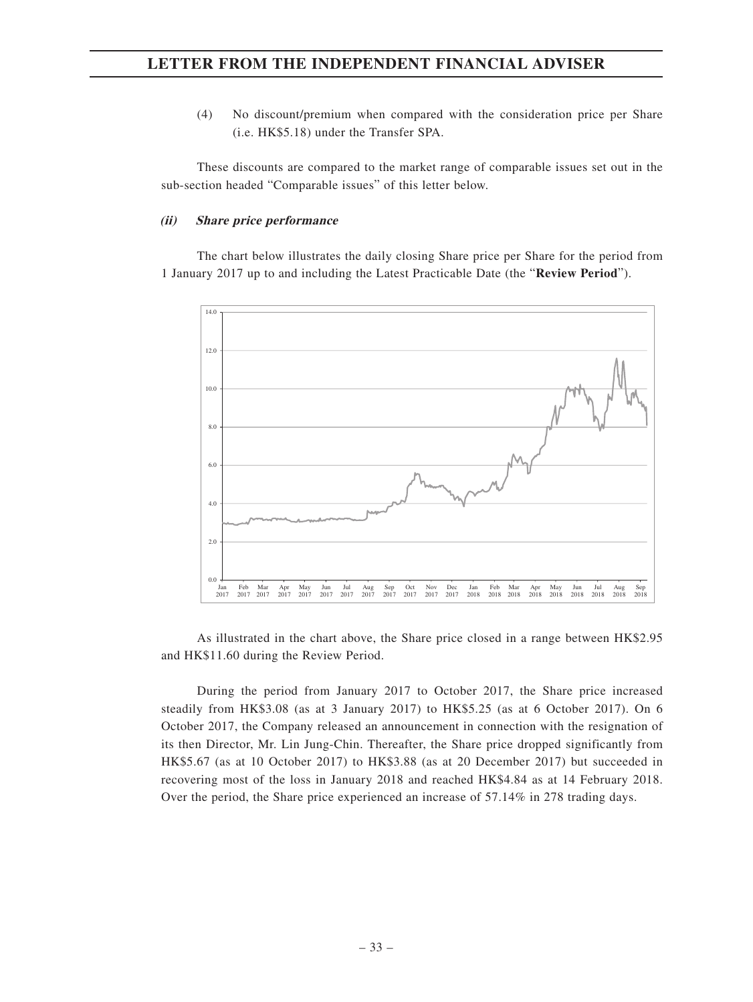(4) No discount/premium when compared with the consideration price per Share (i.e. HK\$5.18) under the Transfer SPA.

These discounts are compared to the market range of comparable issues set out in the sub-section headed "Comparable issues" of this letter below.

#### **(ii) Share price performance**

The chart below illustrates the daily closing Share price per Share for the period from 1 January 2017 up to and including the Latest Practicable Date (the "**Review Period**").



As illustrated in the chart above, the Share price closed in a range between HK\$2.95 and HK\$11.60 during the Review Period.

During the period from January 2017 to October 2017, the Share price increased steadily from HK\$3.08 (as at 3 January 2017) to HK\$5.25 (as at 6 October 2017). On 6 October 2017, the Company released an announcement in connection with the resignation of its then Director, Mr. Lin Jung-Chin. Thereafter, the Share price dropped significantly from HK\$5.67 (as at 10 October 2017) to HK\$3.88 (as at 20 December 2017) but succeeded in recovering most of the loss in January 2018 and reached HK\$4.84 as at 14 February 2018. Over the period, the Share price experienced an increase of 57.14% in 278 trading days.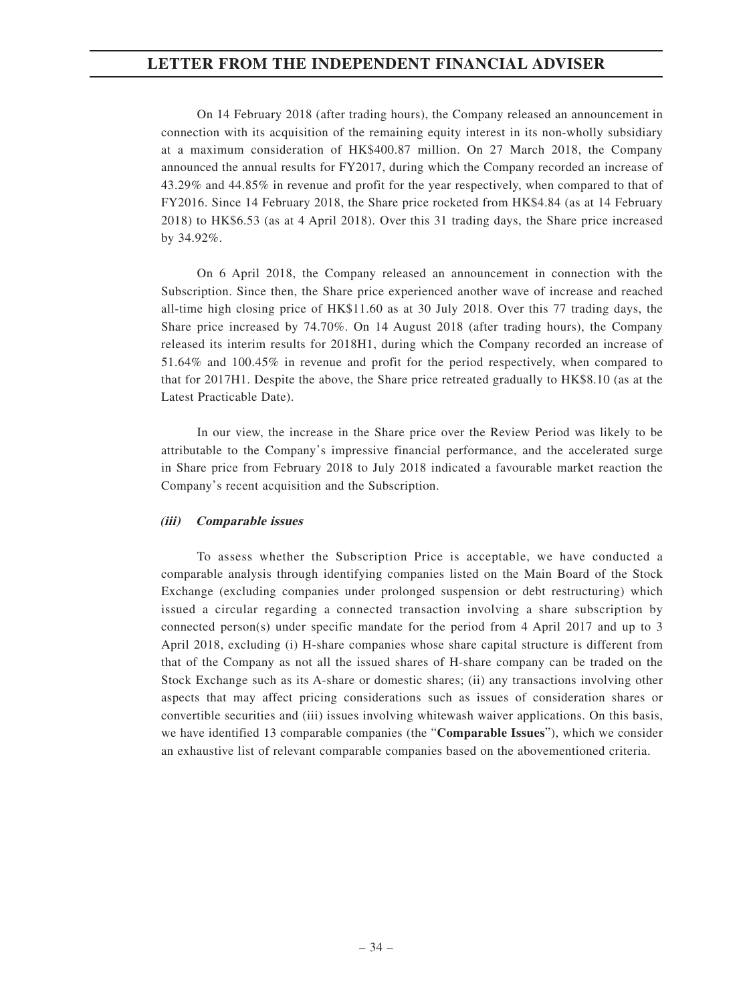On 14 February 2018 (after trading hours), the Company released an announcement in connection with its acquisition of the remaining equity interest in its non-wholly subsidiary at a maximum consideration of HK\$400.87 million. On 27 March 2018, the Company announced the annual results for FY2017, during which the Company recorded an increase of 43.29% and 44.85% in revenue and profit for the year respectively, when compared to that of FY2016. Since 14 February 2018, the Share price rocketed from HK\$4.84 (as at 14 February 2018) to HK\$6.53 (as at 4 April 2018). Over this 31 trading days, the Share price increased by 34.92%.

On 6 April 2018, the Company released an announcement in connection with the Subscription. Since then, the Share price experienced another wave of increase and reached all-time high closing price of HK\$11.60 as at 30 July 2018. Over this 77 trading days, the Share price increased by 74.70%. On 14 August 2018 (after trading hours), the Company released its interim results for 2018H1, during which the Company recorded an increase of 51.64% and 100.45% in revenue and profit for the period respectively, when compared to that for 2017H1. Despite the above, the Share price retreated gradually to HK\$8.10 (as at the Latest Practicable Date).

In our view, the increase in the Share price over the Review Period was likely to be attributable to the Company's impressive financial performance, and the accelerated surge in Share price from February 2018 to July 2018 indicated a favourable market reaction the Company's recent acquisition and the Subscription.

#### **(iii) Comparable issues**

To assess whether the Subscription Price is acceptable, we have conducted a comparable analysis through identifying companies listed on the Main Board of the Stock Exchange (excluding companies under prolonged suspension or debt restructuring) which issued a circular regarding a connected transaction involving a share subscription by connected person(s) under specific mandate for the period from 4 April 2017 and up to 3 April 2018, excluding (i) H-share companies whose share capital structure is different from that of the Company as not all the issued shares of H-share company can be traded on the Stock Exchange such as its A-share or domestic shares; (ii) any transactions involving other aspects that may affect pricing considerations such as issues of consideration shares or convertible securities and (iii) issues involving whitewash waiver applications. On this basis, we have identified 13 comparable companies (the "**Comparable Issues**"), which we consider an exhaustive list of relevant comparable companies based on the abovementioned criteria.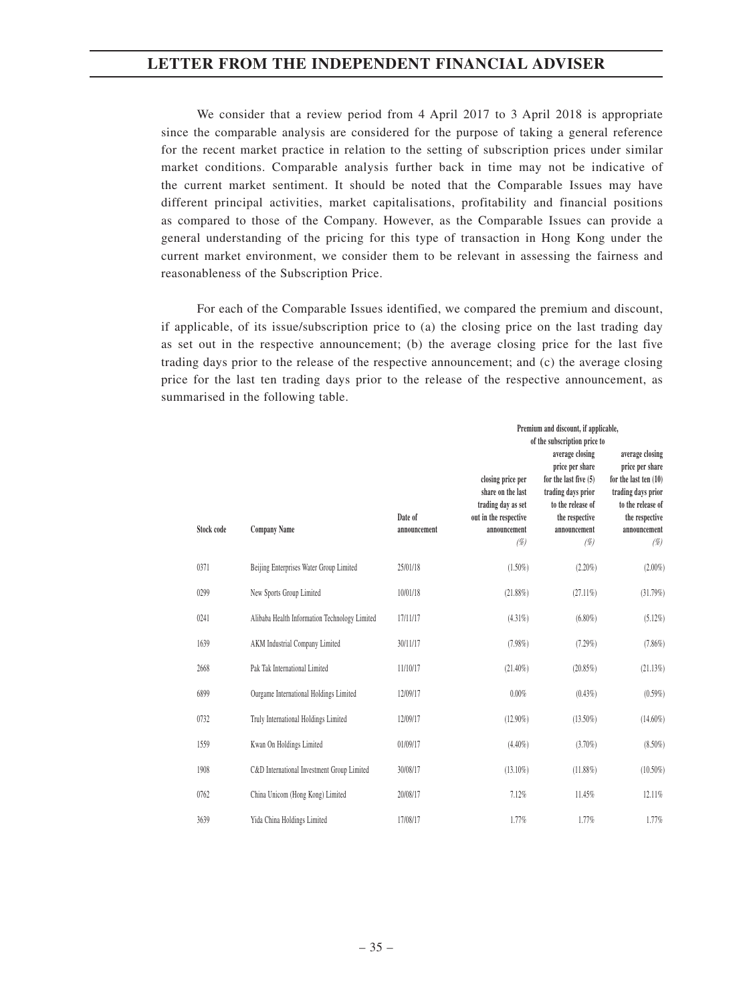We consider that a review period from 4 April 2017 to 3 April 2018 is appropriate since the comparable analysis are considered for the purpose of taking a general reference for the recent market practice in relation to the setting of subscription prices under similar market conditions. Comparable analysis further back in time may not be indicative of the current market sentiment. It should be noted that the Comparable Issues may have different principal activities, market capitalisations, profitability and financial positions as compared to those of the Company. However, as the Comparable Issues can provide a general understanding of the pricing for this type of transaction in Hong Kong under the current market environment, we consider them to be relevant in assessing the fairness and reasonableness of the Subscription Price.

For each of the Comparable Issues identified, we compared the premium and discount, if applicable, of its issue/subscription price to (a) the closing price on the last trading day as set out in the respective announcement; (b) the average closing price for the last five trading days prior to the release of the respective announcement; and (c) the average closing price for the last ten trading days prior to the release of the respective announcement, as summarised in the following table.

|            |                                               |                         |                                                                                                              | Premium and discount, if applicable,<br>of the subscription price to                                                                              |                                                                                                                                                 |
|------------|-----------------------------------------------|-------------------------|--------------------------------------------------------------------------------------------------------------|---------------------------------------------------------------------------------------------------------------------------------------------------|-------------------------------------------------------------------------------------------------------------------------------------------------|
| Stock code | <b>Company Name</b>                           | Date of<br>announcement | closing price per<br>share on the last<br>trading day as set<br>out in the respective<br>announcement<br>(%) | average closing<br>price per share<br>for the last five $(5)$<br>trading days prior<br>to the release of<br>the respective<br>announcement<br>(%) | average closing<br>price per share<br>for the last ten (10)<br>trading days prior<br>to the release of<br>the respective<br>announcement<br>(%) |
| 0371       | Beijing Enterprises Water Group Limited       | 25/01/18                | $(1.50\%)$                                                                                                   | $(2.20\%)$                                                                                                                                        | $(2.00\%)$                                                                                                                                      |
| 0299       | New Sports Group Limited                      | 10/01/18                | $(21.88\%)$                                                                                                  | $(27.11\%)$                                                                                                                                       | (31.79%)                                                                                                                                        |
| 0241       | Alibaba Health Information Technology Limited | 17/11/17                | $(4.31\%)$                                                                                                   | $(6.80\%)$                                                                                                                                        | (5.12%)                                                                                                                                         |
| 1639       | AKM Industrial Company Limited                | 30/11/17                | (7.98%)                                                                                                      | (7.29%)                                                                                                                                           | (7.86%)                                                                                                                                         |
| 2668       | Pak Tak International Limited                 | 11/10/17                | $(21.40\%)$                                                                                                  | (20.85%)                                                                                                                                          | (21.13%)                                                                                                                                        |
| 6899       | Ourgame International Holdings Limited        | 12/09/17                | 0.00%                                                                                                        | $(0.43\%)$                                                                                                                                        | $(0.59\%)$                                                                                                                                      |
| 0732       | Truly International Holdings Limited          | 12/09/17                | $(12.90\%)$                                                                                                  | $(13.50\%)$                                                                                                                                       | $(14.60\%)$                                                                                                                                     |
| 1559       | Kwan On Holdings Limited                      | 01/09/17                | $(4.40\%)$                                                                                                   | $(3.70\%)$                                                                                                                                        | $(8.50\%)$                                                                                                                                      |
| 1908       | C&D International Investment Group Limited    | 30/08/17                | $(13.10\%)$                                                                                                  | $(11.88\%)$                                                                                                                                       | $(10.50\%)$                                                                                                                                     |
| 0762       | China Unicom (Hong Kong) Limited              | 20/08/17                | 7.12%                                                                                                        | 11.45%                                                                                                                                            | 12.11%                                                                                                                                          |
| 3639       | Yida China Holdings Limited                   | 17/08/17                | 1.77%                                                                                                        | 1.77%                                                                                                                                             | 1.77%                                                                                                                                           |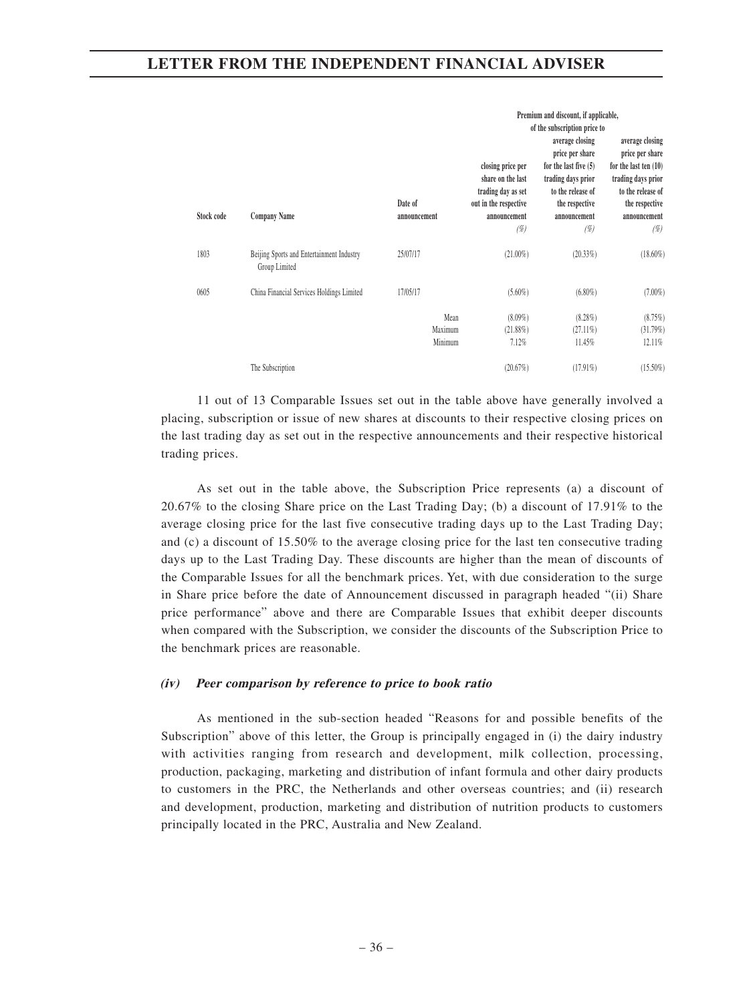|            |                                                            |                            | closing price per<br>share on the last<br>trading day as set | Premium and discount, if applicable,<br>of the subscription price to<br>average closing<br>price per share<br>for the last five $(5)$<br>trading days prior<br>to the release of | average closing<br>price per share<br>for the last ten $(10)$<br>trading days prior<br>to the release of |
|------------|------------------------------------------------------------|----------------------------|--------------------------------------------------------------|----------------------------------------------------------------------------------------------------------------------------------------------------------------------------------|----------------------------------------------------------------------------------------------------------|
| Stock code | <b>Company Name</b>                                        | Date of<br>announcement    | out in the respective<br>announcement<br>(%)                 | the respective<br>announcement<br>(%)                                                                                                                                            | the respective<br>announcement<br>(%)                                                                    |
| 1803       | Beijing Sports and Entertainment Industry<br>Group Limited | 25/07/17                   | $(21.00\%)$                                                  | (20.33%)                                                                                                                                                                         | $(18.60\%)$                                                                                              |
| 0605       | China Financial Services Holdings Limited                  | 17/05/17                   | $(5.60\%)$                                                   | $(6.80\%)$                                                                                                                                                                       | $(7.00\%)$                                                                                               |
|            |                                                            | Mean<br>Maximum<br>Minimum | $(8.09\%)$<br>$(21.88\%)$<br>7.12%                           | $(8.28\%)$<br>$(27.11\%)$<br>11.45%                                                                                                                                              | (8.75%)<br>(31.79%)<br>12.11%                                                                            |
|            | The Subscription                                           |                            | (20.67%)                                                     | $(17.91\%)$                                                                                                                                                                      | $(15.50\%)$                                                                                              |

11 out of 13 Comparable Issues set out in the table above have generally involved a placing, subscription or issue of new shares at discounts to their respective closing prices on the last trading day as set out in the respective announcements and their respective historical trading prices.

As set out in the table above, the Subscription Price represents (a) a discount of 20.67% to the closing Share price on the Last Trading Day; (b) a discount of 17.91% to the average closing price for the last five consecutive trading days up to the Last Trading Day; and (c) a discount of 15.50% to the average closing price for the last ten consecutive trading days up to the Last Trading Day. These discounts are higher than the mean of discounts of the Comparable Issues for all the benchmark prices. Yet, with due consideration to the surge in Share price before the date of Announcement discussed in paragraph headed "(ii) Share price performance" above and there are Comparable Issues that exhibit deeper discounts when compared with the Subscription, we consider the discounts of the Subscription Price to the benchmark prices are reasonable.

#### **(iv) Peer comparison by reference to price to book ratio**

As mentioned in the sub-section headed "Reasons for and possible benefits of the Subscription" above of this letter, the Group is principally engaged in (i) the dairy industry with activities ranging from research and development, milk collection, processing, production, packaging, marketing and distribution of infant formula and other dairy products to customers in the PRC, the Netherlands and other overseas countries; and (ii) research and development, production, marketing and distribution of nutrition products to customers principally located in the PRC, Australia and New Zealand.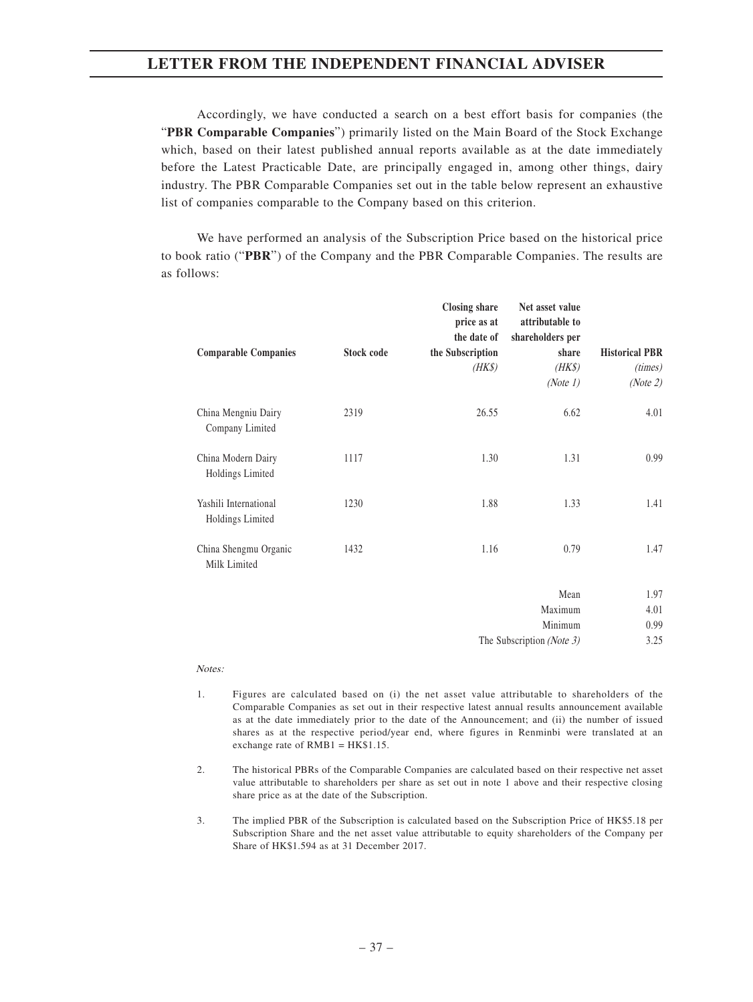Accordingly, we have conducted a search on a best effort basis for companies (the "**PBR Comparable Companies**") primarily listed on the Main Board of the Stock Exchange which, based on their latest published annual reports available as at the date immediately before the Latest Practicable Date, are principally engaged in, among other things, dairy industry. The PBR Comparable Companies set out in the table below represent an exhaustive list of companies comparable to the Company based on this criterion.

We have performed an analysis of the Subscription Price based on the historical price to book ratio ("**PBR**") of the Company and the PBR Comparable Companies. The results are as follows:

| <b>Comparable Companies</b>               | Stock code | <b>Closing share</b><br>price as at<br>the date of<br>the Subscription | Net asset value<br>attributable to<br>shareholders per<br>share | <b>Historical PBR</b> |
|-------------------------------------------|------------|------------------------------------------------------------------------|-----------------------------------------------------------------|-----------------------|
|                                           |            | $(HK\$                                                                 | $(HK\$                                                          | (times)               |
|                                           |            |                                                                        | (Note 1)                                                        | (Note 2)              |
| China Mengniu Dairy<br>Company Limited    | 2319       | 26.55                                                                  | 6.62                                                            | 4.01                  |
| China Modern Dairy<br>Holdings Limited    | 1117       | 1.30                                                                   | 1.31                                                            | 0.99                  |
| Yashili International<br>Holdings Limited | 1230       | 1.88                                                                   | 1.33                                                            | 1.41                  |
| China Shengmu Organic<br>Milk Limited     | 1432       | 1.16                                                                   | 0.79                                                            | 1.47                  |
|                                           |            |                                                                        | Mean                                                            | 1.97                  |
|                                           |            |                                                                        | Maximum                                                         | 4.01                  |
|                                           |            |                                                                        | Minimum                                                         | 0.99                  |
|                                           |            |                                                                        | The Subscription (Note 3)                                       | 3.25                  |

#### Notes:

- 1. Figures are calculated based on (i) the net asset value attributable to shareholders of the Comparable Companies as set out in their respective latest annual results announcement available as at the date immediately prior to the date of the Announcement; and (ii) the number of issued shares as at the respective period/year end, where figures in Renminbi were translated at an exchange rate of RMB1 = HK\$1.15.
- 2. The historical PBRs of the Comparable Companies are calculated based on their respective net asset value attributable to shareholders per share as set out in note 1 above and their respective closing share price as at the date of the Subscription.
- 3. The implied PBR of the Subscription is calculated based on the Subscription Price of HK\$5.18 per Subscription Share and the net asset value attributable to equity shareholders of the Company per Share of HK\$1.594 as at 31 December 2017.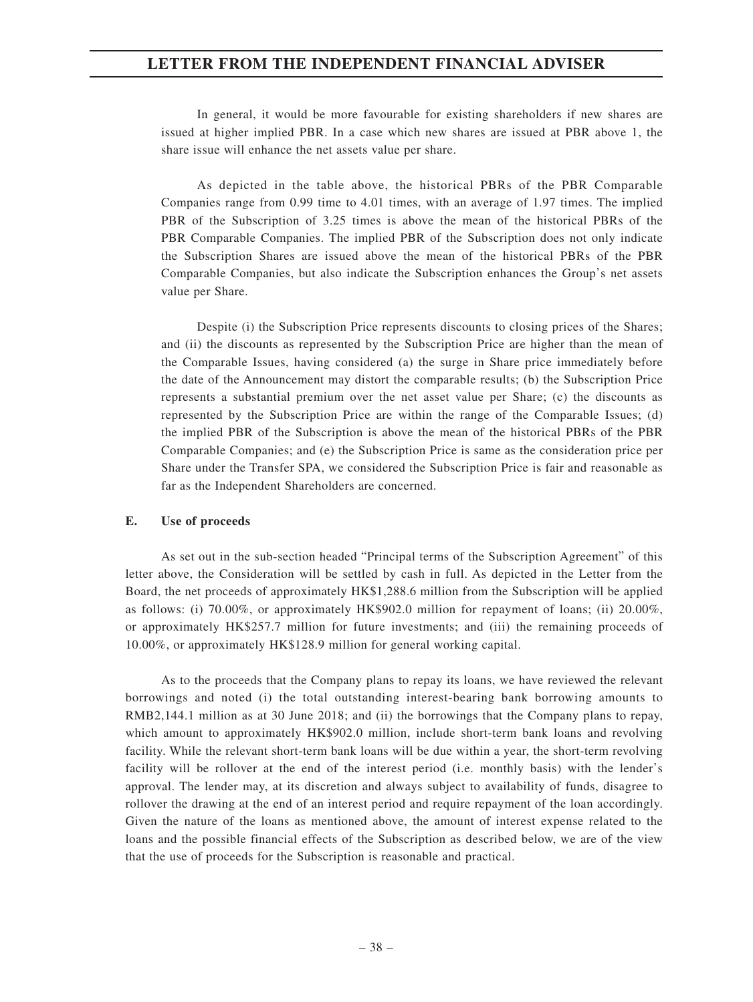In general, it would be more favourable for existing shareholders if new shares are issued at higher implied PBR. In a case which new shares are issued at PBR above 1, the share issue will enhance the net assets value per share.

As depicted in the table above, the historical PBRs of the PBR Comparable Companies range from 0.99 time to 4.01 times, with an average of 1.97 times. The implied PBR of the Subscription of 3.25 times is above the mean of the historical PBRs of the PBR Comparable Companies. The implied PBR of the Subscription does not only indicate the Subscription Shares are issued above the mean of the historical PBRs of the PBR Comparable Companies, but also indicate the Subscription enhances the Group's net assets value per Share.

Despite (i) the Subscription Price represents discounts to closing prices of the Shares; and (ii) the discounts as represented by the Subscription Price are higher than the mean of the Comparable Issues, having considered (a) the surge in Share price immediately before the date of the Announcement may distort the comparable results; (b) the Subscription Price represents a substantial premium over the net asset value per Share; (c) the discounts as represented by the Subscription Price are within the range of the Comparable Issues; (d) the implied PBR of the Subscription is above the mean of the historical PBRs of the PBR Comparable Companies; and (e) the Subscription Price is same as the consideration price per Share under the Transfer SPA, we considered the Subscription Price is fair and reasonable as far as the Independent Shareholders are concerned.

#### **E. Use of proceeds**

As set out in the sub-section headed "Principal terms of the Subscription Agreement" of this letter above, the Consideration will be settled by cash in full. As depicted in the Letter from the Board, the net proceeds of approximately HK\$1,288.6 million from the Subscription will be applied as follows: (i) 70.00%, or approximately HK\$902.0 million for repayment of loans; (ii) 20.00%, or approximately HK\$257.7 million for future investments; and (iii) the remaining proceeds of 10.00%, or approximately HK\$128.9 million for general working capital.

As to the proceeds that the Company plans to repay its loans, we have reviewed the relevant borrowings and noted (i) the total outstanding interest-bearing bank borrowing amounts to RMB2,144.1 million as at 30 June 2018; and (ii) the borrowings that the Company plans to repay, which amount to approximately HK\$902.0 million, include short-term bank loans and revolving facility. While the relevant short-term bank loans will be due within a year, the short-term revolving facility will be rollover at the end of the interest period (i.e. monthly basis) with the lender's approval. The lender may, at its discretion and always subject to availability of funds, disagree to rollover the drawing at the end of an interest period and require repayment of the loan accordingly. Given the nature of the loans as mentioned above, the amount of interest expense related to the loans and the possible financial effects of the Subscription as described below, we are of the view that the use of proceeds for the Subscription is reasonable and practical.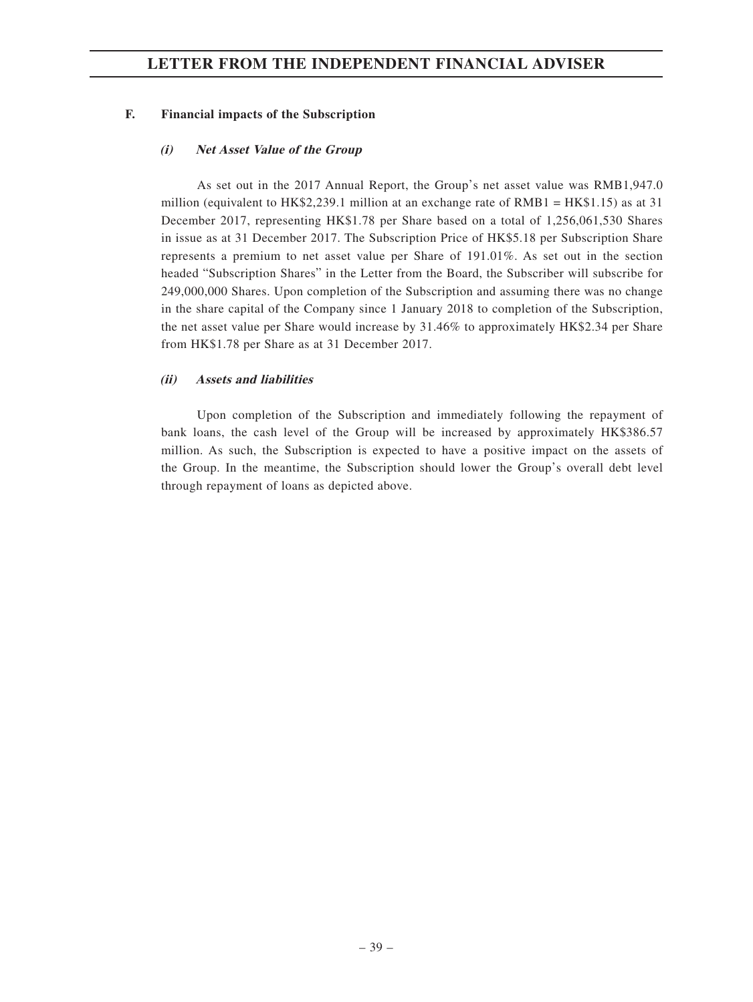#### **F. Financial impacts of the Subscription**

#### **(i) Net Asset Value of the Group**

As set out in the 2017 Annual Report, the Group's net asset value was RMB1,947.0 million (equivalent to HK\$2,239.1 million at an exchange rate of RMB1 = HK\$1.15) as at 31 December 2017, representing HK\$1.78 per Share based on a total of 1,256,061,530 Shares in issue as at 31 December 2017. The Subscription Price of HK\$5.18 per Subscription Share represents a premium to net asset value per Share of 191.01%. As set out in the section headed "Subscription Shares" in the Letter from the Board, the Subscriber will subscribe for 249,000,000 Shares. Upon completion of the Subscription and assuming there was no change in the share capital of the Company since 1 January 2018 to completion of the Subscription, the net asset value per Share would increase by 31.46% to approximately HK\$2.34 per Share from HK\$1.78 per Share as at 31 December 2017.

#### **(ii) Assets and liabilities**

Upon completion of the Subscription and immediately following the repayment of bank loans, the cash level of the Group will be increased by approximately HK\$386.57 million. As such, the Subscription is expected to have a positive impact on the assets of the Group. In the meantime, the Subscription should lower the Group's overall debt level through repayment of loans as depicted above.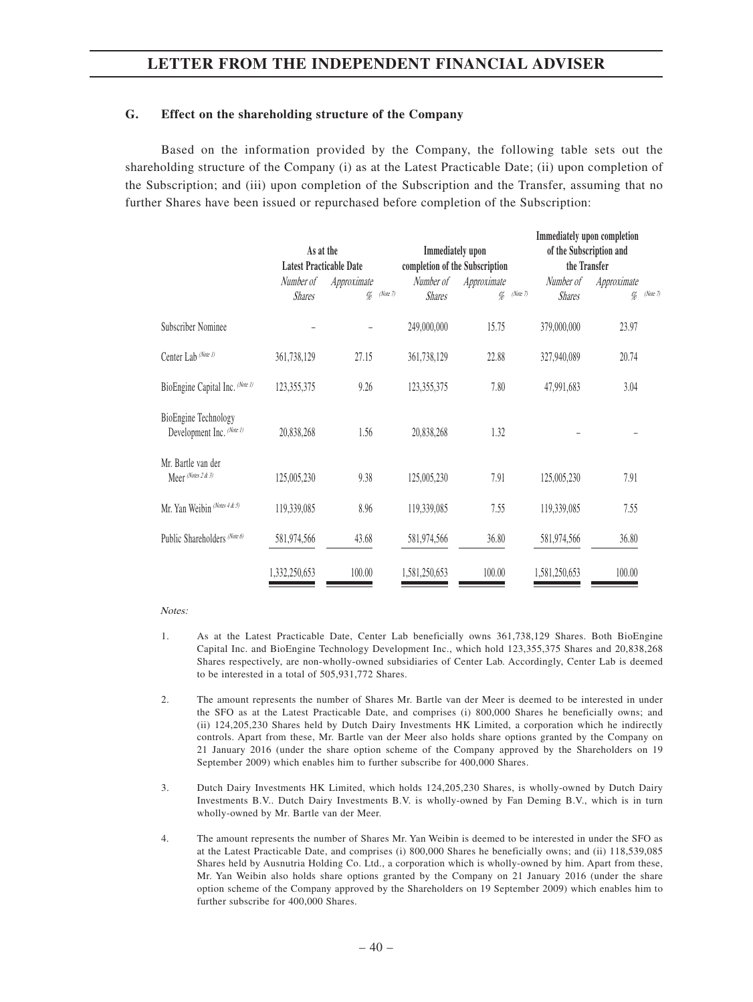#### **G. Effect on the shareholding structure of the Company**

Based on the information provided by the Company, the following table sets out the shareholding structure of the Company (i) as at the Latest Practicable Date; (ii) upon completion of the Subscription; and (iii) upon completion of the Subscription and the Transfer, assuming that no further Shares have been issued or repurchased before completion of the Subscription:

|                                                          |                            | As at the<br><b>Latest Practicable Date</b> |                                        | Immediately upon<br>completion of the Subscription |                            | Immediately upon completion<br>of the Subscription and<br>the Transfer |  |
|----------------------------------------------------------|----------------------------|---------------------------------------------|----------------------------------------|----------------------------------------------------|----------------------------|------------------------------------------------------------------------|--|
|                                                          | Number of<br><b>Shares</b> | Approximate<br>$\%$                         | Number of<br>(Note 7)<br><b>Shares</b> | Approximate<br>(Note 7)<br>$\%$                    | Number of<br><b>Shares</b> | Approximate<br>(Note 7)<br>%                                           |  |
| Subscriber Nominee                                       |                            |                                             | 249,000,000                            | 15.75                                              | 379,000,000                | 23.97                                                                  |  |
| Center Lab (Note 1)                                      | 361,738,129                | 27.15                                       | 361,738,129                            | 22.88                                              | 327,940,089                | 20.74                                                                  |  |
| BioEngine Capital Inc. (Note 1)                          | 123, 355, 375              | 9.26                                        | 123,355,375                            | 7.80                                               | 47,991,683                 | 3.04                                                                   |  |
| <b>BioEngine Technology</b><br>Development Inc. (Note 1) | 20,838,268                 | 1.56                                        | 20,838,268                             | 1.32                                               |                            |                                                                        |  |
| Mr. Bartle van der<br>Meer (Notes 2 & 3)                 | 125,005,230                | 9.38                                        | 125,005,230                            | 7.91                                               | 125,005,230                | 7.91                                                                   |  |
| Mr. Yan Weibin (Notes 4 & 5)                             | 119,339,085                | 8.96                                        | 119,339,085                            | 7.55                                               | 119,339,085                | 7.55                                                                   |  |
| Public Shareholders (Note 6)                             | 581,974,566                | 43.68                                       | 581,974,566                            | 36.80                                              | 581,974,566                | 36.80                                                                  |  |
|                                                          | 1,332,250,653              | 100.00                                      | 1,581,250,653                          | 100.00                                             | 1,581,250,653              | 100.00                                                                 |  |

Notes:

- 1. As at the Latest Practicable Date, Center Lab beneficially owns 361,738,129 Shares. Both BioEngine Capital Inc. and BioEngine Technology Development Inc., which hold 123,355,375 Shares and 20,838,268 Shares respectively, are non-wholly-owned subsidiaries of Center Lab. Accordingly, Center Lab is deemed to be interested in a total of 505,931,772 Shares.
- 2. The amount represents the number of Shares Mr. Bartle van der Meer is deemed to be interested in under the SFO as at the Latest Practicable Date, and comprises (i) 800,000 Shares he beneficially owns; and (ii) 124,205,230 Shares held by Dutch Dairy Investments HK Limited, a corporation which he indirectly controls. Apart from these, Mr. Bartle van der Meer also holds share options granted by the Company on 21 January 2016 (under the share option scheme of the Company approved by the Shareholders on 19 September 2009) which enables him to further subscribe for 400,000 Shares.
- 3. Dutch Dairy Investments HK Limited, which holds 124,205,230 Shares, is wholly-owned by Dutch Dairy Investments B.V.. Dutch Dairy Investments B.V. is wholly-owned by Fan Deming B.V., which is in turn wholly-owned by Mr. Bartle van der Meer.
- 4. The amount represents the number of Shares Mr. Yan Weibin is deemed to be interested in under the SFO as at the Latest Practicable Date, and comprises (i) 800,000 Shares he beneficially owns; and (ii) 118,539,085 Shares held by Ausnutria Holding Co. Ltd., a corporation which is wholly-owned by him. Apart from these, Mr. Yan Weibin also holds share options granted by the Company on 21 January 2016 (under the share option scheme of the Company approved by the Shareholders on 19 September 2009) which enables him to further subscribe for 400,000 Shares.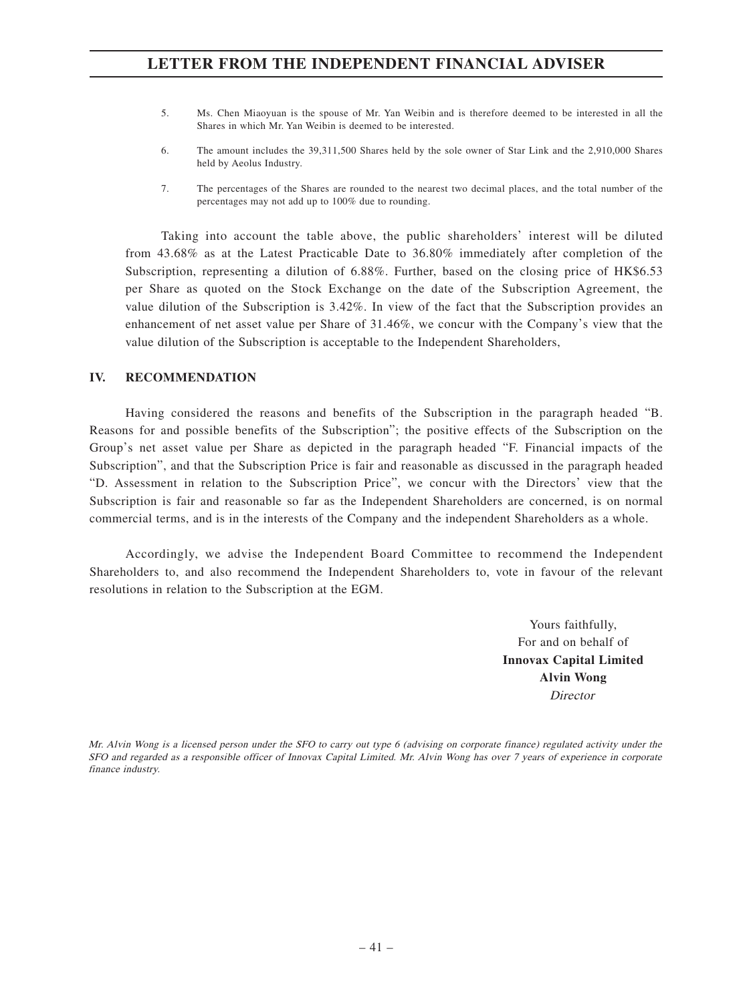- 5. Ms. Chen Miaoyuan is the spouse of Mr. Yan Weibin and is therefore deemed to be interested in all the Shares in which Mr. Yan Weibin is deemed to be interested.
- 6. The amount includes the 39,311,500 Shares held by the sole owner of Star Link and the 2,910,000 Shares held by Aeolus Industry.
- 7. The percentages of the Shares are rounded to the nearest two decimal places, and the total number of the percentages may not add up to 100% due to rounding.

Taking into account the table above, the public shareholders' interest will be diluted from 43.68% as at the Latest Practicable Date to 36.80% immediately after completion of the Subscription, representing a dilution of 6.88%. Further, based on the closing price of HK\$6.53 per Share as quoted on the Stock Exchange on the date of the Subscription Agreement, the value dilution of the Subscription is 3.42%. In view of the fact that the Subscription provides an enhancement of net asset value per Share of 31.46%, we concur with the Company's view that the value dilution of the Subscription is acceptable to the Independent Shareholders,

#### **IV. RECOMMENDATION**

Having considered the reasons and benefits of the Subscription in the paragraph headed "B. Reasons for and possible benefits of the Subscription"; the positive effects of the Subscription on the Group's net asset value per Share as depicted in the paragraph headed "F. Financial impacts of the Subscription", and that the Subscription Price is fair and reasonable as discussed in the paragraph headed "D. Assessment in relation to the Subscription Price", we concur with the Directors' view that the Subscription is fair and reasonable so far as the Independent Shareholders are concerned, is on normal commercial terms, and is in the interests of the Company and the independent Shareholders as a whole.

Accordingly, we advise the Independent Board Committee to recommend the Independent Shareholders to, and also recommend the Independent Shareholders to, vote in favour of the relevant resolutions in relation to the Subscription at the EGM.

> Yours faithfully, For and on behalf of **Innovax Capital Limited Alvin Wong Director**

Mr. Alvin Wong is a licensed person under the SFO to carry out type 6 (advising on corporate finance) regulated activity under the SFO and regarded as a responsible officer of Innovax Capital Limited. Mr. Alvin Wong has over 7 years of experience in corporate finance industry.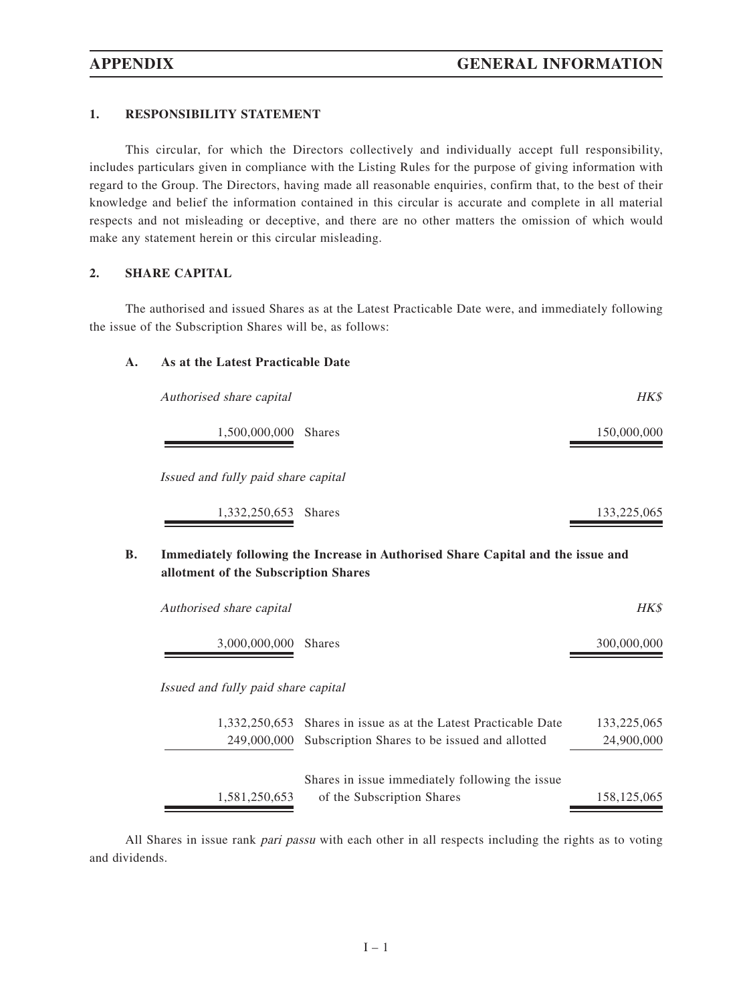#### **1. RESPONSIBILITY STATEMENT**

This circular, for which the Directors collectively and individually accept full responsibility, includes particulars given in compliance with the Listing Rules for the purpose of giving information with regard to the Group. The Directors, having made all reasonable enquiries, confirm that, to the best of their knowledge and belief the information contained in this circular is accurate and complete in all material respects and not misleading or deceptive, and there are no other matters the omission of which would make any statement herein or this circular misleading.

### **2. SHARE CAPITAL**

The authorised and issued Shares as at the Latest Practicable Date were, and immediately following the issue of the Subscription Shares will be, as follows:

### **A. As at the Latest Practicable Date**

| Authorised share capital             |                                                                                  | <b>HK\$</b> |
|--------------------------------------|----------------------------------------------------------------------------------|-------------|
| 1,500,000,000 Shares                 |                                                                                  | 150,000,000 |
| Issued and fully paid share capital  |                                                                                  |             |
| 1,332,250,653                        | <b>Shares</b>                                                                    | 133,225,065 |
| allotment of the Subscription Shares | Immediately following the Increase in Authorised Share Capital and the issue and |             |
| Authorised share capital             |                                                                                  | HK\$        |
| 3,000,000,000                        | <b>Shares</b>                                                                    | 300,000,000 |
| Issued and fully paid share capital  |                                                                                  |             |
| 1,332,250,653                        | Shares in issue as at the Latest Practicable Date                                | 133,225,065 |
| 249,000,000                          | Subscription Shares to be issued and allotted                                    | 24,900,000  |
|                                      | Shares in issue immediately following the issue                                  |             |
| 1,581,250,653                        | of the Subscription Shares                                                       | 158,125,065 |

All Shares in issue rank *pari passu* with each other in all respects including the rights as to voting and dividends.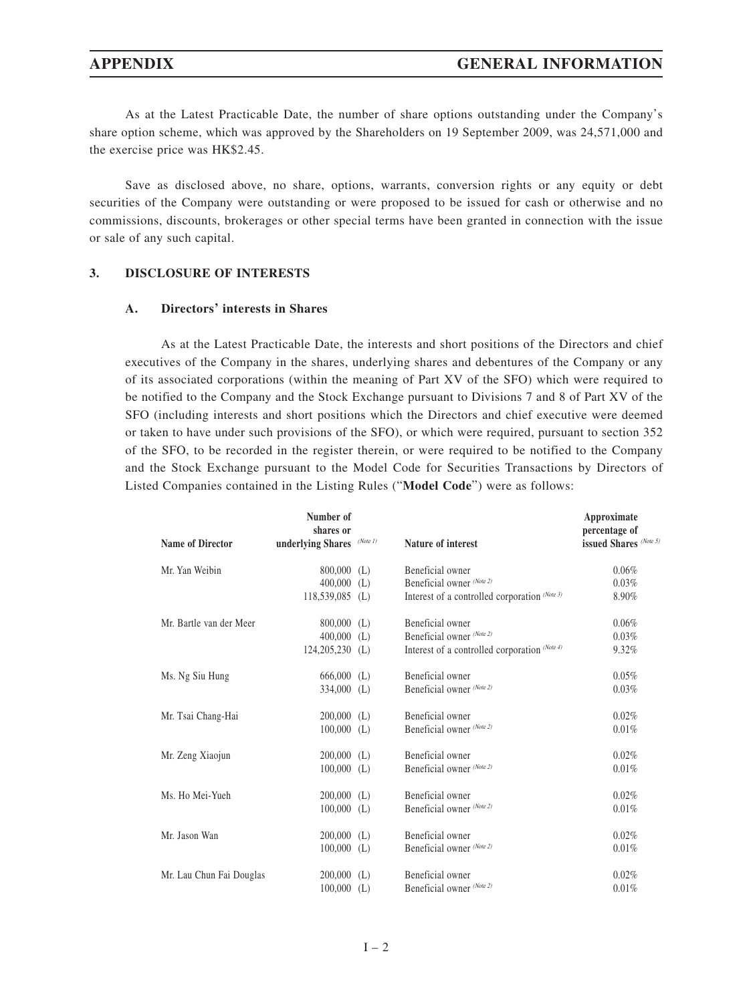As at the Latest Practicable Date, the number of share options outstanding under the Company's share option scheme, which was approved by the Shareholders on 19 September 2009, was 24,571,000 and the exercise price was HK\$2.45.

Save as disclosed above, no share, options, warrants, conversion rights or any equity or debt securities of the Company were outstanding or were proposed to be issued for cash or otherwise and no commissions, discounts, brokerages or other special terms have been granted in connection with the issue or sale of any such capital.

#### **3. DISCLOSURE OF INTERESTS**

#### **A. Directors' interests in Shares**

As at the Latest Practicable Date, the interests and short positions of the Directors and chief executives of the Company in the shares, underlying shares and debentures of the Company or any of its associated corporations (within the meaning of Part XV of the SFO) which were required to be notified to the Company and the Stock Exchange pursuant to Divisions 7 and 8 of Part XV of the SFO (including interests and short positions which the Directors and chief executive were deemed or taken to have under such provisions of the SFO), or which were required, pursuant to section 352 of the SFO, to be recorded in the register therein, or were required to be notified to the Company and the Stock Exchange pursuant to the Model Code for Securities Transactions by Directors of Listed Companies contained in the Listing Rules ("**Model Code**") were as follows:

|                          | Number of<br>shares or |          |                                               | Approximate<br>percentage of |
|--------------------------|------------------------|----------|-----------------------------------------------|------------------------------|
| <b>Name of Director</b>  | underlying Shares      | (Note 1) | Nature of interest                            | issued Shares (Note 5)       |
| Mr. Yan Weibin           | $800,000$ (L)          |          | Beneficial owner                              | $0.06\%$                     |
|                          | $400,000$ (L)          |          | Beneficial owner (Note 2)                     | 0.03%                        |
|                          | $118,539,085$ (L)      |          | Interest of a controlled corporation (Note 3) | 8.90%                        |
| Mr. Bartle van der Meer  | $800,000$ (L)          |          | Beneficial owner                              | 0.06%                        |
|                          | $400,000$ (L)          |          | Beneficial owner (Note 2)                     | 0.03%                        |
|                          | $124,205,230$ (L)      |          | Interest of a controlled corporation (Note 4) | 9.32%                        |
| Ms. Ng Siu Hung          | $666,000$ (L)          |          | Beneficial owner                              | 0.05%                        |
|                          | $334,000$ (L)          |          | Beneficial owner (Note 2)                     | 0.03%                        |
| Mr. Tsai Chang-Hai       | $200,000$ (L)          |          | Beneficial owner                              | 0.02%                        |
|                          | $100,000$ (L)          |          | Beneficial owner (Note 2)                     | 0.01%                        |
| Mr. Zeng Xiaojun         | $200,000$ (L)          |          | Beneficial owner                              | 0.02%                        |
|                          | $100,000$ (L)          |          | Beneficial owner (Note 2)                     | 0.01%                        |
| Ms. Ho Mei-Yueh          | $200,000$ (L)          |          | Beneficial owner                              | $0.02\%$                     |
|                          | $100,000$ (L)          |          | Beneficial owner (Note 2)                     | 0.01%                        |
| Mr. Jason Wan            | $200,000$ (L)          |          | Beneficial owner                              | 0.02%                        |
|                          | $100,000$ (L)          |          | Beneficial owner (Note 2)                     | 0.01%                        |
| Mr. Lau Chun Fai Douglas | $200,000$ (L)          |          | Beneficial owner                              | 0.02%                        |
|                          | $100,000$ (L)          |          | Beneficial owner (Note 2)                     | 0.01%                        |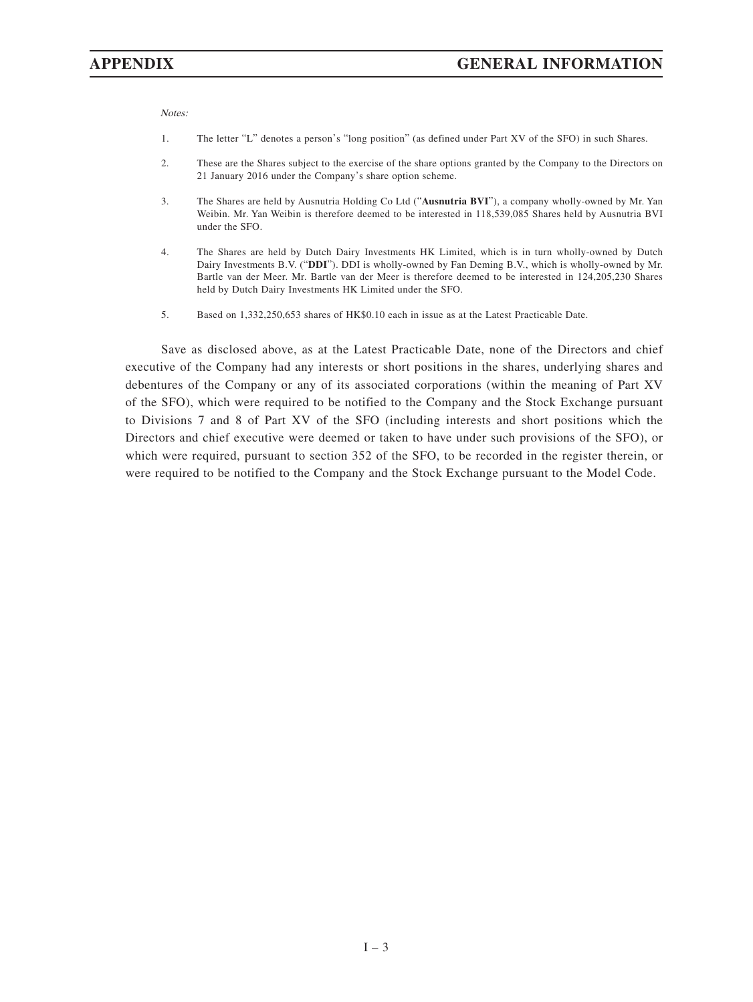Notes:

- 1. The letter "L" denotes a person's "long position" (as defined under Part XV of the SFO) in such Shares.
- 2. These are the Shares subject to the exercise of the share options granted by the Company to the Directors on 21 January 2016 under the Company's share option scheme.
- 3. The Shares are held by Ausnutria Holding Co Ltd ("**Ausnutria BVI**"), a company wholly-owned by Mr. Yan Weibin. Mr. Yan Weibin is therefore deemed to be interested in 118,539,085 Shares held by Ausnutria BVI under the SFO.
- 4. The Shares are held by Dutch Dairy Investments HK Limited, which is in turn wholly-owned by Dutch Dairy Investments B.V. ("**DDI**"). DDI is wholly-owned by Fan Deming B.V., which is wholly-owned by Mr. Bartle van der Meer. Mr. Bartle van der Meer is therefore deemed to be interested in 124,205,230 Shares held by Dutch Dairy Investments HK Limited under the SFO.
- 5. Based on 1,332,250,653 shares of HK\$0.10 each in issue as at the Latest Practicable Date.

Save as disclosed above, as at the Latest Practicable Date, none of the Directors and chief executive of the Company had any interests or short positions in the shares, underlying shares and debentures of the Company or any of its associated corporations (within the meaning of Part XV of the SFO), which were required to be notified to the Company and the Stock Exchange pursuant to Divisions 7 and 8 of Part XV of the SFO (including interests and short positions which the Directors and chief executive were deemed or taken to have under such provisions of the SFO), or which were required, pursuant to section 352 of the SFO, to be recorded in the register therein, or were required to be notified to the Company and the Stock Exchange pursuant to the Model Code.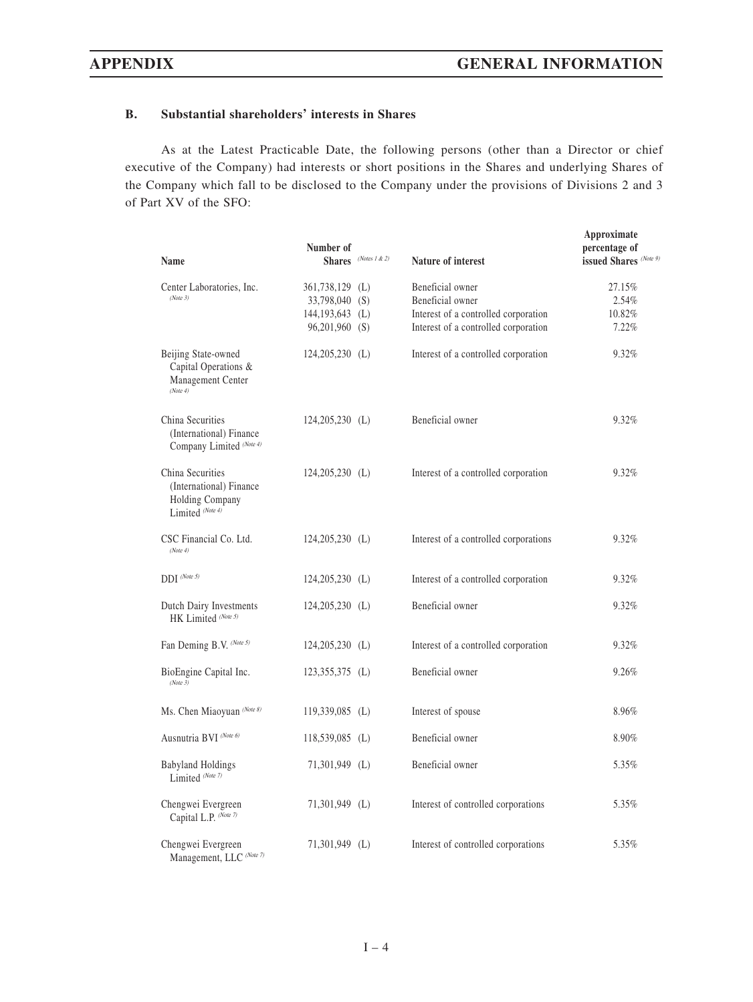### **B. Substantial shareholders' interests in Shares**

As at the Latest Practicable Date, the following persons (other than a Director or chief executive of the Company) had interests or short positions in the Shares and underlying Shares of the Company which fall to be disclosed to the Company under the provisions of Divisions 2 and 3 of Part XV of the SFO:

| Name                                                                               | Number of                                                                  | Shares (Notes 1 & 2) | Nature of interest                                                                                                   | Approximate<br>percentage of<br>issued Shares (Note 9) |
|------------------------------------------------------------------------------------|----------------------------------------------------------------------------|----------------------|----------------------------------------------------------------------------------------------------------------------|--------------------------------------------------------|
| Center Laboratories, Inc.<br>(Note 3)                                              | 361,738,129 (L)<br>33,798,040 (S)<br>$144, 193, 643$ (L)<br>96,201,960 (S) |                      | Beneficial owner<br>Beneficial owner<br>Interest of a controlled corporation<br>Interest of a controlled corporation | 27.15%<br>2.54%<br>10.82%<br>7.22%                     |
| Beijing State-owned<br>Capital Operations &<br>Management Center<br>(Note 4)       | $124,205,230$ (L)                                                          |                      | Interest of a controlled corporation                                                                                 | 9.32%                                                  |
| China Securities<br>(International) Finance<br>Company Limited (Note 4)            | $124,205,230$ (L)                                                          |                      | Beneficial owner                                                                                                     | 9.32%                                                  |
| China Securities<br>(International) Finance<br>Holding Company<br>Limited (Note 4) | $124,205,230$ (L)                                                          |                      | Interest of a controlled corporation                                                                                 | 9.32%                                                  |
| CSC Financial Co. Ltd.<br>(Note 4)                                                 | $124,205,230$ (L)                                                          |                      | Interest of a controlled corporations                                                                                | 9.32%                                                  |
| $DDI^{(Note 5)}$                                                                   | $124,205,230$ (L)                                                          |                      | Interest of a controlled corporation                                                                                 | 9.32%                                                  |
| Dutch Dairy Investments<br>HK Limited (Note 5)                                     | $124,205,230$ (L)                                                          |                      | Beneficial owner                                                                                                     | 9.32%                                                  |
| Fan Deming B.V. (Note 5)                                                           | 124,205,230 (L)                                                            |                      | Interest of a controlled corporation                                                                                 | 9.32%                                                  |
| BioEngine Capital Inc.<br>(Note3)                                                  | 123,355,375 (L)                                                            |                      | Beneficial owner                                                                                                     | 9.26%                                                  |
| Ms. Chen Miaoyuan (Note 8)                                                         | $119,339,085$ (L)                                                          |                      | Interest of spouse                                                                                                   | 8.96%                                                  |
| Ausnutria BVI (Note 6)                                                             | 118,539,085 (L)                                                            |                      | Beneficial owner                                                                                                     | 8.90%                                                  |
| <b>Babyland Holdings</b><br>Limited (Note 7)                                       | 71,301,949 (L)                                                             |                      | Beneficial owner                                                                                                     | 5.35%                                                  |
| Chengwei Evergreen<br>Capital L.P. (Note 7)                                        | $71,301,949$ (L)                                                           |                      | Interest of controlled corporations                                                                                  | 5.35%                                                  |
| Chengwei Evergreen<br>Management, LLC (Note 7)                                     | $71,301,949$ (L)                                                           |                      | Interest of controlled corporations                                                                                  | 5.35%                                                  |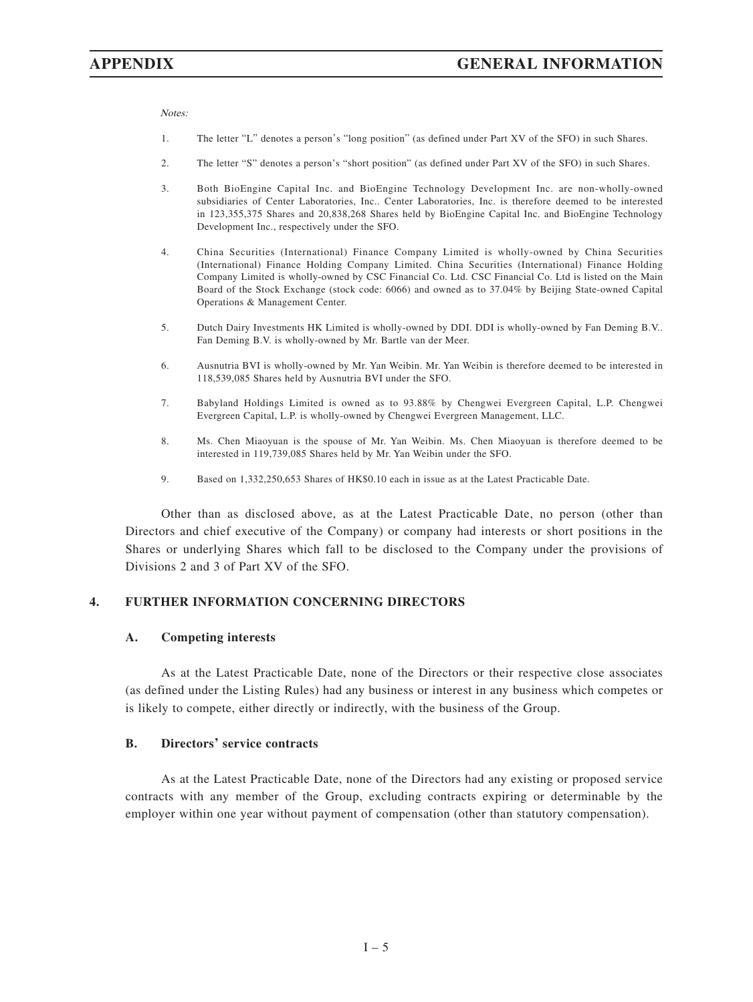Notes:

- 1. The letter "L" denotes a person's "long position" (as defined under Part XV of the SFO) in such Shares.
- 2. The letter "S" denotes a person's "short position" (as defined under Part XV of the SFO) in such Shares.
- 3. Both BioEngine Capital Inc. and BioEngine Technology Development Inc. are non-wholly-owned subsidiaries of Center Laboratories, Inc.. Center Laboratories, Inc. is therefore deemed to be interested in 123,355,375 Shares and 20,838,268 Shares held by BioEngine Capital Inc. and BioEngine Technology Development Inc., respectively under the SFO.
- 4. China Securities (International) Finance Company Limited is wholly-owned by China Securities (International) Finance Holding Company Limited. China Securities (International) Finance Holding Company Limited is wholly-owned by CSC Financial Co. Ltd. CSC Financial Co. Ltd is listed on the Main Board of the Stock Exchange (stock code: 6066) and owned as to 37.04% by Beijing State-owned Capital Operations & Management Center.
- 5. Dutch Dairy Investments HK Limited is wholly-owned by DDI. DDI is wholly-owned by Fan Deming B.V.. Fan Deming B.V. is wholly-owned by Mr. Bartle van der Meer.
- 6. Ausnutria BVI is wholly-owned by Mr. Yan Weibin. Mr. Yan Weibin is therefore deemed to be interested in 118,539,085 Shares held by Ausnutria BVI under the SFO.
- 7. Babyland Holdings Limited is owned as to 93.88% by Chengwei Evergreen Capital, L.P. Chengwei Evergreen Capital, L.P. is wholly-owned by Chengwei Evergreen Management, LLC.
- 8. Ms. Chen Miaoyuan is the spouse of Mr. Yan Weibin. Ms. Chen Miaoyuan is therefore deemed to be interested in 119,739,085 Shares held by Mr. Yan Weibin under the SFO.
- 9. Based on 1,332,250,653 Shares of HK\$0.10 each in issue as at the Latest Practicable Date.

Other than as disclosed above, as at the Latest Practicable Date, no person (other than Directors and chief executive of the Company) or company had interests or short positions in the Shares or underlying Shares which fall to be disclosed to the Company under the provisions of Divisions 2 and 3 of Part XV of the SFO.

#### **4. FURTHER INFORMATION CONCERNING DIRECTORS**

#### **A. Competing interests**

As at the Latest Practicable Date, none of the Directors or their respective close associates (as defined under the Listing Rules) had any business or interest in any business which competes or is likely to compete, either directly or indirectly, with the business of the Group.

#### **B. Directors' service contracts**

As at the Latest Practicable Date, none of the Directors had any existing or proposed service contracts with any member of the Group, excluding contracts expiring or determinable by the employer within one year without payment of compensation (other than statutory compensation).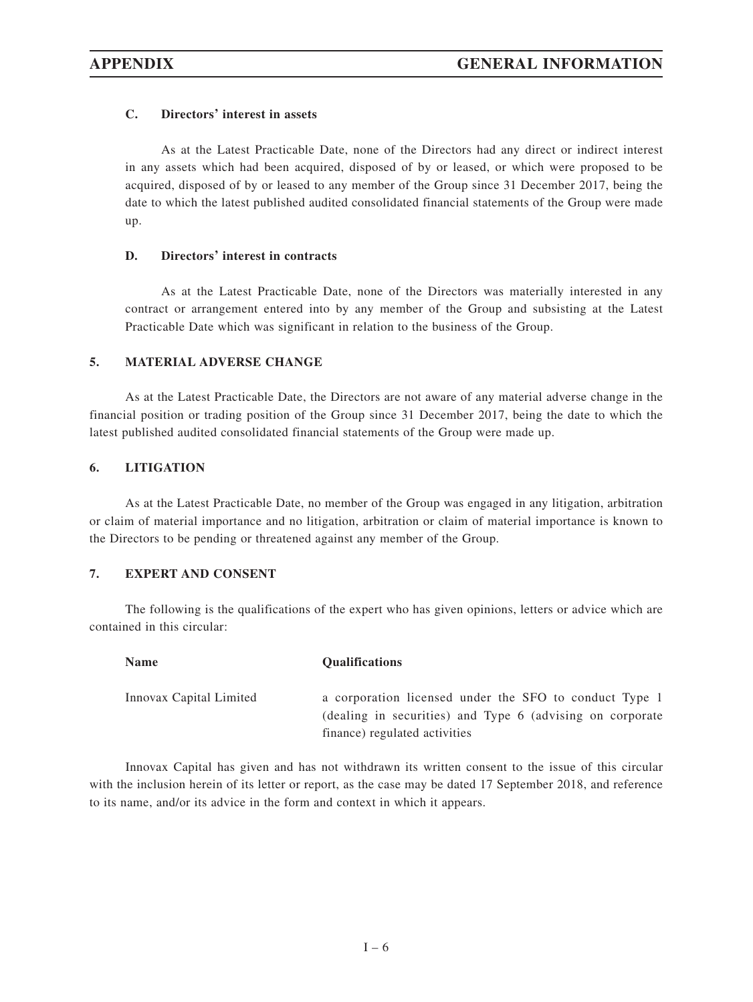#### **C. Directors' interest in assets**

As at the Latest Practicable Date, none of the Directors had any direct or indirect interest in any assets which had been acquired, disposed of by or leased, or which were proposed to be acquired, disposed of by or leased to any member of the Group since 31 December 2017, being the date to which the latest published audited consolidated financial statements of the Group were made up.

#### **D. Directors' interest in contracts**

As at the Latest Practicable Date, none of the Directors was materially interested in any contract or arrangement entered into by any member of the Group and subsisting at the Latest Practicable Date which was significant in relation to the business of the Group.

#### **5. MATERIAL ADVERSE CHANGE**

As at the Latest Practicable Date, the Directors are not aware of any material adverse change in the financial position or trading position of the Group since 31 December 2017, being the date to which the latest published audited consolidated financial statements of the Group were made up.

#### **6. LITIGATION**

As at the Latest Practicable Date, no member of the Group was engaged in any litigation, arbitration or claim of material importance and no litigation, arbitration or claim of material importance is known to the Directors to be pending or threatened against any member of the Group.

#### **7. EXPERT AND CONSENT**

The following is the qualifications of the expert who has given opinions, letters or advice which are contained in this circular:

| <b>Name</b>             | <b>Oualifications</b>                                                                                                                                |
|-------------------------|------------------------------------------------------------------------------------------------------------------------------------------------------|
| Innovax Capital Limited | a corporation licensed under the SFO to conduct Type 1<br>(dealing in securities) and Type 6 (advising on corporate<br>finance) regulated activities |

Innovax Capital has given and has not withdrawn its written consent to the issue of this circular with the inclusion herein of its letter or report, as the case may be dated 17 September 2018, and reference to its name, and/or its advice in the form and context in which it appears.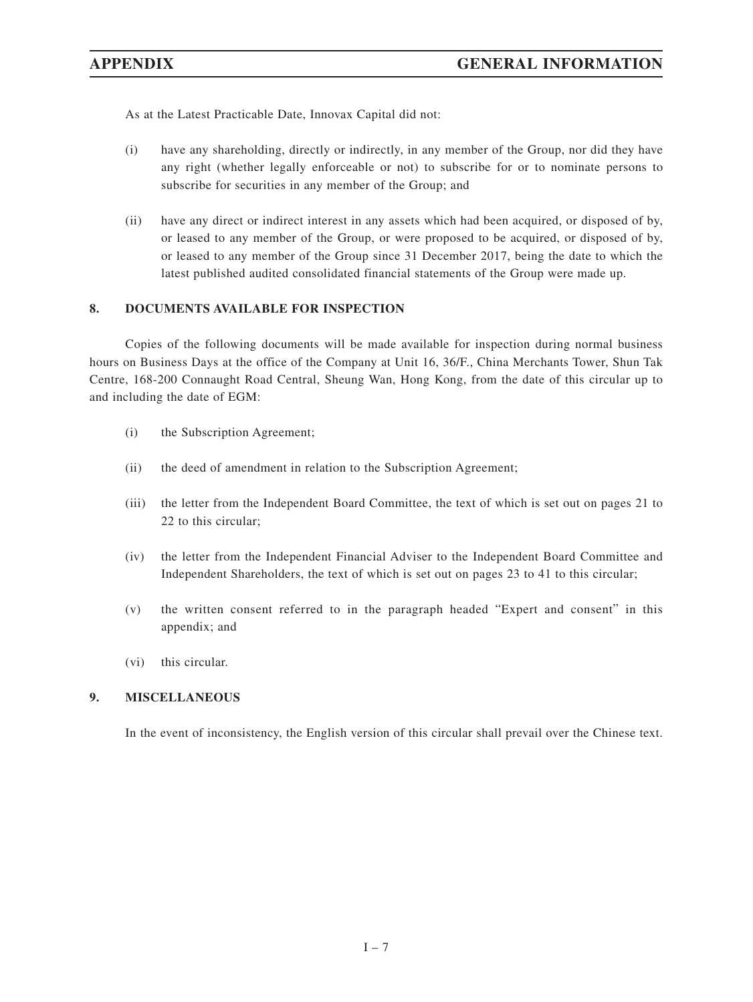As at the Latest Practicable Date, Innovax Capital did not:

- (i) have any shareholding, directly or indirectly, in any member of the Group, nor did they have any right (whether legally enforceable or not) to subscribe for or to nominate persons to subscribe for securities in any member of the Group; and
- (ii) have any direct or indirect interest in any assets which had been acquired, or disposed of by, or leased to any member of the Group, or were proposed to be acquired, or disposed of by, or leased to any member of the Group since 31 December 2017, being the date to which the latest published audited consolidated financial statements of the Group were made up.

### **8. DOCUMENTS AVAILABLE FOR INSPECTION**

Copies of the following documents will be made available for inspection during normal business hours on Business Days at the office of the Company at Unit 16, 36/F., China Merchants Tower, Shun Tak Centre, 168-200 Connaught Road Central, Sheung Wan, Hong Kong, from the date of this circular up to and including the date of EGM:

- (i) the Subscription Agreement;
- (ii) the deed of amendment in relation to the Subscription Agreement;
- (iii) the letter from the Independent Board Committee, the text of which is set out on pages 21 to 22 to this circular;
- (iv) the letter from the Independent Financial Adviser to the Independent Board Committee and Independent Shareholders, the text of which is set out on pages 23 to 41 to this circular;
- (v) the written consent referred to in the paragraph headed "Expert and consent" in this appendix; and
- (vi) this circular.

### **9. MISCELLANEOUS**

In the event of inconsistency, the English version of this circular shall prevail over the Chinese text.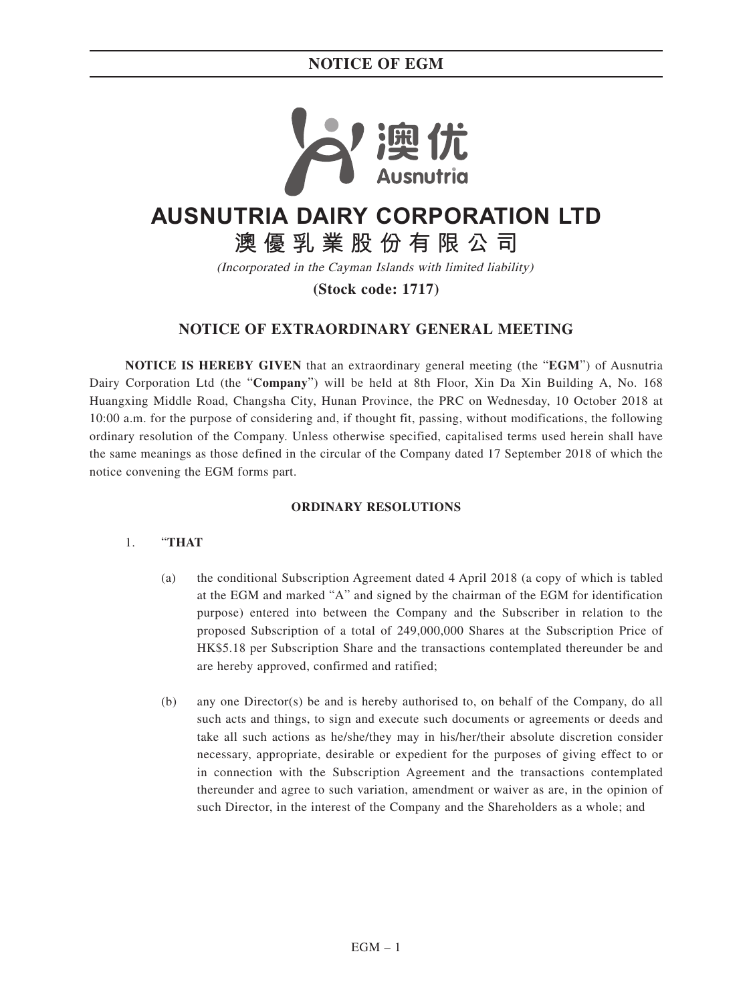## **NOTICE OF EGM**



# **AUSNUTRIA DAIRY CORPORATION LTD**

**澳優乳業股份有限公司**

(Incorporated in the Cayman Islands with limited liability)

**(Stock code: 1717)**

## **NOTICE OF EXTRAORDINARY GENERAL MEETING**

**NOTICE IS HEREBY GIVEN** that an extraordinary general meeting (the "**EGM**") of Ausnutria Dairy Corporation Ltd (the "**Company**") will be held at 8th Floor, Xin Da Xin Building A, No. 168 Huangxing Middle Road, Changsha City, Hunan Province, the PRC on Wednesday, 10 October 2018 at 10:00 a.m. for the purpose of considering and, if thought fit, passing, without modifications, the following ordinary resolution of the Company. Unless otherwise specified, capitalised terms used herein shall have the same meanings as those defined in the circular of the Company dated 17 September 2018 of which the notice convening the EGM forms part.

#### **ORDINARY RESOLUTIONS**

#### 1. "**THAT**

- (a) the conditional Subscription Agreement dated 4 April 2018 (a copy of which is tabled at the EGM and marked "A" and signed by the chairman of the EGM for identification purpose) entered into between the Company and the Subscriber in relation to the proposed Subscription of a total of 249,000,000 Shares at the Subscription Price of HK\$5.18 per Subscription Share and the transactions contemplated thereunder be and are hereby approved, confirmed and ratified;
- (b) any one Director(s) be and is hereby authorised to, on behalf of the Company, do all such acts and things, to sign and execute such documents or agreements or deeds and take all such actions as he/she/they may in his/her/their absolute discretion consider necessary, appropriate, desirable or expedient for the purposes of giving effect to or in connection with the Subscription Agreement and the transactions contemplated thereunder and agree to such variation, amendment or waiver as are, in the opinion of such Director, in the interest of the Company and the Shareholders as a whole; and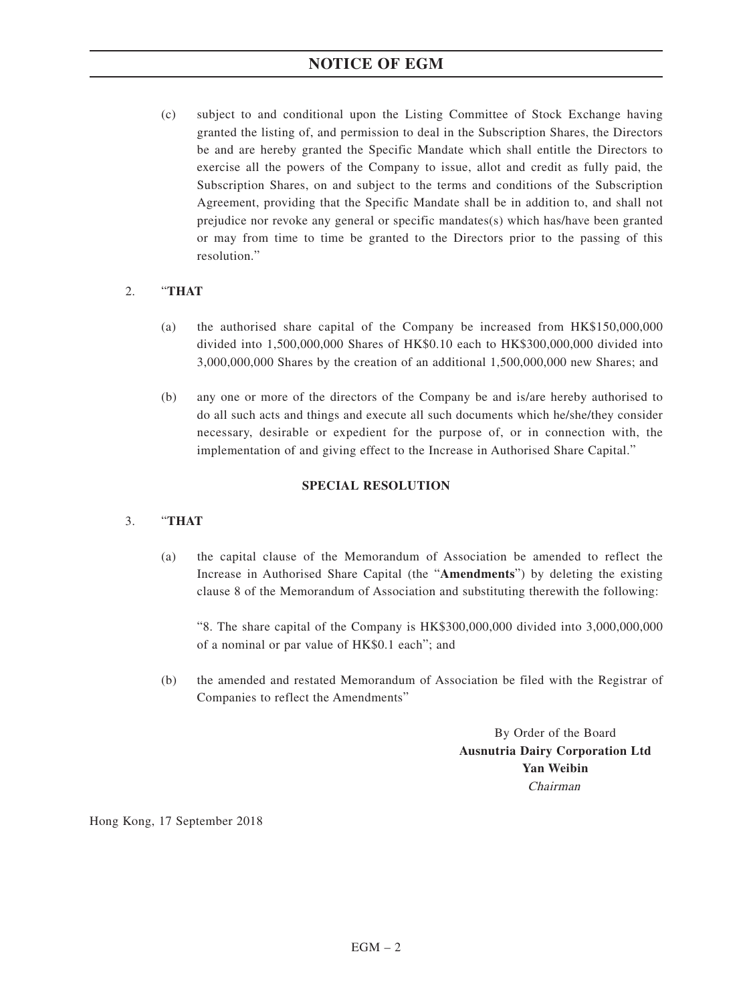## **NOTICE OF EGM**

(c) subject to and conditional upon the Listing Committee of Stock Exchange having granted the listing of, and permission to deal in the Subscription Shares, the Directors be and are hereby granted the Specific Mandate which shall entitle the Directors to exercise all the powers of the Company to issue, allot and credit as fully paid, the Subscription Shares, on and subject to the terms and conditions of the Subscription Agreement, providing that the Specific Mandate shall be in addition to, and shall not prejudice nor revoke any general or specific mandates(s) which has/have been granted or may from time to time be granted to the Directors prior to the passing of this resolution."

#### 2. "**THAT**

- (a) the authorised share capital of the Company be increased from HK\$150,000,000 divided into 1,500,000,000 Shares of HK\$0.10 each to HK\$300,000,000 divided into 3,000,000,000 Shares by the creation of an additional 1,500,000,000 new Shares; and
- (b) any one or more of the directors of the Company be and is/are hereby authorised to do all such acts and things and execute all such documents which he/she/they consider necessary, desirable or expedient for the purpose of, or in connection with, the implementation of and giving effect to the Increase in Authorised Share Capital."

#### **SPECIAL RESOLUTION**

#### 3. "**THAT**

(a) the capital clause of the Memorandum of Association be amended to reflect the Increase in Authorised Share Capital (the "**Amendments**") by deleting the existing clause 8 of the Memorandum of Association and substituting therewith the following:

"8. The share capital of the Company is HK\$300,000,000 divided into 3,000,000,000 of a nominal or par value of HK\$0.1 each"; and

(b) the amended and restated Memorandum of Association be filed with the Registrar of Companies to reflect the Amendments"

> By Order of the Board **Ausnutria Dairy Corporation Ltd Yan Weibin** Chairman

Hong Kong, 17 September 2018